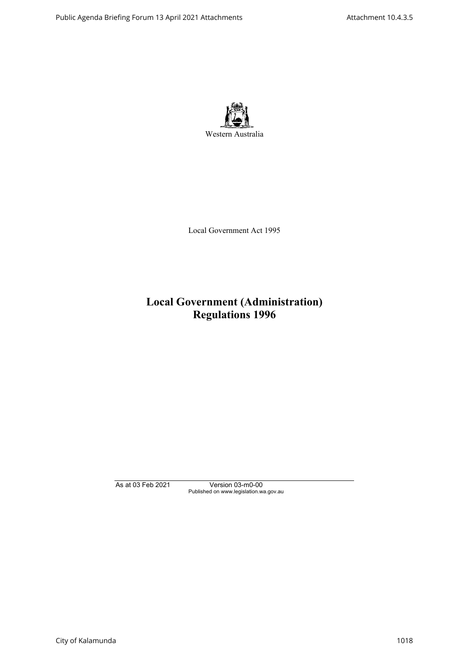

Local Government Act 1995

# **Local Government (Administration) Regulations 1996**

As at 03 Feb 2021 Version 03-m0-00 Published on www.legislation.wa.gov.au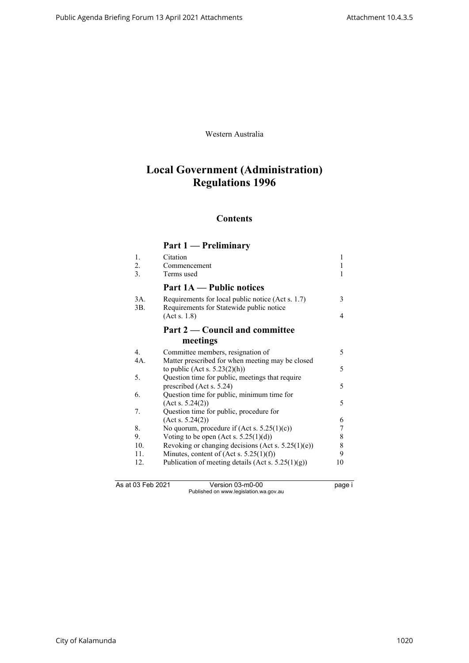Western Australia

# **Local Government (Administration) Regulations 1996**

# **Contents**

# **Part 1 — Preliminary**

| 1.             | Citation                                                                                      | 1  |
|----------------|-----------------------------------------------------------------------------------------------|----|
| 2.             | Commencement                                                                                  | 1  |
| 3.             | Terms used                                                                                    | 1  |
|                | <b>Part 1A</b> — Public notices                                                               |    |
| 3A.<br>3B.     | Requirements for local public notice (Act s. 1.7)<br>Requirements for Statewide public notice | 3  |
|                | (Act s. 1.8)                                                                                  | 4  |
|                | Part 2 — Council and committee                                                                |    |
|                | meetings                                                                                      |    |
| $\mathbf{4}$ . | Committee members, resignation of                                                             | 5  |
| 4A.            | Matter prescribed for when meeting may be closed                                              |    |
|                | to public (Act s. $5.23(2)(h)$ )                                                              | 5  |
| 5.             | Question time for public, meetings that require                                               |    |
|                | prescribed (Act s. 5.24)                                                                      | 5  |
| 6.             | Question time for public, minimum time for                                                    |    |
|                | (Acts. 5.24(2))                                                                               | 5  |
| 7.             | Question time for public, procedure for                                                       |    |
|                | (Acts. 5.24(2))                                                                               | 6  |
| 8.             | No quorum, procedure if $(Act s. 5.25(1)(c))$                                                 | 7  |
| 9.             | Voting to be open (Act s. $5.25(1)(d)$ )                                                      | 8  |
| 10.            | Revoking or changing decisions (Act s. $5.25(1)(e)$ )                                         | 8  |
| 11.            | Minutes, content of (Act s. $5.25(1)(f)$ )                                                    | 9  |
| 12.            | Publication of meeting details (Act s. $5.25(1)(g)$ )                                         | 10 |
|                |                                                                                               |    |
|                |                                                                                               |    |

As at 03 Feb 2021 Version 03-m0-00 page i Published on www.legislation.wa.gov.au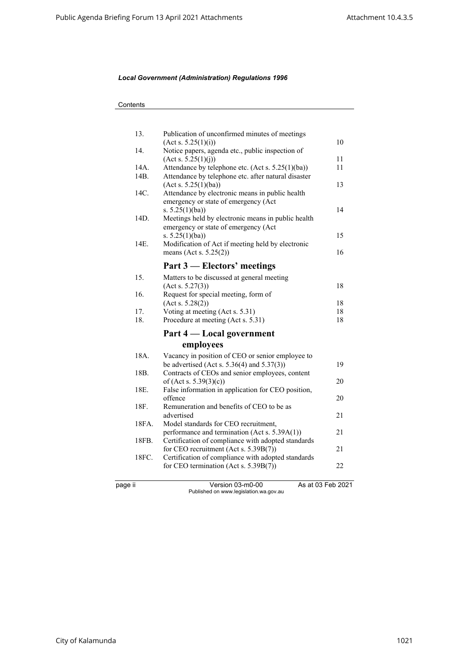| 13.               | Publication of unconfirmed minutes of meetings                                    |                   |
|-------------------|-----------------------------------------------------------------------------------|-------------------|
| 14.               | (Act s. 5.25(1)(i))                                                               | 10                |
|                   | Notice papers, agenda etc., public inspection of<br>$(\text{Act } s. 5.25(1)(j))$ | 11                |
| 14A.              | Attendance by telephone etc. (Act s. 5.25(1)(ba))                                 | 11                |
| 14B.              | Attendance by telephone etc. after natural disaster                               |                   |
|                   | (Act s. 5.25(1)(ba))                                                              | 13                |
| 14C.              | Attendance by electronic means in public health                                   |                   |
|                   | emergency or state of emergency (Act                                              |                   |
|                   | s. $5.25(1)(ba)$                                                                  | 14                |
| 14D.              | Meetings held by electronic means in public health                                |                   |
|                   | emergency or state of emergency (Act                                              |                   |
|                   | s. $5.25(1)(ba)$                                                                  | 15                |
| 14E.              | Modification of Act if meeting held by electronic                                 |                   |
|                   | means (Act s. $5.25(2)$ )                                                         | 16                |
|                   | Part 3 – Electors' meetings                                                       |                   |
| 15.               | Matters to be discussed at general meeting                                        |                   |
|                   | (Acts. 5.27(3))                                                                   | 18                |
| 16.               | Request for special meeting, form of                                              |                   |
|                   | (Acts. 5.28(2))                                                                   | 18                |
| 17.               | Voting at meeting (Act s. 5.31)                                                   | 18                |
| 18.               | Procedure at meeting (Act s. 5.31)                                                | 18                |
|                   | Part 4 — Local government                                                         |                   |
|                   | employees                                                                         |                   |
| 18A.              | Vacancy in position of CEO or senior employee to                                  |                   |
|                   | be advertised (Act s. $5.36(4)$ and $5.37(3)$ )                                   | 19                |
| 18 <sub>B</sub> . | Contracts of CEOs and senior employees, content                                   |                   |
|                   | of (Act s. $5.39(3)(c)$ )                                                         | 20                |
| 18E.              | False information in application for CEO position,                                |                   |
|                   | offence                                                                           | 20                |
| 18F.              | Remuneration and benefits of CEO to be as                                         |                   |
|                   | advertised                                                                        | 21                |
| 18FA.             | Model standards for CEO recruitment,                                              |                   |
|                   | performance and termination (Act s. 5.39A(1))                                     | 21                |
| 18FB.             | Certification of compliance with adopted standards                                |                   |
|                   | for CEO recruitment (Act s. 5.39B(7))                                             | 21                |
| 18FC.             | Certification of compliance with adopted standards                                | 22                |
|                   | for CEO termination (Act s. 5.39B(7))                                             |                   |
| page ii           | Version 03-m0-00                                                                  | As at 03 Feb 2021 |
|                   | Published on www.legislation.wa.gov.au                                            |                   |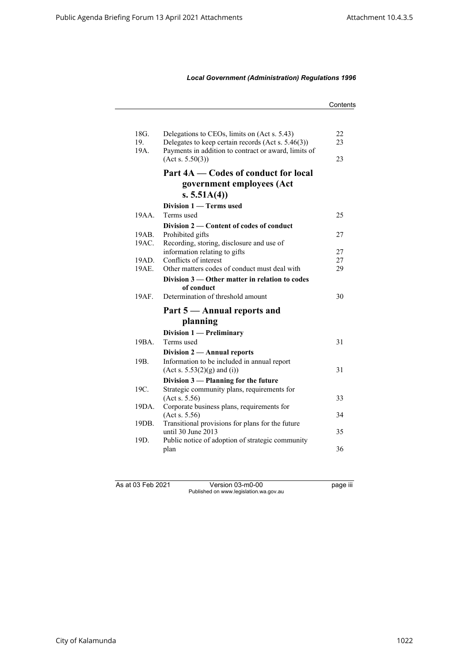|                                                      | Contents                                                                                                                                                                                                                                                                                                                                                                                                                                                                                                                                                                                                   |
|------------------------------------------------------|------------------------------------------------------------------------------------------------------------------------------------------------------------------------------------------------------------------------------------------------------------------------------------------------------------------------------------------------------------------------------------------------------------------------------------------------------------------------------------------------------------------------------------------------------------------------------------------------------------|
|                                                      |                                                                                                                                                                                                                                                                                                                                                                                                                                                                                                                                                                                                            |
|                                                      | 22                                                                                                                                                                                                                                                                                                                                                                                                                                                                                                                                                                                                         |
| Delegates to keep certain records (Act s. 5.46(3))   | 23                                                                                                                                                                                                                                                                                                                                                                                                                                                                                                                                                                                                         |
| Payments in addition to contract or award, limits of |                                                                                                                                                                                                                                                                                                                                                                                                                                                                                                                                                                                                            |
|                                                      | 23                                                                                                                                                                                                                                                                                                                                                                                                                                                                                                                                                                                                         |
| Part 4A — Codes of conduct for local                 |                                                                                                                                                                                                                                                                                                                                                                                                                                                                                                                                                                                                            |
| government employees (Act                            |                                                                                                                                                                                                                                                                                                                                                                                                                                                                                                                                                                                                            |
| s. $5.51A(4)$                                        |                                                                                                                                                                                                                                                                                                                                                                                                                                                                                                                                                                                                            |
| Division 1 – Terms used                              |                                                                                                                                                                                                                                                                                                                                                                                                                                                                                                                                                                                                            |
| Terms used                                           | 25                                                                                                                                                                                                                                                                                                                                                                                                                                                                                                                                                                                                         |
| Division 2 — Content of codes of conduct             |                                                                                                                                                                                                                                                                                                                                                                                                                                                                                                                                                                                                            |
| Prohibited gifts                                     | 27                                                                                                                                                                                                                                                                                                                                                                                                                                                                                                                                                                                                         |
| Recording, storing, disclosure and use of            |                                                                                                                                                                                                                                                                                                                                                                                                                                                                                                                                                                                                            |
|                                                      | 27                                                                                                                                                                                                                                                                                                                                                                                                                                                                                                                                                                                                         |
|                                                      | 27                                                                                                                                                                                                                                                                                                                                                                                                                                                                                                                                                                                                         |
|                                                      | 29                                                                                                                                                                                                                                                                                                                                                                                                                                                                                                                                                                                                         |
|                                                      |                                                                                                                                                                                                                                                                                                                                                                                                                                                                                                                                                                                                            |
|                                                      | 30                                                                                                                                                                                                                                                                                                                                                                                                                                                                                                                                                                                                         |
|                                                      |                                                                                                                                                                                                                                                                                                                                                                                                                                                                                                                                                                                                            |
|                                                      |                                                                                                                                                                                                                                                                                                                                                                                                                                                                                                                                                                                                            |
|                                                      |                                                                                                                                                                                                                                                                                                                                                                                                                                                                                                                                                                                                            |
| Division 1 - Preliminary                             |                                                                                                                                                                                                                                                                                                                                                                                                                                                                                                                                                                                                            |
| Terms used                                           | 31                                                                                                                                                                                                                                                                                                                                                                                                                                                                                                                                                                                                         |
| Division 2 - Annual reports                          |                                                                                                                                                                                                                                                                                                                                                                                                                                                                                                                                                                                                            |
| Information to be included in annual report          |                                                                                                                                                                                                                                                                                                                                                                                                                                                                                                                                                                                                            |
|                                                      | 31                                                                                                                                                                                                                                                                                                                                                                                                                                                                                                                                                                                                         |
|                                                      |                                                                                                                                                                                                                                                                                                                                                                                                                                                                                                                                                                                                            |
|                                                      |                                                                                                                                                                                                                                                                                                                                                                                                                                                                                                                                                                                                            |
|                                                      | 33                                                                                                                                                                                                                                                                                                                                                                                                                                                                                                                                                                                                         |
|                                                      | 34                                                                                                                                                                                                                                                                                                                                                                                                                                                                                                                                                                                                         |
|                                                      |                                                                                                                                                                                                                                                                                                                                                                                                                                                                                                                                                                                                            |
|                                                      | 35                                                                                                                                                                                                                                                                                                                                                                                                                                                                                                                                                                                                         |
| Public notice of adoption of strategic community     |                                                                                                                                                                                                                                                                                                                                                                                                                                                                                                                                                                                                            |
|                                                      |                                                                                                                                                                                                                                                                                                                                                                                                                                                                                                                                                                                                            |
|                                                      | Delegations to CEOs, limits on (Act s. 5.43)<br>(Act s. 5.50(3))<br>information relating to gifts<br>Conflicts of interest<br>Other matters codes of conduct must deal with<br>Division 3 — Other matter in relation to codes<br>of conduct<br>Determination of threshold amount<br>Part 5 - Annual reports and<br>planning<br>(Act s. 5.53(2)(g) and (i))<br>Division 3 - Planning for the future<br>Strategic community plans, requirements for<br>(Acts. 5.56)<br>Corporate business plans, requirements for<br>(Act s. 5.56)<br>Transitional provisions for plans for the future<br>until 30 June 2013 |

As at 03 Feb 2021 Version 03-m0-00 page iii Published on www.legislation.wa.gov.au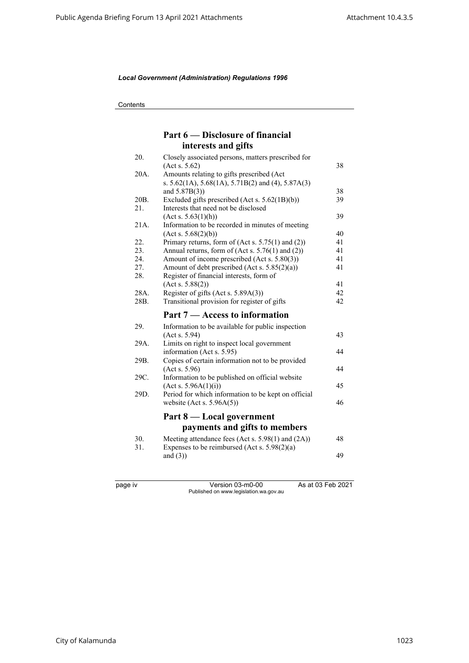**Contents** 

# **Part 6 — Disclosure of financial interests and gifts**

| 20.  | Closely associated persons, matters prescribed for          |    |
|------|-------------------------------------------------------------|----|
|      | (Acts. 5.62)                                                | 38 |
| 20A. | Amounts relating to gifts prescribed (Act                   |    |
|      | s. $5.62(1A)$ , $5.68(1A)$ , $5.71B(2)$ and (4), $5.87A(3)$ |    |
|      | and $5.87B(3)$ )                                            | 38 |
| 20B. | Excluded gifts prescribed (Act s. 5.62(1B)(b))              | 39 |
| 21.  | Interests that need not be disclosed                        |    |
|      | (Acts. 5.63(1)(h))                                          | 39 |
| 21A. | Information to be recorded in minutes of meeting            |    |
|      | (Act s. 5.68(2)(b))                                         | 40 |
| 22.  | Primary returns, form of $(Act s. 5.75(1)$ and $(2))$       | 41 |
| 23.  | Annual returns, form of (Act s. 5.76(1) and (2))            | 41 |
| 24.  | Amount of income prescribed (Act s. 5.80(3))                | 41 |
| 27.  | Amount of debt prescribed (Act s. 5.85(2)(a))               | 41 |
| 28.  | Register of financial interests, form of                    |    |
|      | (Act s. 5.88(2))                                            | 41 |
| 28A. | Register of gifts (Act s. 5.89A(3))                         | 42 |
| 28B. | Transitional provision for register of gifts                | 42 |
|      | Part 7 – Access to information                              |    |
| 29.  | Information to be available for public inspection           |    |
|      | (Acts. 5.94)                                                | 43 |
| 29A. | Limits on right to inspect local government                 |    |
|      | information (Act s. 5.95)                                   | 44 |
| 29B. | Copies of certain information not to be provided            |    |
|      | (Acts. 5.96)                                                | 44 |
| 29C. | Information to be published on official website             |    |
|      | (Act s. 5.96A(1)(i))                                        | 45 |
| 29D. | Period for which information to be kept on official         |    |
|      | website (Act s. $5.96A(5)$ )                                | 46 |
|      |                                                             |    |
|      | Part 8 — Local government                                   |    |
|      | payments and gifts to members                               |    |
| 30.  | Meeting attendance fees (Act s. 5.98(1) and (2A))           | 48 |
| 31.  | Expenses to be reimbursed (Act s. $5.98(2)(a)$ )            |    |
|      | and $(3)$ )                                                 | 49 |
|      |                                                             |    |
|      |                                                             |    |
|      |                                                             |    |

page iv Version 03-m0-00 As at 03 Feb 2021 Published on www.legislation.wa.gov.au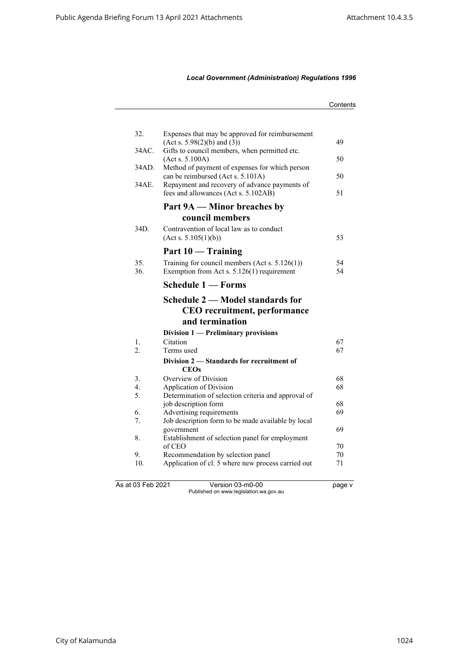|                   |                                                                                                   | Contents |
|-------------------|---------------------------------------------------------------------------------------------------|----------|
|                   |                                                                                                   |          |
| 32.               | Expenses that may be approved for reimbursement<br>(Act s. 5.98(2)(b) and (3))                    | 49       |
| 34AC.             | Gifts to council members, when permitted etc.<br>(Act s. 5.100A)                                  | 50       |
| 34AD.             | Method of payment of expenses for which person<br>can be reimbursed (Act s. 5.101A)               | 50       |
| 34AE.             | Repayment and recovery of advance payments of<br>fees and allowances (Act s. 5.102AB)             | 51       |
|                   | Part 9A — Minor breaches by                                                                       |          |
|                   | council members                                                                                   |          |
| 34D.              | Contravention of local law as to conduct<br>(Act s. 5.105(1)(b))                                  | 53       |
|                   | Part 10 — Training                                                                                |          |
| 35.<br>36.        | Training for council members (Act s. $5.126(1)$ )<br>Exemption from Act s. $5.126(1)$ requirement | 54<br>54 |
|                   | <b>Schedule 1 — Forms</b>                                                                         |          |
|                   | Schedule 2 – Model standards for                                                                  |          |
|                   | <b>CEO</b> recruitment, performance                                                               |          |
|                   | and termination                                                                                   |          |
|                   | Division 1 — Preliminary provisions                                                               |          |
| 1.                | Citation                                                                                          | 67       |
| 2.                | Terms used                                                                                        | 67       |
|                   | Division 2 – Standards for recruitment of<br><b>CEOs</b>                                          |          |
| 3.                | Overview of Division                                                                              | 68       |
| 4.                | Application of Division                                                                           | 68       |
| 5.                | Determination of selection criteria and approval of                                               |          |
|                   | job description form                                                                              | 68       |
| 6.                | Advertising requirements                                                                          | 69       |
| 7.                | Job description form to be made available by local                                                |          |
|                   | government                                                                                        | 69       |
| 8.                | Establishment of selection panel for employment                                                   |          |
|                   | of CEO                                                                                            | 70       |
| 9.                | Recommendation by selection panel                                                                 | 70       |
| 10.               | Application of cl. 5 where new process carried out                                                | 71       |
| As at 03 Feb 2021 | Version 03-m0-00                                                                                  | page v   |
|                   | Published on www.legislation.wa.gov.au                                                            |          |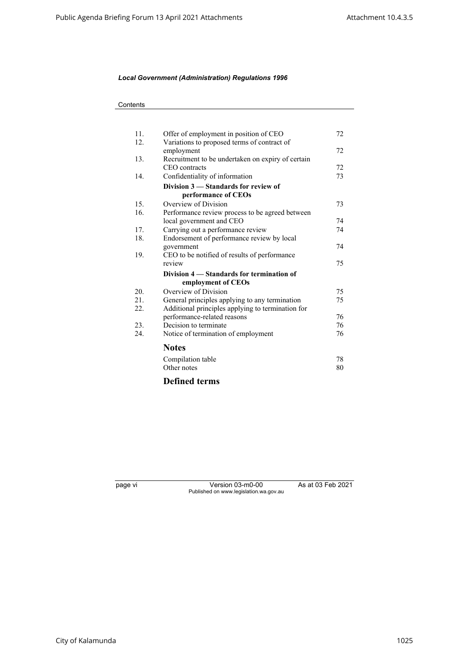| 11. | Offer of employment in position of CEO            | 72 |
|-----|---------------------------------------------------|----|
| 12. | Variations to proposed terms of contract of       |    |
|     | employment                                        | 72 |
| 13. | Recruitment to be undertaken on expiry of certain |    |
|     | CEO contracts                                     | 72 |
| 14. | Confidentiality of information                    | 73 |
|     | Division 3 – Standards for review of              |    |
|     | performance of CEOs                               |    |
| 15. | Overview of Division                              | 73 |
| 16. | Performance review process to be agreed between   |    |
|     | local government and CEO                          | 74 |
| 17. | Carrying out a performance review                 | 74 |
| 18. | Endorsement of performance review by local        |    |
|     | government                                        | 74 |
| 19. | CEO to be notified of results of performance      |    |
|     | review                                            | 75 |
|     | Division 4 – Standards for termination of         |    |
|     | employment of CEOs                                |    |
| 20. | Overview of Division                              | 75 |
| 21. | General principles applying to any termination    | 75 |
| 22. | Additional principles applying to termination for |    |
|     | performance-related reasons                       | 76 |
| 23. | Decision to terminate                             | 76 |
| 24. | Notice of termination of employment               | 76 |
|     |                                                   |    |
|     | <b>Notes</b>                                      |    |
|     | Compilation table                                 | 78 |
|     | Other notes                                       | 80 |
|     |                                                   |    |
|     | <b>Defined terms</b>                              |    |

page vi Version 03-m0-00 As at 03 Feb 2021 Published on www.legislation.wa.gov.au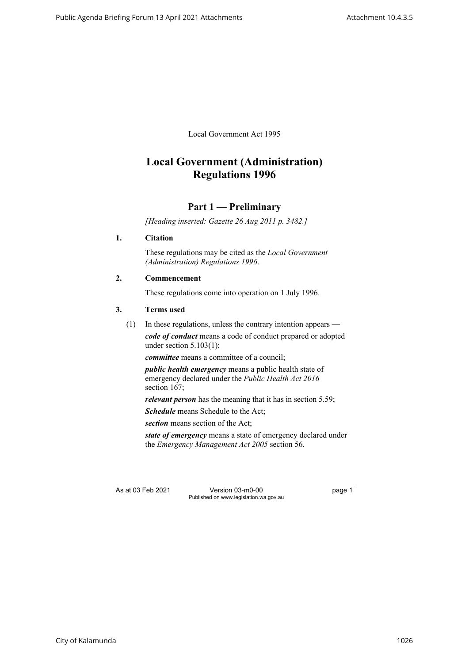Local Government Act 1995

# **Local Government (Administration) Regulations 1996**

# **Part 1 — Preliminary**

*[Heading inserted: Gazette 26 Aug 2011 p. 3482.]*

### <span id="page-8-0"></span>**1. Citation**

These regulations may be cited as the *Local Government (Administration) Regulations 1996*.

### <span id="page-8-1"></span>**2. Commencement**

These regulations come into operation on 1 July 1996.

### <span id="page-8-2"></span>**3. Terms used**

(1) In these regulations, unless the contrary intention appears *code of conduct* means a code of conduct prepared or adopted under section  $5.103(1)$ ;

*committee* means a committee of a council;

*public health emergency* means a public health state of emergency declared under the *Public Health Act 2016* section 167;

*relevant person* has the meaning that it has in section 5.59;

*Schedule* means Schedule to the Act:

*section* means section of the Act;

*state of emergency* means a state of emergency declared under the *Emergency Management Act 2005* section 56.

As at 03 Feb 2021 Version 03-m0-00 page 1 Published on www.legislation.wa.gov.au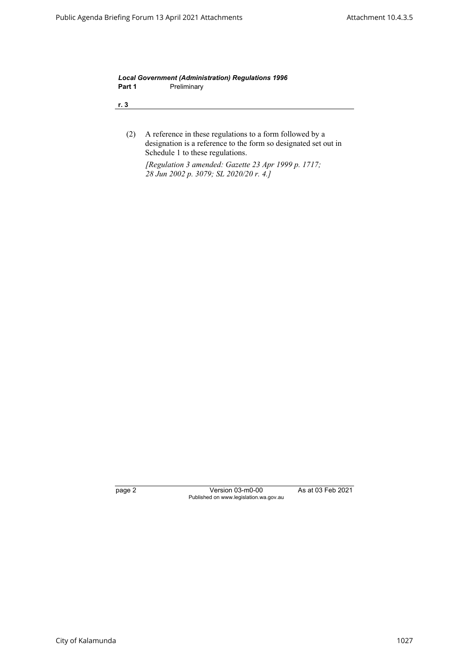*Local Government (Administration) Regulations 1996* Part 1 **Preliminary** 

**r. 3**

(2) A reference in these regulations to a form followed by a designation is a reference to the form so designated set out in Schedule 1 to these regulations.

*[Regulation 3 amended: Gazette 23 Apr 1999 p. 1717; 28 Jun 2002 p. 3079; SL 2020/20 r. 4.]*

page 2 Version 03-m0-00 As at 03 Feb 2021 Published on www.legislation.wa.gov.au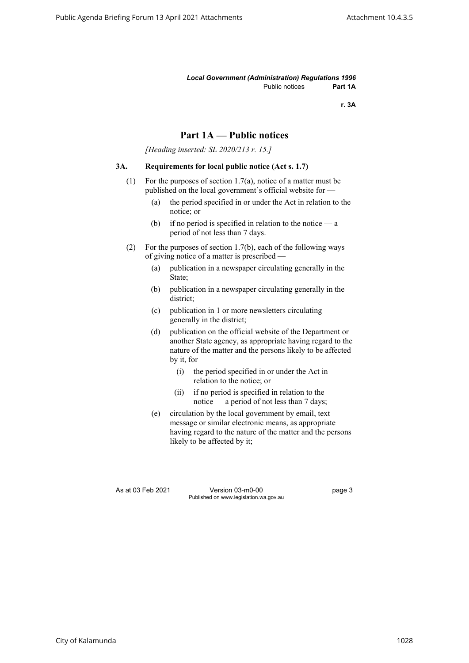*Local Government (Administration) Regulations 1996* Public notices **Part 1A**

**r. 3A**

# **Part 1A — Public notices**

*[Heading inserted: SL 2020/213 r. 15.]*

### <span id="page-10-0"></span>**3A. Requirements for local public notice (Act s. 1.7)**

- (1) For the purposes of section 1.7(a), notice of a matter must be published on the local government's official website for —
	- (a) the period specified in or under the Act in relation to the notice; or
	- (b) if no period is specified in relation to the notice  $-\alpha$ period of not less than 7 days.
- (2) For the purposes of section 1.7(b), each of the following ways of giving notice of a matter is prescribed —
	- (a) publication in a newspaper circulating generally in the State;
	- (b) publication in a newspaper circulating generally in the district;
	- (c) publication in 1 or more newsletters circulating generally in the district;
	- (d) publication on the official website of the Department or another State agency, as appropriate having regard to the nature of the matter and the persons likely to be affected by it, for  $-$ 
		- (i) the period specified in or under the Act in relation to the notice; or
		- (ii) if no period is specified in relation to the notice — a period of not less than 7 days;
	- (e) circulation by the local government by email, text message or similar electronic means, as appropriate having regard to the nature of the matter and the persons likely to be affected by it;

As at 03 Feb 2021 Version 03-m0-00 page 3 Published on www.legislation.wa.gov.au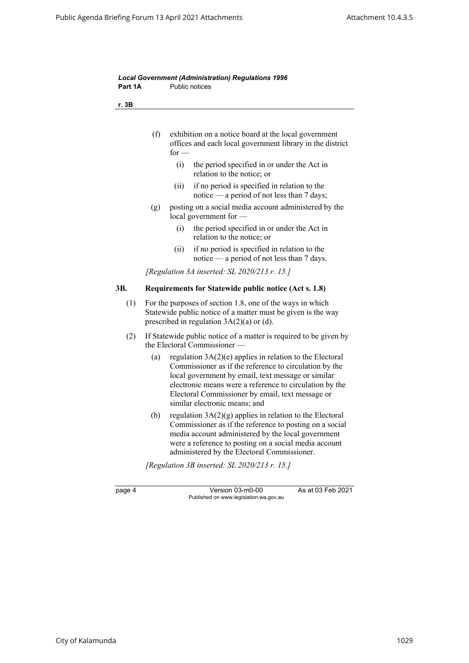<span id="page-11-0"></span>

| Part 1A | Public notices                                                                                                                                                                                                                                                                                                                    |
|---------|-----------------------------------------------------------------------------------------------------------------------------------------------------------------------------------------------------------------------------------------------------------------------------------------------------------------------------------|
| r. 3B   |                                                                                                                                                                                                                                                                                                                                   |
|         | (f)<br>exhibition on a notice board at the local government<br>offices and each local government library in the district<br>for $-$                                                                                                                                                                                               |
|         | (i)<br>the period specified in or under the Act in<br>relation to the notice; or                                                                                                                                                                                                                                                  |
|         | if no period is specified in relation to the<br>(ii)<br>notice — a period of not less than 7 days;                                                                                                                                                                                                                                |
|         | posting on a social media account administered by the<br>(g)<br>local government for $-$                                                                                                                                                                                                                                          |
|         | the period specified in or under the Act in<br>(i)<br>relation to the notice; or                                                                                                                                                                                                                                                  |
|         | if no period is specified in relation to the<br>(ii)<br>notice — a period of not less than $7$ days.                                                                                                                                                                                                                              |
|         | [Regulation 3A inserted: SL 2020/213 r. 15.]                                                                                                                                                                                                                                                                                      |
| 3B.     | Requirements for Statewide public notice (Act s. 1.8)                                                                                                                                                                                                                                                                             |
| (1)     | For the purposes of section 1.8, one of the ways in which<br>Statewide public notice of a matter must be given is the way<br>prescribed in regulation $3A(2)(a)$ or (d).                                                                                                                                                          |
| (2)     | If Statewide public notice of a matter is required to be given by<br>the Electoral Commissioner                                                                                                                                                                                                                                   |
|         | regulation $3A(2)(e)$ applies in relation to the Electoral<br>(a)<br>Commissioner as if the reference to circulation by the<br>local government by email, text message or similar<br>electronic means were a reference to circulation by the<br>Electoral Commissioner by email, text message or<br>similar electronic means; and |
|         | regulation $3A(2)(g)$ applies in relation to the Electoral<br>(b)<br>Commissioner as if the reference to posting on a social<br>media account administered by the local government<br>were a reference to posting on a social media account<br>administered by the Electoral Commissioner.                                        |
|         | [Regulation 3B inserted: SL 2020/213 $r$ . 15.]                                                                                                                                                                                                                                                                                   |
|         |                                                                                                                                                                                                                                                                                                                                   |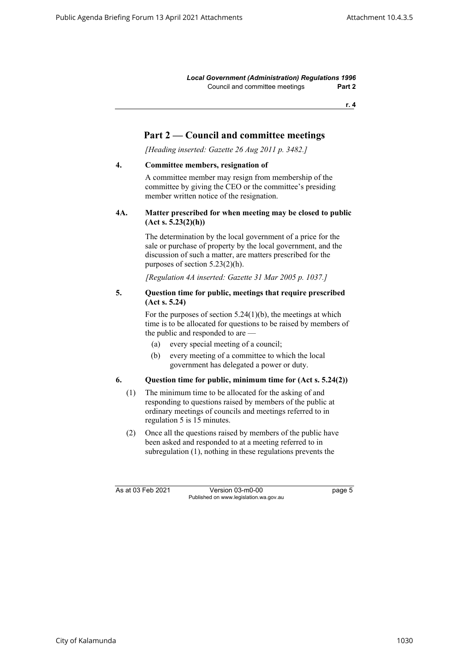**r. 4**

# **Part 2 — Council and committee meetings**

*[Heading inserted: Gazette 26 Aug 2011 p. 3482.]*

### <span id="page-12-1"></span><span id="page-12-0"></span>**4. Committee members, resignation of**

A committee member may resign from membership of the committee by giving the CEO or the committee's presiding member written notice of the resignation.

### **4A. Matter prescribed for when meeting may be closed to public (Act s. 5.23(2)(h))**

The determination by the local government of a price for the sale or purchase of property by the local government, and the discussion of such a matter, are matters prescribed for the purposes of section 5.23(2)(h).

*[Regulation 4A inserted: Gazette 31 Mar 2005 p. 1037.]*

### <span id="page-12-2"></span>**5. Question time for public, meetings that require prescribed (Act s. 5.24)**

For the purposes of section  $5.24(1)(b)$ , the meetings at which time is to be allocated for questions to be raised by members of the public and responded to are —

- (a) every special meeting of a council;
- (b) every meeting of a committee to which the local government has delegated a power or duty.

### <span id="page-12-3"></span>**6. Question time for public, minimum time for (Act s. 5.24(2))**

- (1) The minimum time to be allocated for the asking of and responding to questions raised by members of the public at ordinary meetings of councils and meetings referred to in regulation 5 is 15 minutes.
- (2) Once all the questions raised by members of the public have been asked and responded to at a meeting referred to in subregulation (1), nothing in these regulations prevents the

As at 03 Feb 2021 Version 03-m0-00 page 5 Published on www.legislation.wa.gov.au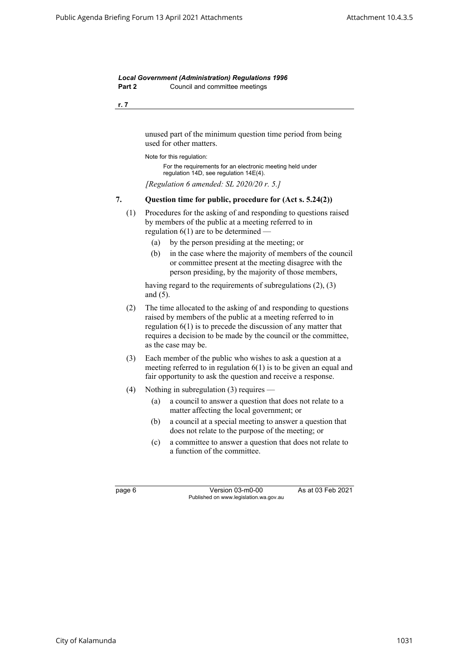**r. 7**

unused part of the minimum question time period from being used for other matters.

Note for this regulation:

For the requirements for an electronic meeting held under regulation 14D, see regulation 14E(4).

*[Regulation 6 amended: SL 2020/20 r. 5.]*

### <span id="page-13-0"></span>**7. Question time for public, procedure for (Act s. 5.24(2))**

- (1) Procedures for the asking of and responding to questions raised by members of the public at a meeting referred to in regulation  $6(1)$  are to be determined  $-$ 
	- (a) by the person presiding at the meeting; or
	- (b) in the case where the majority of members of the council or committee present at the meeting disagree with the person presiding, by the majority of those members,

having regard to the requirements of subregulations (2), (3) and (5).

- (2) The time allocated to the asking of and responding to questions raised by members of the public at a meeting referred to in regulation 6(1) is to precede the discussion of any matter that requires a decision to be made by the council or the committee, as the case may be.
- (3) Each member of the public who wishes to ask a question at a meeting referred to in regulation 6(1) is to be given an equal and fair opportunity to ask the question and receive a response.
- (4) Nothing in subregulation (3) requires
	- (a) a council to answer a question that does not relate to a matter affecting the local government; or
	- (b) a council at a special meeting to answer a question that does not relate to the purpose of the meeting; or
	- (c) a committee to answer a question that does not relate to a function of the committee.

page 6 Version 03-m0-00 As at 03 Feb 2021 Published on www.legislation.wa.gov.au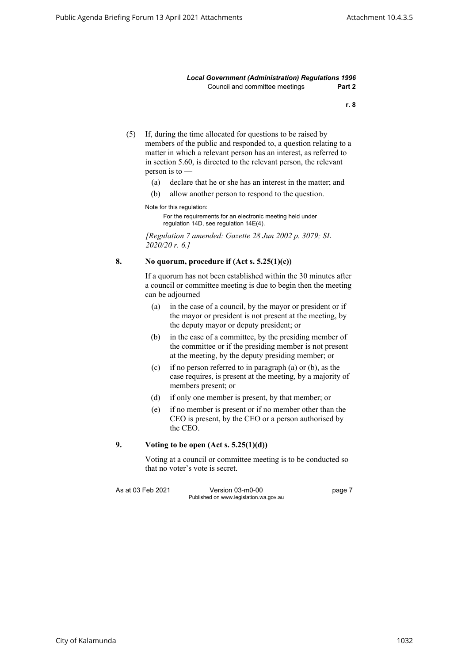**r. 8**

- (5) If, during the time allocated for questions to be raised by members of the public and responded to, a question relating to a matter in which a relevant person has an interest, as referred to in section 5.60, is directed to the relevant person, the relevant person is to —
	- (a) declare that he or she has an interest in the matter; and
	- (b) allow another person to respond to the question.

Note for this regulation:

For the requirements for an electronic meeting held under regulation 14D, see regulation 14E(4).

*[Regulation 7 amended: Gazette 28 Jun 2002 p. 3079; SL 2020/20 r. 6.]*

### <span id="page-14-0"></span>**8. No quorum, procedure if (Act s. 5.25(1)(c))**

If a quorum has not been established within the 30 minutes after a council or committee meeting is due to begin then the meeting can be adjourned —

- (a) in the case of a council, by the mayor or president or if the mayor or president is not present at the meeting, by the deputy mayor or deputy president; or
- (b) in the case of a committee, by the presiding member of the committee or if the presiding member is not present at the meeting, by the deputy presiding member; or
- (c) if no person referred to in paragraph (a) or (b), as the case requires, is present at the meeting, by a majority of members present; or
- (d) if only one member is present, by that member; or
- (e) if no member is present or if no member other than the CEO is present, by the CEO or a person authorised by the CEO.

### <span id="page-14-1"></span>**9. Voting to be open (Act s. 5.25(1)(d))**

Voting at a council or committee meeting is to be conducted so that no voter's vote is secret.

As at 03 Feb 2021 Version 03-m0-00 page 7 Published on www.legislation.wa.gov.au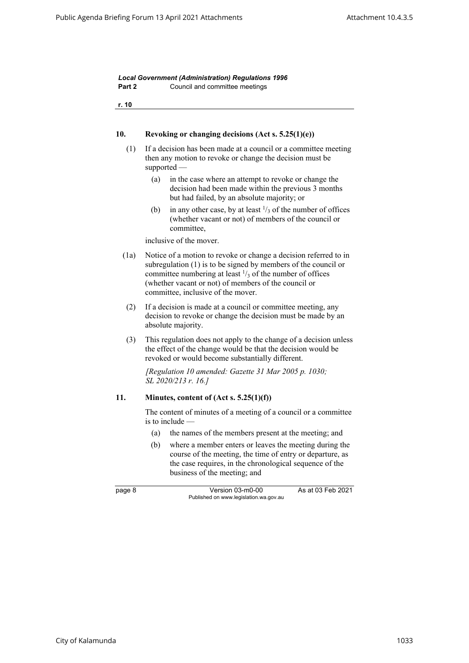<span id="page-15-1"></span><span id="page-15-0"></span>

| r. 10 |                                                                                                                                                                                                                                                                                                         |
|-------|---------------------------------------------------------------------------------------------------------------------------------------------------------------------------------------------------------------------------------------------------------------------------------------------------------|
| 10.   | Revoking or changing decisions (Act s. $5.25(1)(e)$ )                                                                                                                                                                                                                                                   |
| (1)   | If a decision has been made at a council or a committee meeting<br>then any motion to revoke or change the decision must be<br>$supported$ —                                                                                                                                                            |
|       | (a)<br>in the case where an attempt to revoke or change the<br>decision had been made within the previous 3 months<br>but had failed, by an absolute majority; or                                                                                                                                       |
|       | in any other case, by at least $\frac{1}{3}$ of the number of offices<br>(b)<br>(whether vacant or not) of members of the council or<br>committee,                                                                                                                                                      |
|       | inclusive of the mover.                                                                                                                                                                                                                                                                                 |
| (1a)  | Notice of a motion to revoke or change a decision referred to in<br>subregulation (1) is to be signed by members of the council or<br>committee numbering at least $\frac{1}{3}$ of the number of offices<br>(whether vacant or not) of members of the council or<br>committee, inclusive of the mover. |
| (2)   | If a decision is made at a council or committee meeting, any<br>decision to revoke or change the decision must be made by an<br>absolute majority.                                                                                                                                                      |
| (3)   | This regulation does not apply to the change of a decision unless<br>the effect of the change would be that the decision would be<br>revoked or would become substantially different.                                                                                                                   |
|       | [Regulation 10 amended: Gazette 31 Mar 2005 p. 1030;<br>SL 2020/213 r. 16.]                                                                                                                                                                                                                             |
| 11.   | Minutes, content of $(Act s. 5.25(1)(f))$                                                                                                                                                                                                                                                               |
|       | The content of minutes of a meeting of a council or a committee<br>is to include $-$                                                                                                                                                                                                                    |
|       | the names of the members present at the meeting; and<br>(a)                                                                                                                                                                                                                                             |
|       | (b)<br>where a member enters or leaves the meeting during the<br>course of the meeting, the time of entry or departure, as<br>the case requires, in the chronological sequence of the<br>business of the meeting; and                                                                                   |
|       | As at 03 Feb 2021<br>Version 03-m0-00                                                                                                                                                                                                                                                                   |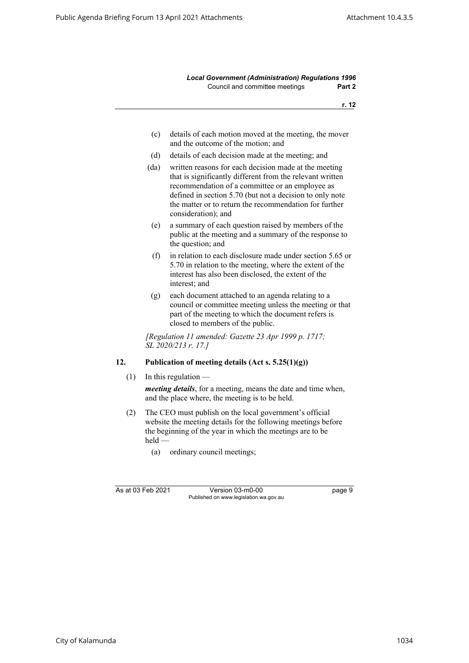**r. 12**

- (c) details of each motion moved at the meeting, the mover and the outcome of the motion; and
- (d) details of each decision made at the meeting; and
- (da) written reasons for each decision made at the meeting that is significantly different from the relevant written recommendation of a committee or an employee as defined in section 5.70 (but not a decision to only note the matter or to return the recommendation for further consideration); and
- (e) a summary of each question raised by members of the public at the meeting and a summary of the response to the question; and
- (f) in relation to each disclosure made under section 5.65 or 5.70 in relation to the meeting, where the extent of the interest has also been disclosed, the extent of the interest; and
- (g) each document attached to an agenda relating to a council or committee meeting unless the meeting or that part of the meeting to which the document refers is closed to members of the public.

*[Regulation 11 amended: Gazette 23 Apr 1999 p. 1717; SL 2020/213 r. 17.]*

# <span id="page-16-0"></span>**12. Publication of meeting details (Act s. 5.25(1)(g))**

(1) In this regulation —

*meeting details*, for a meeting, means the date and time when, and the place where, the meeting is to be held.

- (2) The CEO must publish on the local government's official website the meeting details for the following meetings before the beginning of the year in which the meetings are to be held —
	- (a) ordinary council meetings;

As at 03 Feb 2021 Version 03-m0-00 page 9 Published on www.legislation.wa.gov.au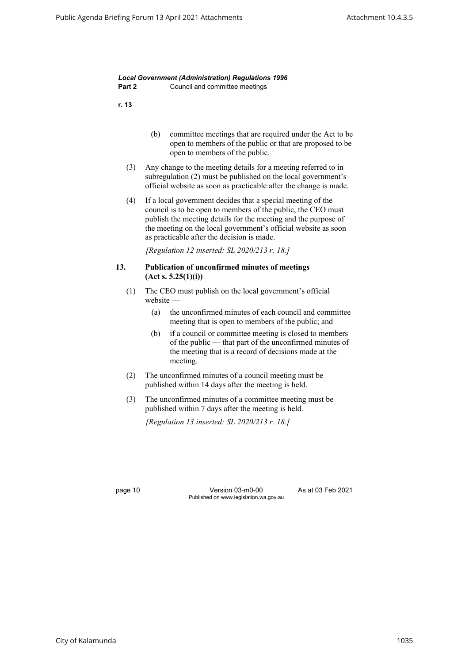<span id="page-17-0"></span>

| Part 2  |               | Council and committee meetings                                                                                                                                                                                                                                                                                |
|---------|---------------|---------------------------------------------------------------------------------------------------------------------------------------------------------------------------------------------------------------------------------------------------------------------------------------------------------------|
| r. 13   |               |                                                                                                                                                                                                                                                                                                               |
|         | (b)           | committee meetings that are required under the Act to be<br>open to members of the public or that are proposed to be<br>open to members of the public.                                                                                                                                                        |
| (3)     |               | Any change to the meeting details for a meeting referred to in<br>subregulation (2) must be published on the local government's<br>official website as soon as practicable after the change is made.                                                                                                          |
| (4)     |               | If a local government decides that a special meeting of the<br>council is to be open to members of the public, the CEO must<br>publish the meeting details for the meeting and the purpose of<br>the meeting on the local government's official website as soon<br>as practicable after the decision is made. |
|         |               | [Regulation 12 inserted: SL 2020/213 r. 18.]                                                                                                                                                                                                                                                                  |
| 13.     |               | Publication of unconfirmed minutes of meetings<br>(Act s. 5.25(1)(i))                                                                                                                                                                                                                                         |
| (1)     | $we b site -$ | The CEO must publish on the local government's official                                                                                                                                                                                                                                                       |
|         | (a)           | the unconfirmed minutes of each council and committee<br>meeting that is open to members of the public; and                                                                                                                                                                                                   |
|         | (b)           | if a council or committee meeting is closed to members<br>of the public — that part of the unconfirmed minutes of<br>the meeting that is a record of decisions made at the<br>meeting.                                                                                                                        |
| (2)     |               | The unconfirmed minutes of a council meeting must be<br>published within 14 days after the meeting is held.                                                                                                                                                                                                   |
| (3)     |               | The unconfirmed minutes of a committee meeting must be<br>published within 7 days after the meeting is held.                                                                                                                                                                                                  |
|         |               | [Regulation 13 inserted: SL 2020/213 r. 18.]                                                                                                                                                                                                                                                                  |
|         |               |                                                                                                                                                                                                                                                                                                               |
|         |               |                                                                                                                                                                                                                                                                                                               |
| page 10 |               | Version 03-m0-00<br>As at 03 Feb 2021<br>Published on www.legislation.wa.gov.au                                                                                                                                                                                                                               |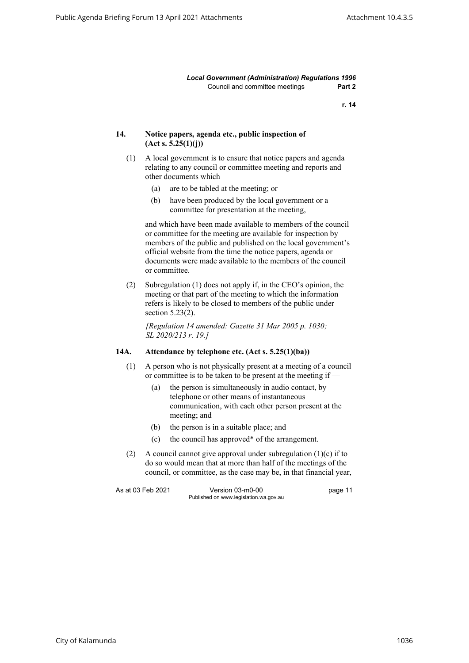**r. 14**

### <span id="page-18-0"></span>**14. Notice papers, agenda etc., public inspection of (Act s. 5.25(1)(j))**

- (1) A local government is to ensure that notice papers and agenda relating to any council or committee meeting and reports and other documents which —
	- (a) are to be tabled at the meeting; or
	- (b) have been produced by the local government or a committee for presentation at the meeting,

and which have been made available to members of the council or committee for the meeting are available for inspection by members of the public and published on the local government's official website from the time the notice papers, agenda or documents were made available to the members of the council or committee.

(2) Subregulation (1) does not apply if, in the CEO's opinion, the meeting or that part of the meeting to which the information refers is likely to be closed to members of the public under section 5.23(2).

*[Regulation 14 amended: Gazette 31 Mar 2005 p. 1030; SL 2020/213 r. 19.]*

### <span id="page-18-1"></span>**14A. Attendance by telephone etc. (Act s. 5.25(1)(ba))**

- (1) A person who is not physically present at a meeting of a council or committee is to be taken to be present at the meeting if —
	- (a) the person is simultaneously in audio contact, by telephone or other means of instantaneous communication, with each other person present at the meeting; and
	- (b) the person is in a suitable place; and
	- (c) the council has approved\* of the arrangement.
- (2) A council cannot give approval under subregulation (1)(c) if to do so would mean that at more than half of the meetings of the council, or committee, as the case may be, in that financial year,

As at 03 Feb 2021 Version 03-m0-00 bage 11 Published on www.legislation.wa.gov.au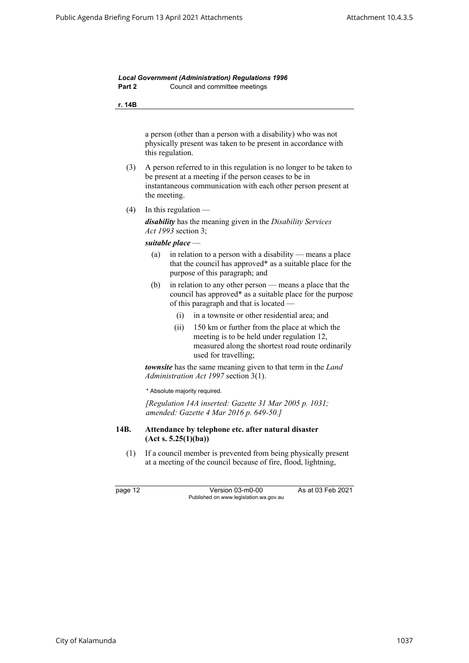**r. 14B**

a person (other than a person with a disability) who was not physically present was taken to be present in accordance with this regulation.

- (3) A person referred to in this regulation is no longer to be taken to be present at a meeting if the person ceases to be in instantaneous communication with each other person present at the meeting.
- $(4)$  In this regulation —

*disability* has the meaning given in the *Disability Services Act 1993* section 3;

*suitable place* —

- (a) in relation to a person with a disability means a place that the council has approved\* as a suitable place for the purpose of this paragraph; and
- (b) in relation to any other person means a place that the council has approved\* as a suitable place for the purpose of this paragraph and that is located —
	- (i) in a townsite or other residential area; and
	- (ii) 150 km or further from the place at which the meeting is to be held under regulation 12, measured along the shortest road route ordinarily used for travelling;

*townsite* has the same meaning given to that term in the *Land Administration Act 1997* section 3(1).

\* Absolute majority required.

*[Regulation 14A inserted: Gazette 31 Mar 2005 p. 1031; amended: Gazette 4 Mar 2016 p. 649-50.]*

### <span id="page-19-0"></span>**14B. Attendance by telephone etc. after natural disaster (Act s. 5.25(1)(ba))**

(1) If a council member is prevented from being physically present at a meeting of the council because of fire, flood, lightning,

page 12 Version 03-m0-00 As at 03 Feb 2021 Published on www.legislation.wa.gov.au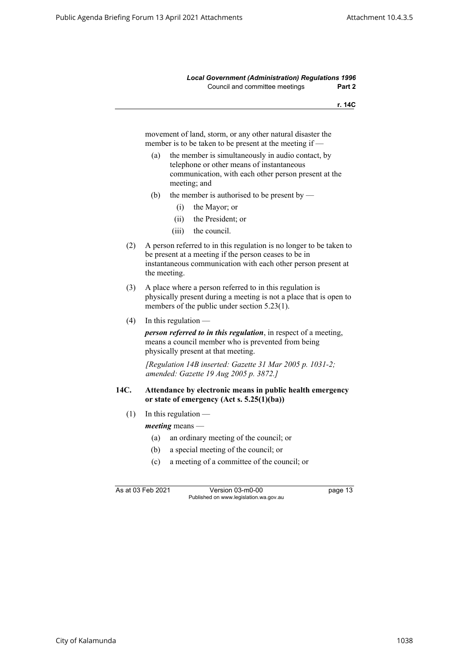**r. 14C**

movement of land, storm, or any other natural disaster the member is to be taken to be present at the meeting if —

- (a) the member is simultaneously in audio contact, by telephone or other means of instantaneous communication, with each other person present at the meeting; and
- (b) the member is authorised to be present by
	- (i) the Mayor; or
	- (ii) the President; or
	- (iii) the council.
- (2) A person referred to in this regulation is no longer to be taken to be present at a meeting if the person ceases to be in instantaneous communication with each other person present at the meeting.
- (3) A place where a person referred to in this regulation is physically present during a meeting is not a place that is open to members of the public under section 5.23(1).
- $(4)$  In this regulation —

*person referred to in this regulation*, in respect of a meeting, means a council member who is prevented from being physically present at that meeting.

*[Regulation 14B inserted: Gazette 31 Mar 2005 p. 1031-2; amended: Gazette 19 Aug 2005 p. 3872.]*

### <span id="page-20-0"></span>**14C. Attendance by electronic means in public health emergency or state of emergency (Act s. 5.25(1)(ba))**

- $(1)$  In this regulation
	- *meeting* means
		- (a) an ordinary meeting of the council; or
		- (b) a special meeting of the council; or
		- (c) a meeting of a committee of the council; or

As at 03 Feb 2021 Version 03-m0-00 page 13 Published on www.legislation.wa.gov.au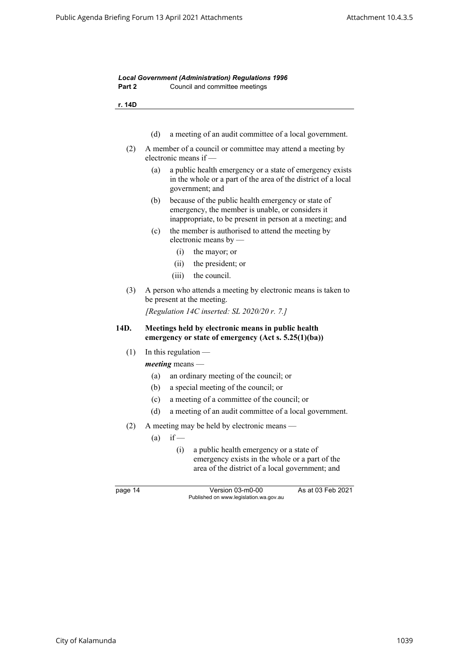<span id="page-21-0"></span>

| r. 14D  |                                                                                                                                                                           |  |
|---------|---------------------------------------------------------------------------------------------------------------------------------------------------------------------------|--|
|         | (d)<br>a meeting of an audit committee of a local government.                                                                                                             |  |
| (2)     | A member of a council or committee may attend a meeting by<br>electronic means if -                                                                                       |  |
|         | a public health emergency or a state of emergency exists<br>(a)<br>in the whole or a part of the area of the district of a local<br>government; and                       |  |
|         | because of the public health emergency or state of<br>(b)<br>emergency, the member is unable, or considers it<br>inappropriate, to be present in person at a meeting; and |  |
|         | the member is authorised to attend the meeting by<br>(c)<br>electronic means by $-$                                                                                       |  |
|         | (i)<br>the mayor; or                                                                                                                                                      |  |
|         | (ii)<br>the president; or                                                                                                                                                 |  |
|         | the council.<br>(iii)                                                                                                                                                     |  |
| (3)     | A person who attends a meeting by electronic means is taken to<br>be present at the meeting.<br>[Regulation 14C inserted: SL 2020/20 r. 7.]                               |  |
|         |                                                                                                                                                                           |  |
| 14D.    | Meetings held by electronic means in public health<br>emergency or state of emergency $(Act s. 5.25(1)(ba))$                                                              |  |
| (1)     | In this regulation $-$                                                                                                                                                    |  |
|         | $meeting$ means —                                                                                                                                                         |  |
|         | an ordinary meeting of the council; or<br>(a)                                                                                                                             |  |
|         | a special meeting of the council; or<br>(b)                                                                                                                               |  |
|         | a meeting of a committee of the council; or<br>(c)                                                                                                                        |  |
|         | (d)<br>a meeting of an audit committee of a local government.                                                                                                             |  |
|         |                                                                                                                                                                           |  |
|         | (2) A meeting may be held by electronic means<br>$if -$<br>(a)                                                                                                            |  |
|         | (i)<br>a public health emergency or a state of<br>emergency exists in the whole or a part of the<br>area of the district of a local government; and                       |  |
| page 14 | As at 03 Feb 2021<br>Version 03-m0-00<br>Published on www.legislation.wa.gov.au                                                                                           |  |
|         |                                                                                                                                                                           |  |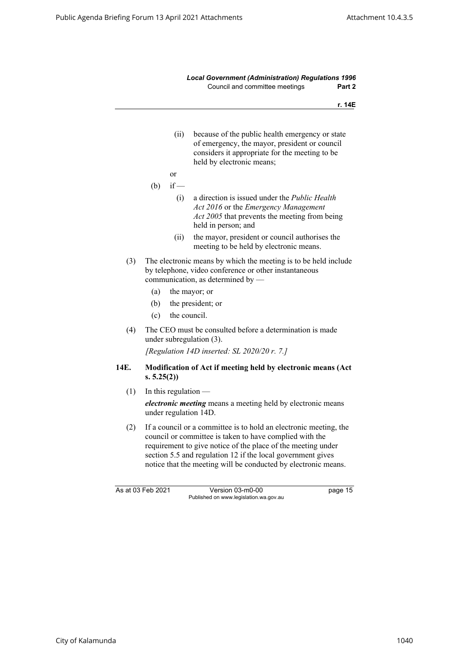<span id="page-22-0"></span>

|                   |                                                                                                                                                                                                                                                                                                                               |                        | <b>Local Government (Administration) Regulations 1996</b><br>Council and committee meetings                                                                                     | Part 2  |
|-------------------|-------------------------------------------------------------------------------------------------------------------------------------------------------------------------------------------------------------------------------------------------------------------------------------------------------------------------------|------------------------|---------------------------------------------------------------------------------------------------------------------------------------------------------------------------------|---------|
|                   |                                                                                                                                                                                                                                                                                                                               |                        |                                                                                                                                                                                 | r. 14E  |
|                   |                                                                                                                                                                                                                                                                                                                               | (ii)                   | because of the public health emergency or state<br>of emergency, the mayor, president or council<br>considers it appropriate for the meeting to be<br>held by electronic means; |         |
|                   |                                                                                                                                                                                                                                                                                                                               | <b>or</b>              |                                                                                                                                                                                 |         |
|                   | (b)                                                                                                                                                                                                                                                                                                                           | $if -$                 |                                                                                                                                                                                 |         |
|                   |                                                                                                                                                                                                                                                                                                                               | (i)                    | a direction is issued under the <i>Public Health</i><br>Act 2016 or the Emergency Management<br>Act 2005 that prevents the meeting from being<br>held in person; and            |         |
|                   |                                                                                                                                                                                                                                                                                                                               | (ii)                   | the mayor, president or council authorises the<br>meeting to be held by electronic means.                                                                                       |         |
| (3)               |                                                                                                                                                                                                                                                                                                                               |                        | The electronic means by which the meeting is to be held include<br>by telephone, video conference or other instantaneous<br>communication, as determined by -                   |         |
|                   | (a)                                                                                                                                                                                                                                                                                                                           |                        | the mayor; or                                                                                                                                                                   |         |
|                   | (b)                                                                                                                                                                                                                                                                                                                           |                        | the president; or                                                                                                                                                               |         |
|                   | (c)                                                                                                                                                                                                                                                                                                                           | the council.           |                                                                                                                                                                                 |         |
| (4)               |                                                                                                                                                                                                                                                                                                                               |                        | The CEO must be consulted before a determination is made<br>under subregulation (3).                                                                                            |         |
|                   |                                                                                                                                                                                                                                                                                                                               |                        | [Regulation 14D inserted: SL $2020/20$ r. 7.]                                                                                                                                   |         |
| 14E.              | Modification of Act if meeting held by electronic means (Act<br>s. 5.25(2))                                                                                                                                                                                                                                                   |                        |                                                                                                                                                                                 |         |
| (1)               |                                                                                                                                                                                                                                                                                                                               | In this regulation $-$ |                                                                                                                                                                                 |         |
|                   |                                                                                                                                                                                                                                                                                                                               |                        | electronic meeting means a meeting held by electronic means<br>under regulation 14D.                                                                                            |         |
| (2)               | If a council or a committee is to hold an electronic meeting, the<br>council or committee is taken to have complied with the<br>requirement to give notice of the place of the meeting under<br>section 5.5 and regulation 12 if the local government gives<br>notice that the meeting will be conducted by electronic means. |                        |                                                                                                                                                                                 |         |
| As at 03 Feb 2021 |                                                                                                                                                                                                                                                                                                                               |                        | Version 03-m0-00<br>Published on www.legislation.wa.gov.au                                                                                                                      | page 15 |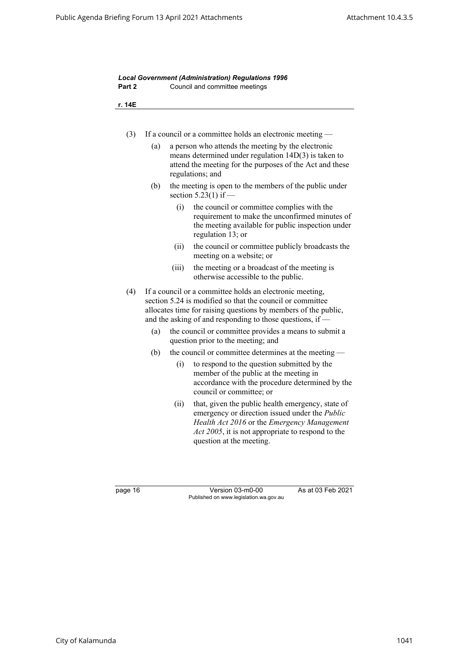| r. 14E |                                                             |       |                                                                                                                                                                                                                                                      |  |
|--------|-------------------------------------------------------------|-------|------------------------------------------------------------------------------------------------------------------------------------------------------------------------------------------------------------------------------------------------------|--|
| (3)    | If a council or a committee holds an electronic meeting -   |       |                                                                                                                                                                                                                                                      |  |
|        | (a)                                                         |       | a person who attends the meeting by the electronic<br>means determined under regulation $14D(3)$ is taken to<br>attend the meeting for the purposes of the Act and these<br>regulations; and                                                         |  |
|        | (b)                                                         |       | the meeting is open to the members of the public under<br>section $5.23(1)$ if —                                                                                                                                                                     |  |
|        |                                                             | (i)   | the council or committee complies with the<br>requirement to make the unconfirmed minutes of<br>the meeting available for public inspection under<br>regulation 13; or                                                                               |  |
|        |                                                             | (ii)  | the council or committee publicly broadcasts the<br>meeting on a website; or                                                                                                                                                                         |  |
|        |                                                             | (iii) | the meeting or a broadcast of the meeting is<br>otherwise accessible to the public.                                                                                                                                                                  |  |
| (4)    |                                                             |       | If a council or a committee holds an electronic meeting,<br>section 5.24 is modified so that the council or committee<br>allocates time for raising questions by members of the public,<br>and the asking of and responding to those questions, if - |  |
|        | (a)                                                         |       | the council or committee provides a means to submit a<br>question prior to the meeting; and                                                                                                                                                          |  |
|        | (b)<br>the council or committee determines at the meeting - |       |                                                                                                                                                                                                                                                      |  |
|        |                                                             | (i)   | to respond to the question submitted by the<br>member of the public at the meeting in<br>accordance with the procedure determined by the<br>council or committee; or                                                                                 |  |
|        |                                                             | (ii)  | that, given the public health emergency, state of<br>emergency or direction issued under the Public<br>Health Act 2016 or the Emergency Management<br>Act 2005, it is not appropriate to respond to the<br>question at the meeting.                  |  |

page 16 Version 03-m0-00 As at 03 Feb 2021 Published on www.legislation.wa.gov.au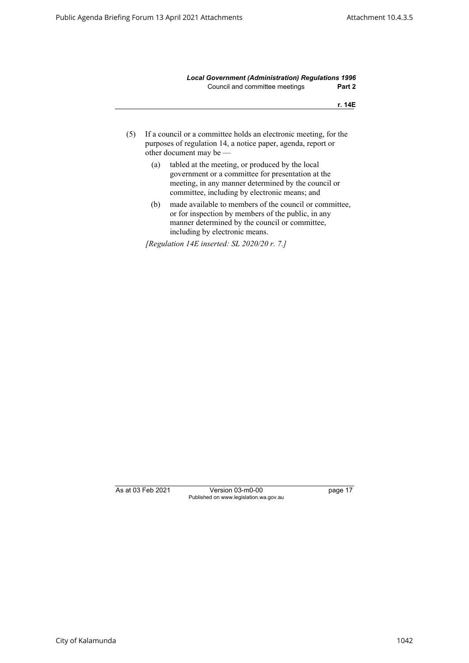**r. 14E**

- (5) If a council or a committee holds an electronic meeting, for the purposes of regulation 14, a notice paper, agenda, report or other document may be —
	- (a) tabled at the meeting, or produced by the local government or a committee for presentation at the meeting, in any manner determined by the council or committee, including by electronic means; and
	- (b) made available to members of the council or committee, or for inspection by members of the public, in any manner determined by the council or committee, including by electronic means.

*[Regulation 14E inserted: SL 2020/20 r. 7.]*

As at 03 Feb 2021 Version 03-m0-00 page 17 Published on www.legislation.wa.gov.au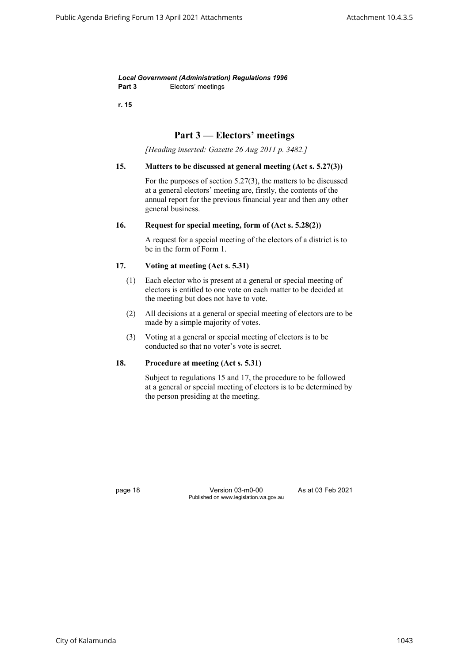*Local Government (Administration) Regulations 1996* Part 3 **Electors'** meetings

<span id="page-25-0"></span>**r. 15**

# **Part 3 — Electors' meetings**

*[Heading inserted: Gazette 26 Aug 2011 p. 3482.]*

### **15. Matters to be discussed at general meeting (Act s. 5.27(3))**

For the purposes of section 5.27(3), the matters to be discussed at a general electors' meeting are, firstly, the contents of the annual report for the previous financial year and then any other general business.

#### <span id="page-25-2"></span><span id="page-25-1"></span>**16. Request for special meeting, form of (Act s. 5.28(2))**

A request for a special meeting of the electors of a district is to be in the form of Form 1.

### **17. Voting at meeting (Act s. 5.31)**

- (1) Each elector who is present at a general or special meeting of electors is entitled to one vote on each matter to be decided at the meeting but does not have to vote.
- (2) All decisions at a general or special meeting of electors are to be made by a simple majority of votes.
- (3) Voting at a general or special meeting of electors is to be conducted so that no voter's vote is secret.

# <span id="page-25-3"></span>**18. Procedure at meeting (Act s. 5.31)**

Subject to regulations 15 and 17, the procedure to be followed at a general or special meeting of electors is to be determined by the person presiding at the meeting.

page 18 Version 03-m0-00 As at 03 Feb 2021 Published on www.legislation.wa.gov.au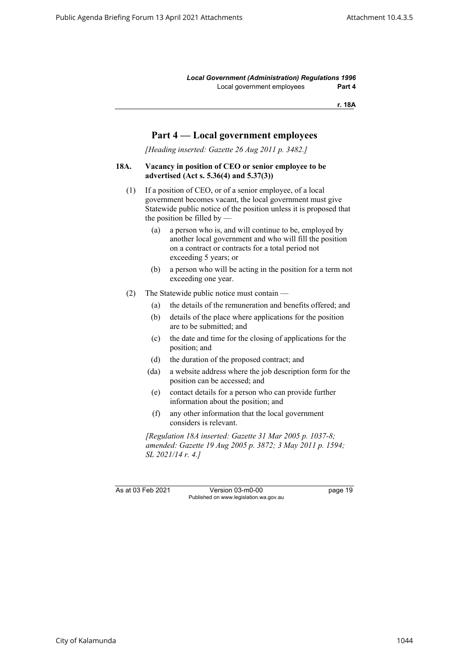*Local Government (Administration) Regulations 1996* Local government employees **Part 4**

**r. 18A**

# **Part 4 — Local government employees**

*[Heading inserted: Gazette 26 Aug 2011 p. 3482.]*

# <span id="page-26-0"></span>**18A. Vacancy in position of CEO or senior employee to be advertised (Act s. 5.36(4) and 5.37(3))**

- (1) If a position of CEO, or of a senior employee, of a local government becomes vacant, the local government must give Statewide public notice of the position unless it is proposed that the position be filled by  $-$ 
	- (a) a person who is, and will continue to be, employed by another local government and who will fill the position on a contract or contracts for a total period not exceeding 5 years; or
	- (b) a person who will be acting in the position for a term not exceeding one year.
- (2) The Statewide public notice must contain
	- (a) the details of the remuneration and benefits offered; and
	- (b) details of the place where applications for the position are to be submitted; and
	- (c) the date and time for the closing of applications for the position; and
	- (d) the duration of the proposed contract; and
	- (da) a website address where the job description form for the position can be accessed; and
	- (e) contact details for a person who can provide further information about the position; and
	- (f) any other information that the local government considers is relevant.

*[Regulation 18A inserted: Gazette 31 Mar 2005 p. 1037-8; amended: Gazette 19 Aug 2005 p. 3872; 3 May 2011 p. 1594; SL 2021/14 r. 4.]*

As at 03 Feb 2021 Version 03-m0-00 page 19 Published on www.legislation.wa.gov.au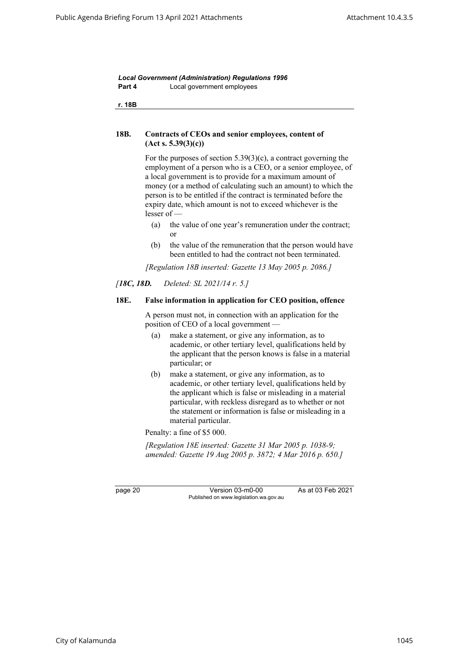*Local Government (Administration) Regulations 1996* **Part 4** Local government employees

<span id="page-27-0"></span>**r. 18B**

# **18B. Contracts of CEOs and senior employees, content of (Act s. 5.39(3)(c))**

For the purposes of section 5.39(3)(c), a contract governing the employment of a person who is a CEO, or a senior employee, of a local government is to provide for a maximum amount of money (or a method of calculating such an amount) to which the person is to be entitled if the contract is terminated before the expiry date, which amount is not to exceed whichever is the lesser of —

- (a) the value of one year's remuneration under the contract; or
- (b) the value of the remuneration that the person would have been entitled to had the contract not been terminated.

*[Regulation 18B inserted: Gazette 13 May 2005 p. 2086.]*

### <span id="page-27-1"></span>*[18C, 18D. Deleted: SL 2021/14 r. 5.]*

#### **18E. False information in application for CEO position, offence**

A person must not, in connection with an application for the position of CEO of a local government —

- (a) make a statement, or give any information, as to academic, or other tertiary level, qualifications held by the applicant that the person knows is false in a material particular; or
- (b) make a statement, or give any information, as to academic, or other tertiary level, qualifications held by the applicant which is false or misleading in a material particular, with reckless disregard as to whether or not the statement or information is false or misleading in a material particular.

Penalty: a fine of \$5 000.

*[Regulation 18E inserted: Gazette 31 Mar 2005 p. 1038-9; amended: Gazette 19 Aug 2005 p. 3872; 4 Mar 2016 p. 650.]*

page 20 Version 03-m0-00 As at 03 Feb 2021 Published on www.legislation.wa.gov.au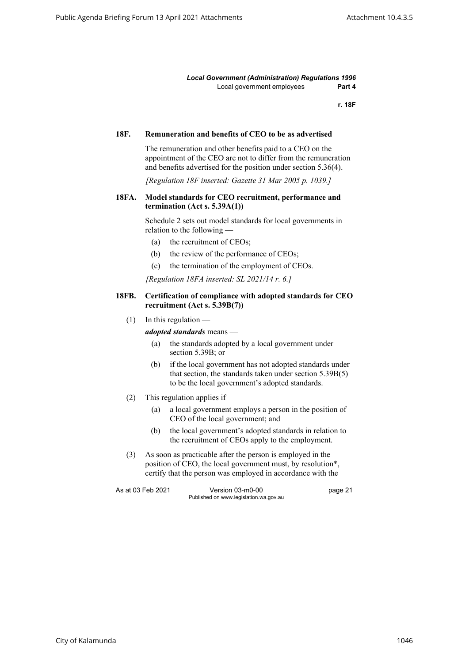*Local Government (Administration) Regulations 1996* Local government employees **Part 4**

**r. 18F**

#### <span id="page-28-1"></span><span id="page-28-0"></span>**18F. Remuneration and benefits of CEO to be as advertised**

The remuneration and other benefits paid to a CEO on the appointment of the CEO are not to differ from the remuneration and benefits advertised for the position under section 5.36(4).

*[Regulation 18F inserted: Gazette 31 Mar 2005 p. 1039.]*

### **18FA. Model standards for CEO recruitment, performance and termination (Act s. 5.39A(1))**

Schedule 2 sets out model standards for local governments in relation to the following —

- (a) the recruitment of CEOs;
- (b) the review of the performance of CEOs;
- (c) the termination of the employment of CEOs.

*[Regulation 18FA inserted: SL 2021/14 r. 6.]*

#### <span id="page-28-2"></span>**18FB. Certification of compliance with adopted standards for CEO recruitment (Act s. 5.39B(7))**

 $(1)$  In this regulation —

*adopted standards* means —

- (a) the standards adopted by a local government under section 5.39B; or
- (b) if the local government has not adopted standards under that section, the standards taken under section 5.39B(5) to be the local government's adopted standards.
- (2) This regulation applies if
	- (a) a local government employs a person in the position of CEO of the local government; and
	- (b) the local government's adopted standards in relation to the recruitment of CEOs apply to the employment.
- (3) As soon as practicable after the person is employed in the position of CEO, the local government must, by resolution\*, certify that the person was employed in accordance with the

As at 03 Feb 2021 Version 03-m0-00 bage 21 Published on www.legislation.wa.gov.au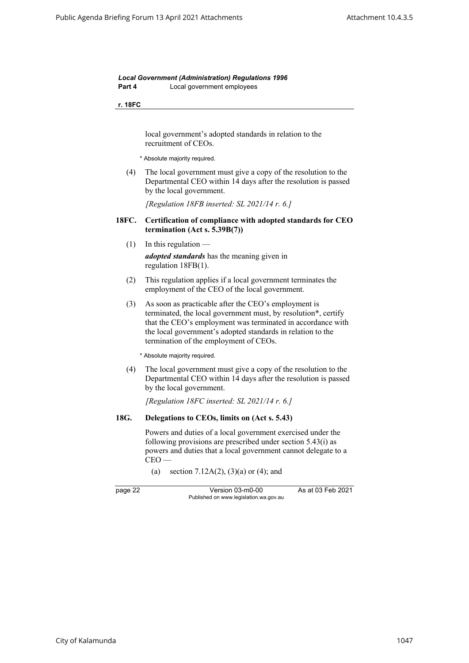*Local Government (Administration) Regulations 1996* **Part 4** Local government employees

**r. 18FC**

local government's adopted standards in relation to the recruitment of CEOs.

\* Absolute majority required.

<span id="page-29-0"></span>(4) The local government must give a copy of the resolution to the Departmental CEO within 14 days after the resolution is passed by the local government.

*[Regulation 18FB inserted: SL 2021/14 r. 6.]*

### **18FC. Certification of compliance with adopted standards for CEO termination (Act s. 5.39B(7))**

- $(1)$  In this regulation *adopted standards* has the meaning given in regulation 18FB(1).
- (2) This regulation applies if a local government terminates the employment of the CEO of the local government.
- (3) As soon as practicable after the CEO's employment is terminated, the local government must, by resolution\*, certify that the CEO's employment was terminated in accordance with the local government's adopted standards in relation to the termination of the employment of CEOs.

\* Absolute majority required.

(4) The local government must give a copy of the resolution to the Departmental CEO within 14 days after the resolution is passed by the local government.

*[Regulation 18FC inserted: SL 2021/14 r. 6.]*

### <span id="page-29-1"></span>**18G. Delegations to CEOs, limits on (Act s. 5.43)**

Powers and duties of a local government exercised under the following provisions are prescribed under section 5.43(i) as powers and duties that a local government cannot delegate to a  $CEO -$ 

(a) section 7.12A(2), (3)(a) or (4); and

page 22 Version 03-m0-00 As at 03 Feb 2021 Published on www.legislation.wa.gov.au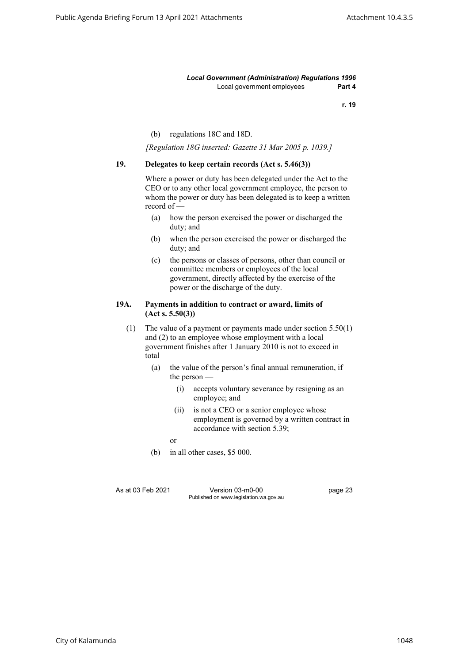*Local Government (Administration) Regulations 1996* Local government employees **Part 4**

**r. 19**

(b) regulations 18C and 18D.

*[Regulation 18G inserted: Gazette 31 Mar 2005 p. 1039.]*

#### <span id="page-30-0"></span>**19. Delegates to keep certain records (Act s. 5.46(3))**

Where a power or duty has been delegated under the Act to the CEO or to any other local government employee, the person to whom the power or duty has been delegated is to keep a written record of —

- (a) how the person exercised the power or discharged the duty; and
- (b) when the person exercised the power or discharged the duty; and
- (c) the persons or classes of persons, other than council or committee members or employees of the local government, directly affected by the exercise of the power or the discharge of the duty.

#### <span id="page-30-1"></span>**19A. Payments in addition to contract or award, limits of (Act s. 5.50(3))**

(1) The value of a payment or payments made under section 5.50(1) and (2) to an employee whose employment with a local government finishes after 1 January 2010 is not to exceed in total —

- (a) the value of the person's final annual remuneration, if the person —
	- (i) accepts voluntary severance by resigning as an employee; and
	- (ii) is not a CEO or a senior employee whose employment is governed by a written contract in accordance with section 5.39;

or

(b) in all other cases, \$5 000.

As at 03 Feb 2021 Version 03-m0-00 page 23 Published on www.legislation.wa.gov.au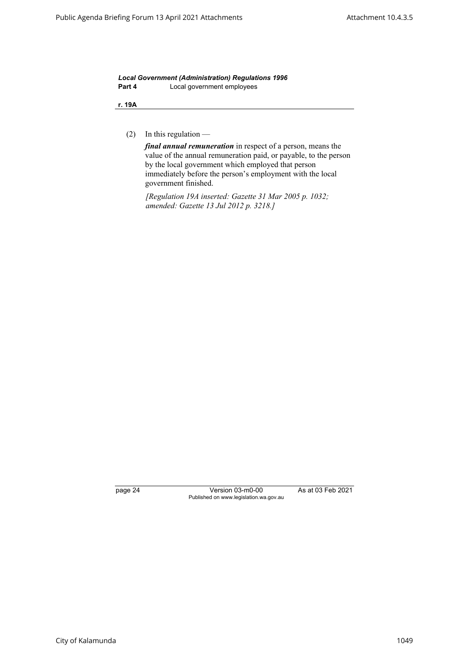*Local Government (Administration) Regulations 1996* **Part 4** Local government employees

**r. 19A**

(2) In this regulation —

*final annual remuneration* in respect of a person, means the value of the annual remuneration paid, or payable, to the person by the local government which employed that person immediately before the person's employment with the local government finished.

*[Regulation 19A inserted: Gazette 31 Mar 2005 p. 1032; amended: Gazette 13 Jul 2012 p. 3218.]*

page 24 Version 03-m0-00 As at 03 Feb 2021 Published on www.legislation.wa.gov.au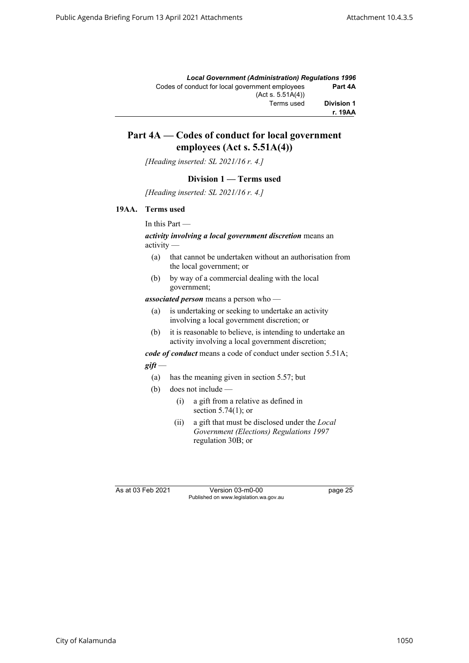|                   | <b>Local Government (Administration) Requlations 1996</b> |
|-------------------|-----------------------------------------------------------|
| Part 4A           | Codes of conduct for local government employees           |
|                   | (Act s. 5.51A(4))                                         |
| <b>Division 1</b> | Terms used                                                |
| r. 19AA           |                                                           |

# **Part 4A — Codes of conduct for local government employees (Act s. 5.51A(4))**

*[Heading inserted: SL 2021/16 r. 4.]*

### **Division 1 — Terms used**

*[Heading inserted: SL 2021/16 r. 4.]*

### <span id="page-32-0"></span>**19AA. Terms used**

In this Part —

### *activity involving a local government discretion* means an activity —

- (a) that cannot be undertaken without an authorisation from the local government; or
- (b) by way of a commercial dealing with the local government;

*associated person* means a person who —

- (a) is undertaking or seeking to undertake an activity involving a local government discretion; or
- (b) it is reasonable to believe, is intending to undertake an activity involving a local government discretion;

*code of conduct* means a code of conduct under section 5.51A;

### *gift* —

- (a) has the meaning given in section 5.57; but
- (b) does not include
	- (i) a gift from a relative as defined in section 5.74(1); or
	- (ii) a gift that must be disclosed under the *Local Government (Elections) Regulations 1997* regulation 30B; or

As at 03 Feb 2021 Version 03-m0-00 page 25 Published on www.legislation.wa.gov.au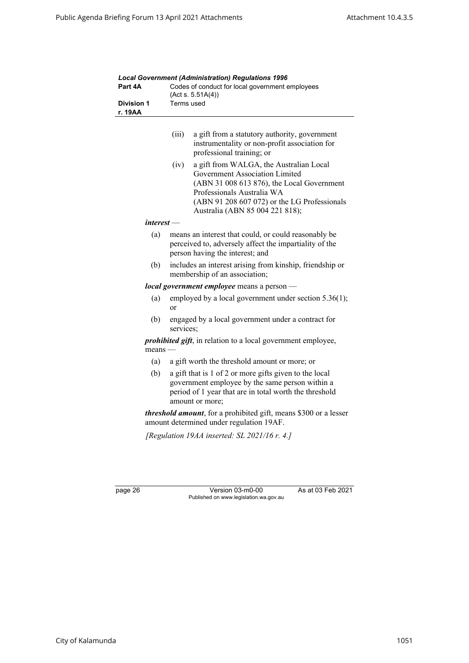|                              | Codes of conduct for local government employees<br>(Act s. 5.51A(4))<br>Terms used                                                                                                                                                               |  |  |
|------------------------------|--------------------------------------------------------------------------------------------------------------------------------------------------------------------------------------------------------------------------------------------------|--|--|
| <b>Division 1</b><br>r. 19AA |                                                                                                                                                                                                                                                  |  |  |
|                              | (iii)<br>a gift from a statutory authority, government<br>instrumentality or non-profit association for<br>professional training; or                                                                                                             |  |  |
|                              | a gift from WALGA, the Australian Local<br>(iv)<br>Government Association Limited<br>(ABN 31 008 613 876), the Local Government<br>Professionals Australia WA<br>(ABN 91 208 607 072) or the LG Professionals<br>Australia (ABN 85 004 221 818); |  |  |
| interest —                   |                                                                                                                                                                                                                                                  |  |  |
| (a)                          | means an interest that could, or could reasonably be<br>perceived to, adversely affect the impartiality of the<br>person having the interest; and                                                                                                |  |  |
| (b)                          | includes an interest arising from kinship, friendship or<br>membership of an association;                                                                                                                                                        |  |  |
|                              | local government employee means a person -                                                                                                                                                                                                       |  |  |
| (a)                          | employed by a local government under section 5.36(1);<br>or                                                                                                                                                                                      |  |  |
| (b)                          | engaged by a local government under a contract for<br>services;                                                                                                                                                                                  |  |  |
| $means -$                    | <i>prohibited gift</i> , in relation to a local government employee,                                                                                                                                                                             |  |  |
| (a)                          | a gift worth the threshold amount or more; or                                                                                                                                                                                                    |  |  |
| (b)                          | a gift that is 1 of 2 or more gifts given to the local<br>government employee by the same person within a<br>period of 1 year that are in total worth the threshold<br>amount or more;                                                           |  |  |
|                              | <i>threshold amount</i> , for a prohibited gift, means \$300 or a lesser<br>amount determined under regulation 19AF.                                                                                                                             |  |  |
|                              | [Regulation 19AA inserted: SL 2021/16 $r$ . 4.]                                                                                                                                                                                                  |  |  |

*Local Government (Administration) Regulations 1996*

page 26 Version 03-m0-00 As at 03 Feb 2021 Published on www.legislation.wa.gov.au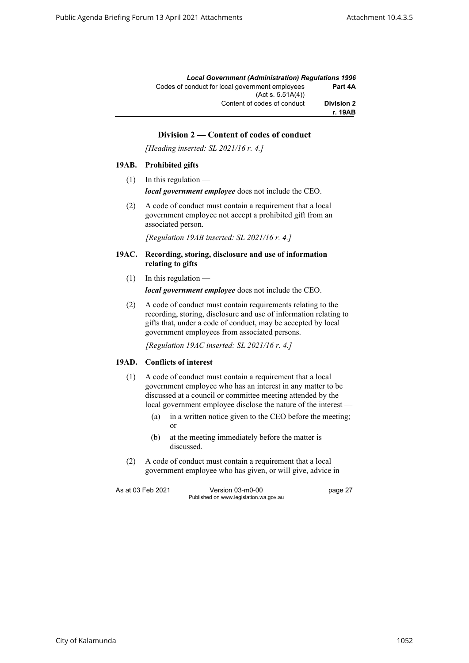|                   | <b>Local Government (Administration) Requlations 1996</b>            |
|-------------------|----------------------------------------------------------------------|
| Part 4A           | Codes of conduct for local government employees<br>(Act s. 5.51A(4)) |
| <b>Division 2</b> | Content of codes of conduct                                          |
| r. 19AB           |                                                                      |

# **Division 2 — Content of codes of conduct**

*[Heading inserted: SL 2021/16 r. 4.]*

#### <span id="page-34-0"></span>**19AB. Prohibited gifts**

 $(1)$  In this regulation —

*local government employee* does not include the CEO.

(2) A code of conduct must contain a requirement that a local government employee not accept a prohibited gift from an associated person.

*[Regulation 19AB inserted: SL 2021/16 r. 4.]*

- <span id="page-34-1"></span>**19AC. Recording, storing, disclosure and use of information relating to gifts** 
	- $(1)$  In this regulation —

*local government employee* does not include the CEO.

(2) A code of conduct must contain requirements relating to the recording, storing, disclosure and use of information relating to gifts that, under a code of conduct, may be accepted by local government employees from associated persons.

*[Regulation 19AC inserted: SL 2021/16 r. 4.]*

### <span id="page-34-2"></span>**19AD. Conflicts of interest**

- (1) A code of conduct must contain a requirement that a local government employee who has an interest in any matter to be discussed at a council or committee meeting attended by the local government employee disclose the nature of the interest -
	- (a) in a written notice given to the CEO before the meeting; or
	- (b) at the meeting immediately before the matter is discussed.
- (2) A code of conduct must contain a requirement that a local government employee who has given, or will give, advice in

As at 03 Feb 2021 Version 03-m0-00 page 27 Published on www.legislation.wa.gov.au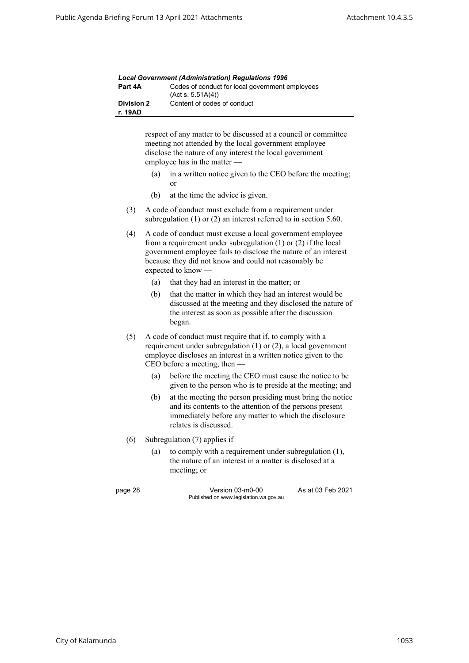| <b>Local Government (Administration) Regulations 1996</b> |                                                                                                                                                                                                                        |  |  |  |  |
|-----------------------------------------------------------|------------------------------------------------------------------------------------------------------------------------------------------------------------------------------------------------------------------------|--|--|--|--|
| Part 4A                                                   | Codes of conduct for local government employees<br>(Acts. 5.51A(4))                                                                                                                                                    |  |  |  |  |
| <b>Division 2</b>                                         | Content of codes of conduct                                                                                                                                                                                            |  |  |  |  |
| r. 19AD                                                   |                                                                                                                                                                                                                        |  |  |  |  |
|                                                           | respect of any matter to be discussed at a council or committee<br>meeting not attended by the local government employee<br>disclose the nature of any interest the local government<br>employee has in the matter $-$ |  |  |  |  |
| (a)                                                       | in a written notice given to the CEO before the meeting;<br>or                                                                                                                                                         |  |  |  |  |
| (b)                                                       | at the time the advice is given.                                                                                                                                                                                       |  |  |  |  |

(3) A code of conduct must exclude from a requirement under subregulation (1) or (2) an interest referred to in section 5.60.

- (4) A code of conduct must excuse a local government employee from a requirement under subregulation (1) or (2) if the local government employee fails to disclose the nature of an interest because they did not know and could not reasonably be expected to know —
	- (a) that they had an interest in the matter; or
	- (b) that the matter in which they had an interest would be discussed at the meeting and they disclosed the nature of the interest as soon as possible after the discussion began.
- (5) A code of conduct must require that if, to comply with a requirement under subregulation (1) or (2), a local government employee discloses an interest in a written notice given to the CEO before a meeting, then —
	- (a) before the meeting the CEO must cause the notice to be given to the person who is to preside at the meeting; and
	- (b) at the meeting the person presiding must bring the notice and its contents to the attention of the persons present immediately before any matter to which the disclosure relates is discussed.
- (6) Subregulation (7) applies if  $-$ 
	- (a) to comply with a requirement under subregulation (1), the nature of an interest in a matter is disclosed at a meeting; or

| г<br>۷<br>. .<br>- |  |
|--------------------|--|
|--------------------|--|

Version 03-m0-00 As at 03 Feb 2021 Published on www.legislation.wa.gov.au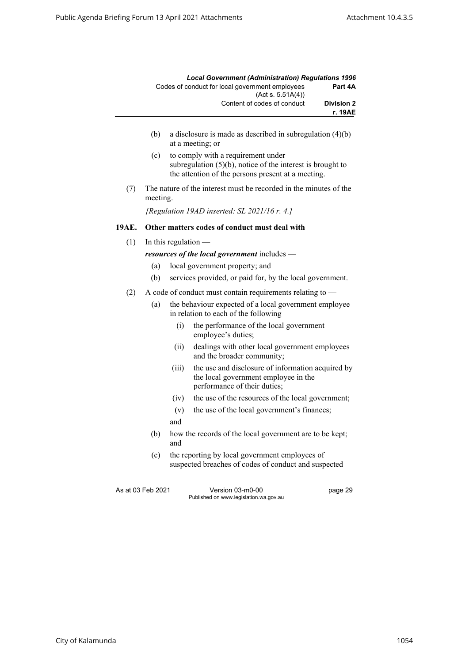|                   | <b>Local Government (Administration) Requlations 1996</b>           |
|-------------------|---------------------------------------------------------------------|
| Part 4A           | Codes of conduct for local government employees<br>(Acts. 5.51A(4)) |
| <b>Division 2</b> | Content of codes of conduct                                         |
| r. 19AE           |                                                                     |

- (b) a disclosure is made as described in subregulation (4)(b) at a meeting; or
- (c) to comply with a requirement under subregulation (5)(b), notice of the interest is brought to the attention of the persons present at a meeting.
- (7) The nature of the interest must be recorded in the minutes of the meeting.

*[Regulation 19AD inserted: SL 2021/16 r. 4.]*

#### **19AE. Other matters codes of conduct must deal with**

 $(1)$  In this regulation —

*resources of the local government* includes —

- (a) local government property; and
- (b) services provided, or paid for, by the local government.
- (2) A code of conduct must contain requirements relating to
	- (a) the behaviour expected of a local government employee in relation to each of the following —
		- (i) the performance of the local government employee's duties;
		- (ii) dealings with other local government employees and the broader community;
		- (iii) the use and disclosure of information acquired by the local government employee in the performance of their duties;
		- (iv) the use of the resources of the local government;
		- (v) the use of the local government's finances;
		- and
	- (b) how the records of the local government are to be kept; and
	- (c) the reporting by local government employees of suspected breaches of codes of conduct and suspected

As at 03 Feb 2021 Version 03-m0-00 page 29 Published on www.legislation.wa.gov.au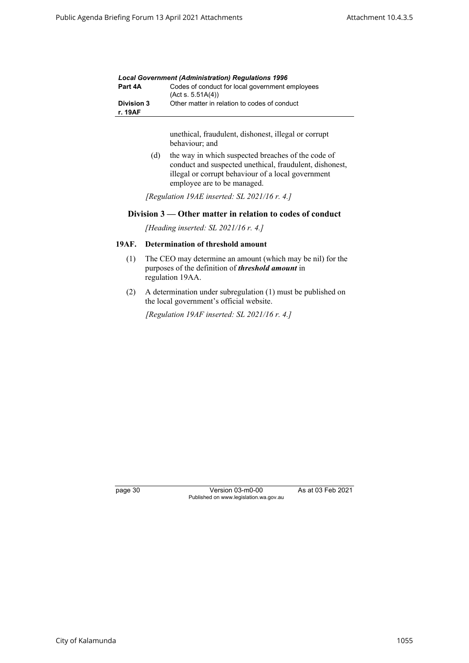|                       | <b>Local Government (Administration) Requlations 1996</b>            |
|-----------------------|----------------------------------------------------------------------|
| Part 4A               | Codes of conduct for local government employees<br>(Act s. 5.51A(4)) |
| Division 3<br>r. 19AF | Other matter in relation to codes of conduct                         |

unethical, fraudulent, dishonest, illegal or corrupt behaviour; and

(d) the way in which suspected breaches of the code of conduct and suspected unethical, fraudulent, dishonest, illegal or corrupt behaviour of a local government employee are to be managed.

*[Regulation 19AE inserted: SL 2021/16 r. 4.]*

### **Division 3 — Other matter in relation to codes of conduct**

*[Heading inserted: SL 2021/16 r. 4.]*

# **19AF. Determination of threshold amount**

- (1) The CEO may determine an amount (which may be nil) for the purposes of the definition of *threshold amount* in regulation 19AA.
- (2) A determination under subregulation (1) must be published on the local government's official website.

*[Regulation 19AF inserted: SL 2021/16 r. 4.]*

page 30 Version 03-m0-00 As at 03 Feb 2021 Published on www.legislation.wa.gov.au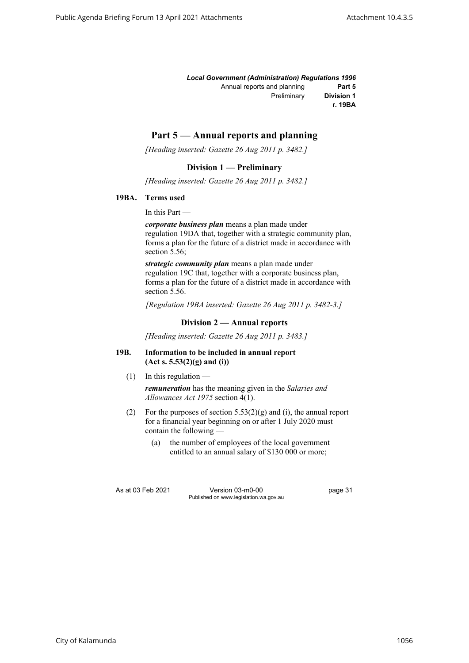|                   | <b>Local Government (Administration) Requlations 1996</b> |
|-------------------|-----------------------------------------------------------|
| Part 5            | Annual reports and planning                               |
| <b>Division 1</b> | Preliminary                                               |
| r. 19BA           |                                                           |

# **Part 5 — Annual reports and planning**

*[Heading inserted: Gazette 26 Aug 2011 p. 3482.]*

## **Division 1 — Preliminary**

*[Heading inserted: Gazette 26 Aug 2011 p. 3482.]*

## **19BA. Terms used**

In this Part —

*corporate business plan* means a plan made under regulation 19DA that, together with a strategic community plan, forms a plan for the future of a district made in accordance with section 5.56;

*strategic community plan* means a plan made under regulation 19C that, together with a corporate business plan, forms a plan for the future of a district made in accordance with section 5.56.

*[Regulation 19BA inserted: Gazette 26 Aug 2011 p. 3482-3.]*

# **Division 2 — Annual reports**

*[Heading inserted: Gazette 26 Aug 2011 p. 3483.]*

### **19B. Information to be included in annual report (Act s. 5.53(2)(g) and (i))**

 $(1)$  In this regulation —

*remuneration* has the meaning given in the *Salaries and Allowances Act 1975* section 4(1).

- (2) For the purposes of section  $5.53(2)(g)$  and (i), the annual report for a financial year beginning on or after 1 July 2020 must contain the following —
	- (a) the number of employees of the local government entitled to an annual salary of \$130 000 or more;

As at 03 Feb 2021 Version 03-m0-00 page 31 Published on www.legislation.wa.gov.au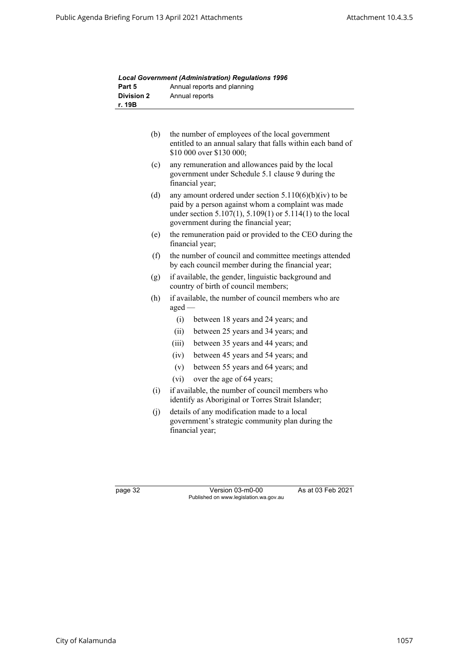| Part 5                      | Annual reports and planning                                                                                                                                                                                                 |
|-----------------------------|-----------------------------------------------------------------------------------------------------------------------------------------------------------------------------------------------------------------------------|
| <b>Division 2</b><br>r. 19B | Annual reports                                                                                                                                                                                                              |
|                             |                                                                                                                                                                                                                             |
| (b)                         | the number of employees of the local government<br>entitled to an annual salary that falls within each band of<br>\$10 000 over \$130 000;                                                                                  |
| (c)                         | any remuneration and allowances paid by the local<br>government under Schedule 5.1 clause 9 during the<br>financial year;                                                                                                   |
| (d)                         | any amount ordered under section $5.110(6)(b)(iv)$ to be<br>paid by a person against whom a complaint was made<br>under section $5.107(1)$ , $5.109(1)$ or $5.114(1)$ to the local<br>government during the financial year; |
| (e)                         | the remuneration paid or provided to the CEO during the<br>financial year;                                                                                                                                                  |
| (f)                         | the number of council and committee meetings attended<br>by each council member during the financial year;                                                                                                                  |
| (g)                         | if available, the gender, linguistic background and<br>country of birth of council members;                                                                                                                                 |
| (h)                         | if available, the number of council members who are<br>$\text{aged}$ —                                                                                                                                                      |
|                             | (i)<br>between 18 years and 24 years; and                                                                                                                                                                                   |
|                             | (ii)<br>between 25 years and 34 years; and                                                                                                                                                                                  |
|                             | (iii)<br>between 35 years and 44 years; and                                                                                                                                                                                 |
|                             | (iv)<br>between 45 years and 54 years; and                                                                                                                                                                                  |
|                             | (v)<br>between 55 years and 64 years; and                                                                                                                                                                                   |
|                             | (vi)<br>over the age of 64 years;                                                                                                                                                                                           |
| (i)                         | if available, the number of council members who<br>identify as Aboriginal or Torres Strait Islander;                                                                                                                        |
| (j)                         | details of any modification made to a local<br>government's strategic community plan during the<br>financial year;                                                                                                          |

*Local Government (Administration) Regulations 1996*

page 32 Version 03-m0-00 As at 03 Feb 2021 Published on www.legislation.wa.gov.au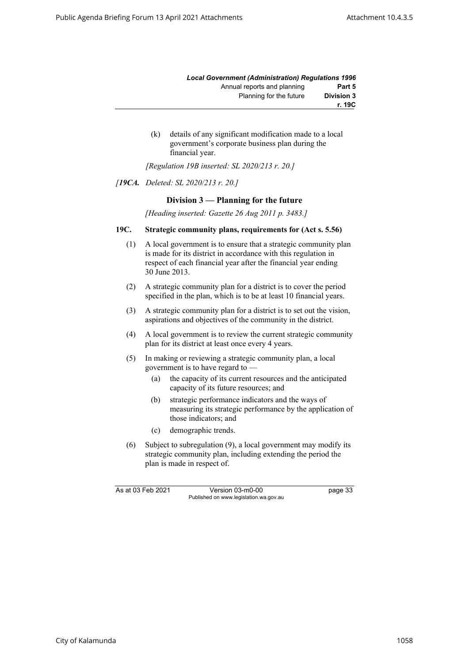|                   | <b>Local Government (Administration) Regulations 1996</b> |
|-------------------|-----------------------------------------------------------|
| Part 5            | Annual reports and planning                               |
| <b>Division 3</b> | Planning for the future                                   |
| r. 19C            |                                                           |

(k) details of any significant modification made to a local government's corporate business plan during the financial year.

*[Regulation 19B inserted: SL 2020/213 r. 20.]*

#### *[19CA. Deleted: SL 2020/213 r. 20.]*

## **Division 3 — Planning for the future**

*[Heading inserted: Gazette 26 Aug 2011 p. 3483.]*

#### **19C. Strategic community plans, requirements for (Act s. 5.56)**

- (1) A local government is to ensure that a strategic community plan is made for its district in accordance with this regulation in respect of each financial year after the financial year ending 30 June 2013.
- (2) A strategic community plan for a district is to cover the period specified in the plan, which is to be at least 10 financial years.
- (3) A strategic community plan for a district is to set out the vision, aspirations and objectives of the community in the district.
- (4) A local government is to review the current strategic community plan for its district at least once every 4 years.
- (5) In making or reviewing a strategic community plan, a local government is to have regard to —
	- (a) the capacity of its current resources and the anticipated capacity of its future resources; and
	- (b) strategic performance indicators and the ways of measuring its strategic performance by the application of those indicators; and
	- (c) demographic trends.
- (6) Subject to subregulation (9), a local government may modify its strategic community plan, including extending the period the plan is made in respect of.

As at 03 Feb 2021 Version 03-m0-00 page 33 Published on www.legislation.wa.gov.au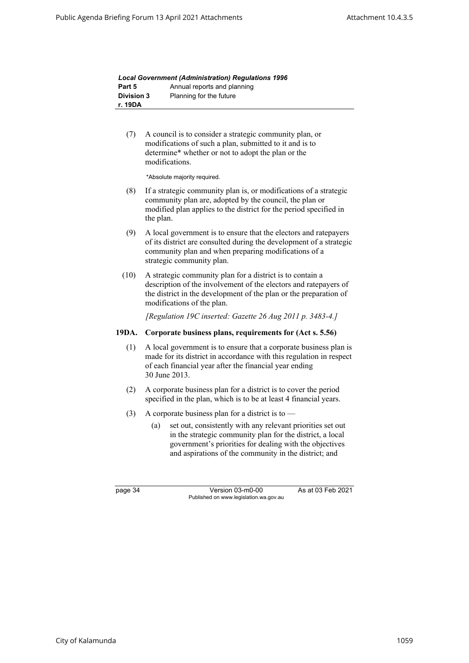|                   | <b>Local Government (Administration) Requlations 1996</b> |
|-------------------|-----------------------------------------------------------|
| Part 5            | Annual reports and planning                               |
| <b>Division 3</b> | Planning for the future                                   |
| r. 19DA           |                                                           |

(7) A council is to consider a strategic community plan, or modifications of such a plan, submitted to it and is to determine\* whether or not to adopt the plan or the modifications.

\*Absolute majority required.

- (8) If a strategic community plan is, or modifications of a strategic community plan are, adopted by the council, the plan or modified plan applies to the district for the period specified in the plan.
- (9) A local government is to ensure that the electors and ratepayers of its district are consulted during the development of a strategic community plan and when preparing modifications of a strategic community plan.
- (10) A strategic community plan for a district is to contain a description of the involvement of the electors and ratepayers of the district in the development of the plan or the preparation of modifications of the plan.

*[Regulation 19C inserted: Gazette 26 Aug 2011 p. 3483-4.]*

#### **19DA. Corporate business plans, requirements for (Act s. 5.56)**

- (1) A local government is to ensure that a corporate business plan is made for its district in accordance with this regulation in respect of each financial year after the financial year ending 30 June 2013.
- (2) A corporate business plan for a district is to cover the period specified in the plan, which is to be at least 4 financial years.
- (3) A corporate business plan for a district is to  $-$ 
	- (a) set out, consistently with any relevant priorities set out in the strategic community plan for the district, a local government's priorities for dealing with the objectives and aspirations of the community in the district; and

page 34 Version 03-m0-00 As at 03 Feb 2021 Published on www.legislation.wa.gov.au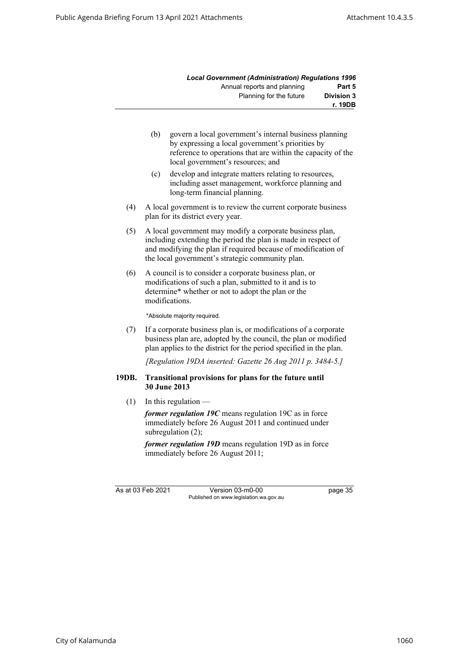|                   | <b>Local Government (Administration) Requlations 1996</b> |
|-------------------|-----------------------------------------------------------|
| Part 5            | Annual reports and planning                               |
| <b>Division 3</b> | Planning for the future                                   |
| r. 19DB           |                                                           |

- (b) govern a local government's internal business planning by expressing a local government's priorities by reference to operations that are within the capacity of the local government's resources; and
- (c) develop and integrate matters relating to resources, including asset management, workforce planning and long-term financial planning.
- (4) A local government is to review the current corporate business plan for its district every year.
- (5) A local government may modify a corporate business plan, including extending the period the plan is made in respect of and modifying the plan if required because of modification of the local government's strategic community plan.
- (6) A council is to consider a corporate business plan, or modifications of such a plan, submitted to it and is to determine\* whether or not to adopt the plan or the modifications.

\*Absolute majority required.

(7) If a corporate business plan is, or modifications of a corporate business plan are, adopted by the council, the plan or modified plan applies to the district for the period specified in the plan.

*[Regulation 19DA inserted: Gazette 26 Aug 2011 p. 3484-5.]*

#### **19DB. Transitional provisions for plans for the future until 30 June 2013**

 $(1)$  In this regulation —

*former regulation 19C* means regulation 19C as in force immediately before 26 August 2011 and continued under subregulation (2);

*former regulation 19D* means regulation 19D as in force immediately before 26 August 2011;

As at 03 Feb 2021 Version 03-m0-00 page 35 Published on www.legislation.wa.gov.au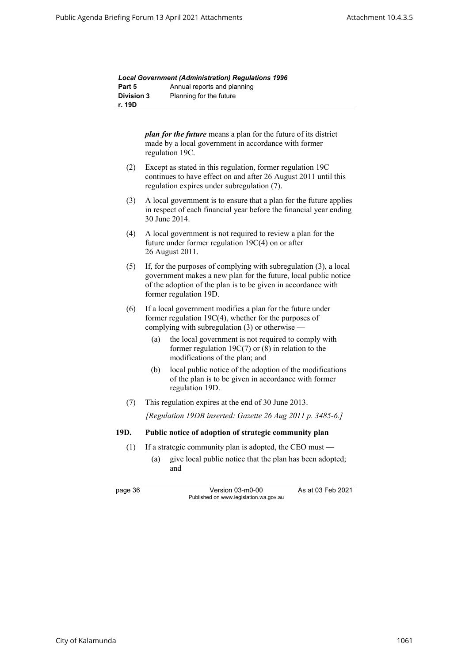|                   | <b>Local Government (Administration) Regulations 1996</b> |
|-------------------|-----------------------------------------------------------|
| Part 5            | Annual reports and planning                               |
| <b>Division 3</b> | Planning for the future                                   |
| r. 19D            |                                                           |

| plan for the future means a plan for the future of its district |
|-----------------------------------------------------------------|
| made by a local government in accordance with former            |
| regulation 19C.                                                 |

- (2) Except as stated in this regulation, former regulation 19C continues to have effect on and after 26 August 2011 until this regulation expires under subregulation (7).
- (3) A local government is to ensure that a plan for the future applies in respect of each financial year before the financial year ending 30 June 2014.
- (4) A local government is not required to review a plan for the future under former regulation 19C(4) on or after 26 August 2011.
- (5) If, for the purposes of complying with subregulation (3), a local government makes a new plan for the future, local public notice of the adoption of the plan is to be given in accordance with former regulation 19D.
- (6) If a local government modifies a plan for the future under former regulation 19C(4), whether for the purposes of complying with subregulation (3) or otherwise —
	- (a) the local government is not required to comply with former regulation 19C(7) or (8) in relation to the modifications of the plan; and
	- (b) local public notice of the adoption of the modifications of the plan is to be given in accordance with former regulation 19D.
- (7) This regulation expires at the end of 30 June 2013.

*[Regulation 19DB inserted: Gazette 26 Aug 2011 p. 3485-6.]*

#### **19D. Public notice of adoption of strategic community plan**

- (1) If a strategic community plan is adopted, the CEO must
	- (a) give local public notice that the plan has been adopted; and

page 36 Version 03-m0-00 As at 03 Feb 2021 Published on www.legislation.wa.gov.au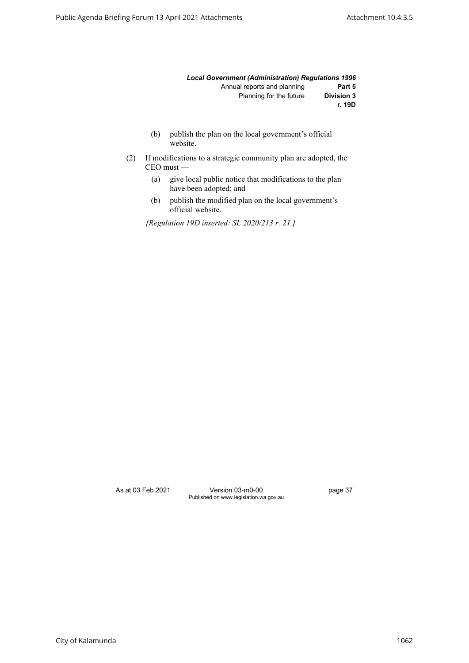|                   | <b>Local Government (Administration) Requlations 1996</b> |
|-------------------|-----------------------------------------------------------|
| Part 5            | Annual reports and planning                               |
| <b>Division 3</b> | Planning for the future                                   |
| r. 19D            |                                                           |

- (b) publish the plan on the local government's official website.
- (2) If modifications to a strategic community plan are adopted, the CEO must —
	- (a) give local public notice that modifications to the plan have been adopted; and
	- (b) publish the modified plan on the local government's official website.

*[Regulation 19D inserted: SL 2020/213 r. 21.]*

As at 03 Feb 2021 Version 03-m0-00 page 37 Published on www.legislation.wa.gov.au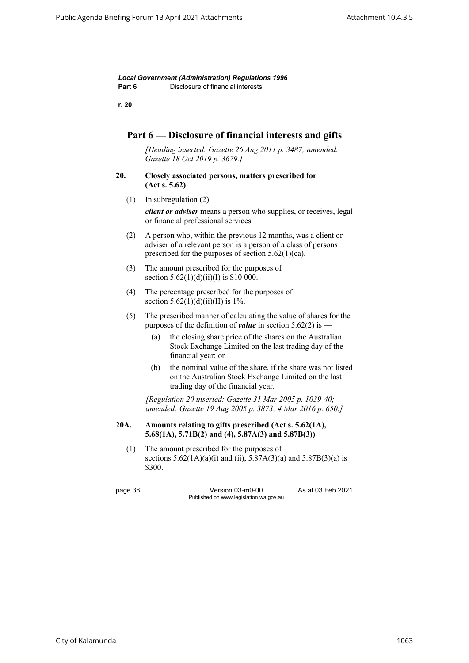*Local Government (Administration) Regulations 1996* **Part 6** Disclosure of financial interests

**r. 20**

# **Part 6 — Disclosure of financial interests and gifts**

*[Heading inserted: Gazette 26 Aug 2011 p. 3487; amended: Gazette 18 Oct 2019 p. 3679.]*

- **20. Closely associated persons, matters prescribed for (Act s. 5.62)**
	- (1) In subregulation  $(2)$  —

*client or adviser* means a person who supplies, or receives, legal or financial professional services.

- (2) A person who, within the previous 12 months, was a client or adviser of a relevant person is a person of a class of persons prescribed for the purposes of section 5.62(1)(ca).
- (3) The amount prescribed for the purposes of section  $5.62(1)(d)(ii)(I)$  is \$10 000.
- (4) The percentage prescribed for the purposes of section  $5.62(1)(d)(ii)(II)$  is 1%.
- (5) The prescribed manner of calculating the value of shares for the purposes of the definition of *value* in section 5.62(2) is —
	- (a) the closing share price of the shares on the Australian Stock Exchange Limited on the last trading day of the financial year; or
	- (b) the nominal value of the share, if the share was not listed on the Australian Stock Exchange Limited on the last trading day of the financial year.

*[Regulation 20 inserted: Gazette 31 Mar 2005 p. 1039-40; amended: Gazette 19 Aug 2005 p. 3873; 4 Mar 2016 p. 650.]*

### **20A. Amounts relating to gifts prescribed (Act s. 5.62(1A), 5.68(1A), 5.71B(2) and (4), 5.87A(3) and 5.87B(3))**

(1) The amount prescribed for the purposes of sections  $5.62(1A)(a)(i)$  and (ii),  $5.87A(3)(a)$  and  $5.87B(3)(a)$  is \$300.

page 38 Version 03-m0-00 As at 03 Feb 2021 Published on www.legislation.wa.gov.au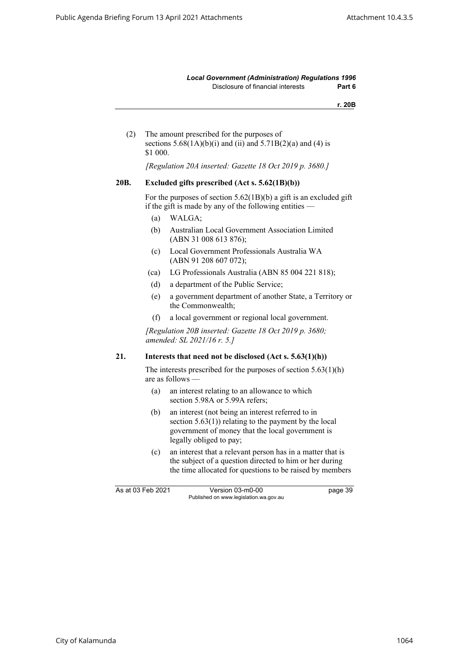*Local Government (Administration) Regulations 1996* Disclosure of financial interests **Part 6**

**r. 20B**

(2) The amount prescribed for the purposes of sections  $5.68(1A)(b)(i)$  and (ii) and  $5.71B(2)(a)$  and (4) is \$1 000.

*[Regulation 20A inserted: Gazette 18 Oct 2019 p. 3680.]*

#### **20B. Excluded gifts prescribed (Act s. 5.62(1B)(b))**

For the purposes of section 5.62(1B)(b) a gift is an excluded gift if the gift is made by any of the following entities —

- (a) WALGA;
- (b) Australian Local Government Association Limited (ABN 31 008 613 876);
- (c) Local Government Professionals Australia WA (ABN 91 208 607 072);
- (ca) LG Professionals Australia (ABN 85 004 221 818);
- (d) a department of the Public Service;
- (e) a government department of another State, a Territory or the Commonwealth;
- (f) a local government or regional local government.

*[Regulation 20B inserted: Gazette 18 Oct 2019 p. 3680; amended: SL 2021/16 r. 5.]*

## **21. Interests that need not be disclosed (Act s. 5.63(1)(h))**

The interests prescribed for the purposes of section 5.63(1)(h) are as follows —

- (a) an interest relating to an allowance to which section 5.98A or 5.99A refers;
- (b) an interest (not being an interest referred to in section  $5.63(1)$ ) relating to the payment by the local government of money that the local government is legally obliged to pay;
- (c) an interest that a relevant person has in a matter that is the subject of a question directed to him or her during the time allocated for questions to be raised by members

As at 03 Feb 2021 Version 03-m0-00 bage 39 Published on www.legislation.wa.gov.au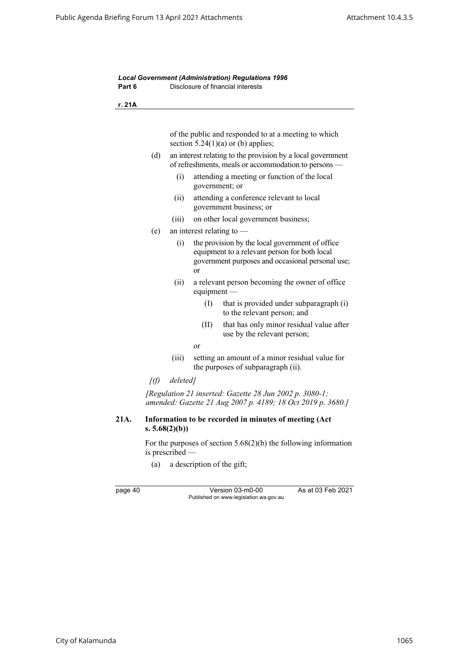*Local Government (Administration) Regulations 1996* **Part 6** Disclosure of financial interests **r. 21A** of the public and responded to at a meeting to which section  $5.24(1)(a)$  or (b) applies; (d) an interest relating to the provision by a local government of refreshments, meals or accommodation to persons — (i) attending a meeting or function of the local government; or (ii) attending a conference relevant to local government business; or (iii) on other local government business; (e) an interest relating to — (i) the provision by the local government of office equipment to a relevant person for both local government purposes and occasional personal use; or (ii) a relevant person becoming the owner of office equipment — (I) that is provided under subparagraph (i) to the relevant person; and (II) that has only minor residual value after use by the relevant person; or (iii) setting an amount of a minor residual value for the purposes of subparagraph (ii). *[(f) deleted] [Regulation 21 inserted: Gazette 28 Jun 2002 p. 3080-1; amended: Gazette 21 Aug 2007 p. 4189; 18 Oct 2019 p. 3680.]* **21A. Information to be recorded in minutes of meeting (Act s. 5.68(2)(b))**

> For the purposes of section 5.68(2)(b) the following information is prescribed —

(a) a description of the gift;

page 40 Version 03-m0-00 As at 03 Feb 2021 Published on www.legislation.wa.gov.au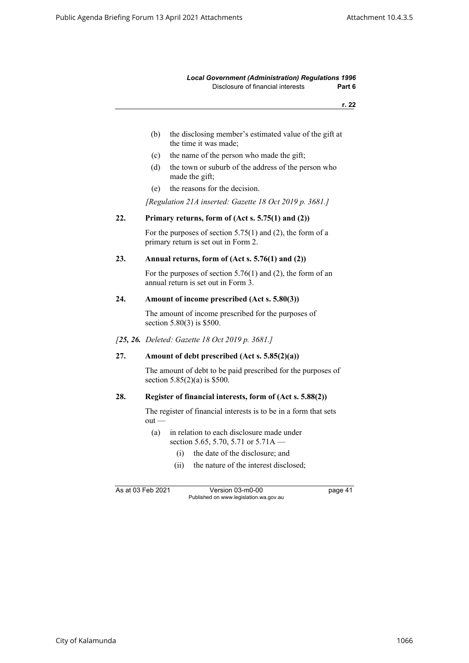#### *Local Government (Administration) Regulations 1996* Disclosure of financial interests **Part 6**

**r. 22**

- (b) the disclosing member's estimated value of the gift at the time it was made;
- (c) the name of the person who made the gift;
- (d) the town or suburb of the address of the person who made the gift;
- (e) the reasons for the decision.

*[Regulation 21A inserted: Gazette 18 Oct 2019 p. 3681.]*

#### **22. Primary returns, form of (Act s. 5.75(1) and (2))**

For the purposes of section 5.75(1) and (2), the form of a primary return is set out in Form 2.

#### **23. Annual returns, form of (Act s. 5.76(1) and (2))**

For the purposes of section 5.76(1) and (2), the form of an annual return is set out in Form 3.

#### **24. Amount of income prescribed (Act s. 5.80(3))**

The amount of income prescribed for the purposes of section 5.80(3) is \$500.

*[25, 26. Deleted: Gazette 18 Oct 2019 p. 3681.]*

#### **27. Amount of debt prescribed (Act s. 5.85(2)(a))**

The amount of debt to be paid prescribed for the purposes of section 5.85(2)(a) is \$500.

#### **28. Register of financial interests, form of (Act s. 5.88(2))**

The register of financial interests is to be in a form that sets out —

- (a) in relation to each disclosure made under section 5.65, 5.70, 5.71 or 5.71A —
	- (i) the date of the disclosure; and
	- (ii) the nature of the interest disclosed;

As at 03 Feb 2021 Version 03-m0-00 page 41 Published on www.legislation.wa.gov.au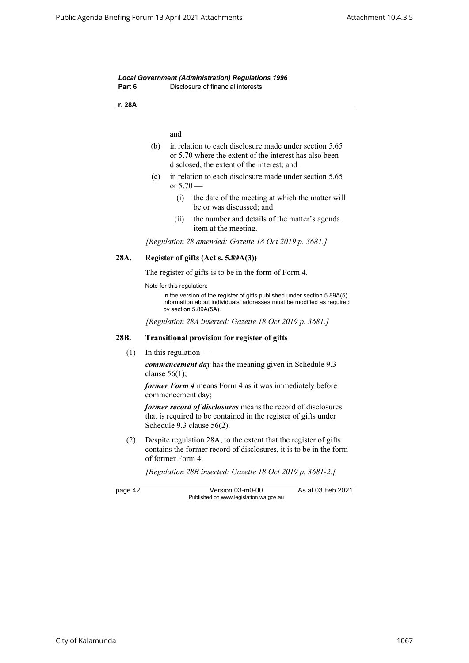| Part 6  | Disclosure of financial interests                                                                                                                                          |  |
|---------|----------------------------------------------------------------------------------------------------------------------------------------------------------------------------|--|
| r. 28A  |                                                                                                                                                                            |  |
|         |                                                                                                                                                                            |  |
|         | and                                                                                                                                                                        |  |
|         | (b)<br>in relation to each disclosure made under section 5.65<br>or 5.70 where the extent of the interest has also been<br>disclosed, the extent of the interest; and      |  |
|         | in relation to each disclosure made under section 5.65<br>(c)<br>or $5.70 -$                                                                                               |  |
|         | the date of the meeting at which the matter will<br>(i)<br>be or was discussed; and                                                                                        |  |
|         | the number and details of the matter's agenda<br>(ii)<br>item at the meeting.                                                                                              |  |
|         | [Regulation 28 amended: Gazette 18 Oct 2019 p. 3681.]                                                                                                                      |  |
| 28A.    | Register of gifts (Act s. 5.89A(3))                                                                                                                                        |  |
|         | The register of gifts is to be in the form of Form 4.                                                                                                                      |  |
|         | Note for this regulation:                                                                                                                                                  |  |
|         | In the version of the register of gifts published under section 5.89A(5)<br>information about individuals' addresses must be modified as required<br>by section 5.89A(5A). |  |
|         | [Regulation 28A inserted: Gazette 18 Oct 2019 p. 3681.]                                                                                                                    |  |
| 28B.    | <b>Transitional provision for register of gifts</b>                                                                                                                        |  |
| (1)     | In this regulation -                                                                                                                                                       |  |
|         | <i>commencement day</i> has the meaning given in Schedule 9.3<br>clause $56(1)$ ;                                                                                          |  |
|         | former Form 4 means Form 4 as it was immediately before<br>commencement day;                                                                                               |  |
|         | former record of disclosures means the record of disclosures<br>that is required to be contained in the register of gifts under<br>Schedule 9.3 clause $56(2)$ .           |  |
| (2)     | Despite regulation 28A, to the extent that the register of gifts<br>contains the former record of disclosures, it is to be in the form<br>of former Form 4.                |  |
|         | [Regulation 28B inserted: Gazette 18 Oct 2019 p. 3681-2.]                                                                                                                  |  |
| page 42 | Version 03-m0-00<br>As at 03 Feb 2021<br>Published on www.legislation.wa.gov.au                                                                                            |  |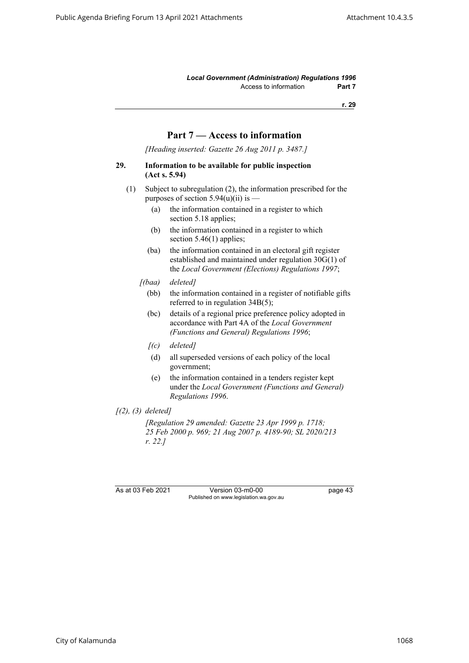*Local Government (Administration) Regulations 1996* Access to information **Part 7** 

**r. 29**

# **Part 7 — Access to information**

*[Heading inserted: Gazette 26 Aug 2011 p. 3487.]*

#### **29. Information to be available for public inspection (Act s. 5.94)**

- (1) Subject to subregulation (2), the information prescribed for the purposes of section  $5.94(u)(ii)$  is —
	- (a) the information contained in a register to which section 5.18 applies;
	- (b) the information contained in a register to which section 5.46(1) applies;
	- (ba) the information contained in an electoral gift register established and maintained under regulation 30G(1) of the *Local Government (Elections) Regulations 1997*;
	- *[(baa) deleted]*
		- (bb) the information contained in a register of notifiable gifts referred to in regulation 34B(5);
		- (bc) details of a regional price preference policy adopted in accordance with Part 4A of the *Local Government (Functions and General) Regulations 1996*;
		- *[(c) deleted]*
		- (d) all superseded versions of each policy of the local government;
		- (e) the information contained in a tenders register kept under the *Local Government (Functions and General) Regulations 1996*.
- *[(2), (3) deleted]*

*[Regulation 29 amended: Gazette 23 Apr 1999 p. 1718; 25 Feb 2000 p. 969; 21 Aug 2007 p. 4189-90; SL 2020/213 r. 22.]*

As at 03 Feb 2021 Version 03-m0-00 page 43 Published on www.legislation.wa.gov.au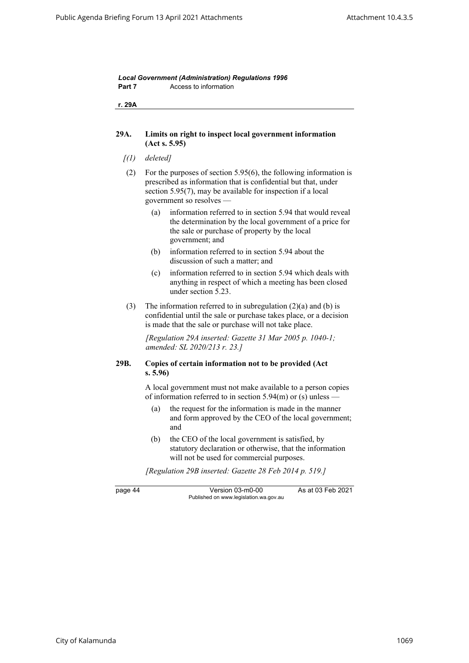| r. 29A  |                                                                                                                                                                                                                                   |
|---------|-----------------------------------------------------------------------------------------------------------------------------------------------------------------------------------------------------------------------------------|
| 29A.    | Limits on right to inspect local government information<br>(Act s. 5.95)                                                                                                                                                          |
| [(1)]   | deleted]                                                                                                                                                                                                                          |
| (2)     | For the purposes of section $5.95(6)$ , the following information is<br>prescribed as information that is confidential but that, under<br>section 5.95(7), may be available for inspection if a local<br>government so resolves — |
|         | information referred to in section 5.94 that would reveal<br>(a)<br>the determination by the local government of a price for<br>the sale or purchase of property by the local<br>government; and                                  |
|         | information referred to in section 5.94 about the<br>(b)<br>discussion of such a matter; and                                                                                                                                      |
|         | information referred to in section 5.94 which deals with<br>(c)<br>anything in respect of which a meeting has been closed<br>under section 5.23.                                                                                  |
| (3)     | The information referred to in subregulation $(2)(a)$ and $(b)$ is<br>confidential until the sale or purchase takes place, or a decision<br>is made that the sale or purchase will not take place.                                |
|         | [Regulation 29A inserted: Gazette 31 Mar 2005 p. 1040-1;<br>amended: SL 2020/213 r. 23.]                                                                                                                                          |
| 29B.    | Copies of certain information not to be provided (Act<br>s. 5.96                                                                                                                                                                  |
|         | A local government must not make available to a person copies<br>of information referred to in section $5.94(m)$ or (s) unless —                                                                                                  |
|         | the request for the information is made in the manner<br>(a)<br>and form approved by the CEO of the local government;<br>and                                                                                                      |
|         | (b)<br>the CEO of the local government is satisfied, by<br>statutory declaration or otherwise, that the information<br>will not be used for commercial purposes.                                                                  |
|         | [Regulation 29B inserted: Gazette 28 Feb 2014 p. 519.]                                                                                                                                                                            |
| page 44 | Version 03-m0-00<br>As at 03 Feb 2021<br>Published on www.legislation.wa.gov.au                                                                                                                                                   |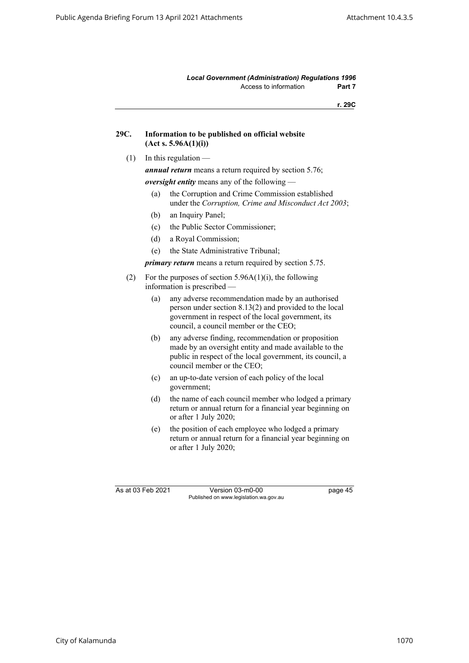*Local Government (Administration) Regulations 1996* Access to information **Part 7** 

**r. 29C**

| 29C. | Information to be published on official website |
|------|-------------------------------------------------|
|      | (Act s. 5.96A(1)(i))                            |

 $(1)$  In this regulation —

*annual return* means a return required by section 5.76;

*oversight entity* means any of the following —

- (a) the Corruption and Crime Commission established under the *Corruption, Crime and Misconduct Act 2003*;
- (b) an Inquiry Panel;
- (c) the Public Sector Commissioner;
- (d) a Royal Commission;
- (e) the State Administrative Tribunal;

*primary return* means a return required by section 5.75.

- (2) For the purposes of section  $5.96A(1)(i)$ , the following information is prescribed —
	- (a) any adverse recommendation made by an authorised person under section 8.13(2) and provided to the local government in respect of the local government, its council, a council member or the CEO;
	- (b) any adverse finding, recommendation or proposition made by an oversight entity and made available to the public in respect of the local government, its council, a council member or the CEO;
	- (c) an up-to-date version of each policy of the local government;
	- (d) the name of each council member who lodged a primary return or annual return for a financial year beginning on or after 1 July 2020;
	- (e) the position of each employee who lodged a primary return or annual return for a financial year beginning on or after 1 July 2020;

As at 03 Feb 2021 Version 03-m0-00 page 45 Published on www.legislation.wa.gov.au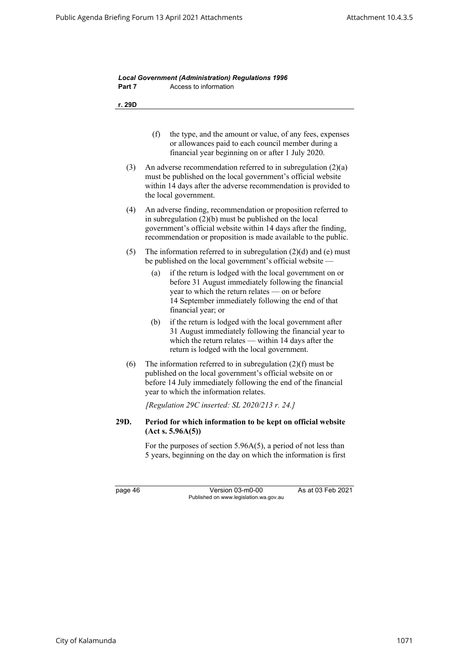| Part 7 | Access to information                                                                                                                                                                                                                                          |
|--------|----------------------------------------------------------------------------------------------------------------------------------------------------------------------------------------------------------------------------------------------------------------|
| r. 29D |                                                                                                                                                                                                                                                                |
|        |                                                                                                                                                                                                                                                                |
|        | (f)<br>the type, and the amount or value, of any fees, expenses<br>or allowances paid to each council member during a<br>financial year beginning on or after 1 July 2020.                                                                                     |
| (3)    | An adverse recommendation referred to in subregulation $(2)(a)$<br>must be published on the local government's official website<br>within 14 days after the adverse recommendation is provided to<br>the local government.                                     |
| (4)    | An adverse finding, recommendation or proposition referred to<br>in subregulation $(2)(b)$ must be published on the local<br>government's official website within 14 days after the finding,<br>recommendation or proposition is made available to the public. |
| (5)    | The information referred to in subregulation $(2)(d)$ and $(e)$ must<br>be published on the local government's official website —                                                                                                                              |
|        | if the return is lodged with the local government on or<br>(a)<br>before 31 August immediately following the financial<br>year to which the return relates - on or before<br>14 September immediately following the end of that<br>financial year; or          |
|        | (b)<br>if the return is lodged with the local government after<br>31 August immediately following the financial year to<br>which the return relates $-$ within 14 days after the<br>return is lodged with the local government.                                |
| (6)    | The information referred to in subregulation $(2)(f)$ must be<br>published on the local government's official website on or<br>before 14 July immediately following the end of the financial<br>year to which the information relates.                         |
|        | [Regulation 29C inserted: SL 2020/213 $r$ . 24.]                                                                                                                                                                                                               |
| 29D.   | Period for which information to be kept on official website<br>(Act s. 5.96A(5))                                                                                                                                                                               |
|        | For the purposes of section $5.96A(5)$ , a period of not less than<br>5 years, beginning on the day on which the information is first                                                                                                                          |

page 46 Version 03-m0-00 As at 03 Feb 2021 Published on www.legislation.wa.gov.au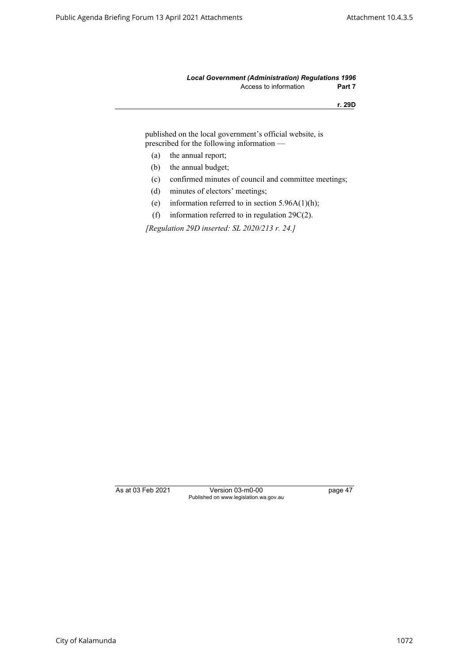#### *Local Government (Administration) Regulations 1996* Access to information **Part 7**

**r. 29D**

published on the local government's official website, is prescribed for the following information —

- (a) the annual report;
- (b) the annual budget;
- (c) confirmed minutes of council and committee meetings;
- (d) minutes of electors' meetings;
- (e) information referred to in section  $5.96A(1)(h)$ ;
- (f) information referred to in regulation 29C(2).

*[Regulation 29D inserted: SL 2020/213 r. 24.]*

As at 03 Feb 2021 Version 03-m0-00 page 47 Published on www.legislation.wa.gov.au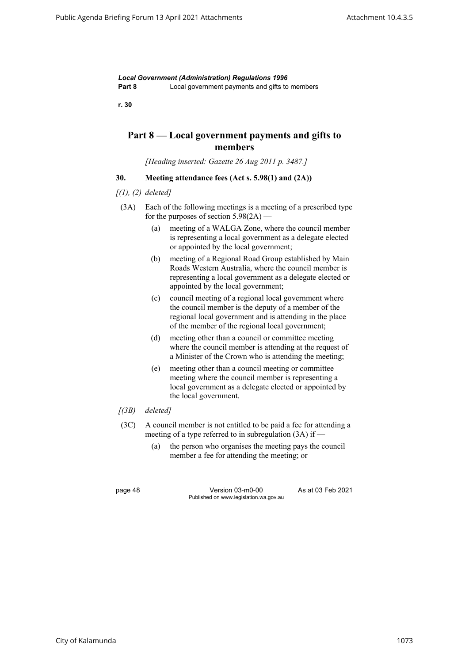*Local Government (Administration) Regulations 1996* **Part 8** Local government payments and gifts to members

**r. 30**

# **Part 8 — Local government payments and gifts to members**

*[Heading inserted: Gazette 26 Aug 2011 p. 3487.]*

# **30. Meeting attendance fees (Act s. 5.98(1) and (2A))**

- *[(1), (2) deleted]*
- (3A) Each of the following meetings is a meeting of a prescribed type for the purposes of section  $5.98(2A)$  —
	- (a) meeting of a WALGA Zone, where the council member is representing a local government as a delegate elected or appointed by the local government;
	- (b) meeting of a Regional Road Group established by Main Roads Western Australia, where the council member is representing a local government as a delegate elected or appointed by the local government;
	- (c) council meeting of a regional local government where the council member is the deputy of a member of the regional local government and is attending in the place of the member of the regional local government;
	- (d) meeting other than a council or committee meeting where the council member is attending at the request of a Minister of the Crown who is attending the meeting;
	- (e) meeting other than a council meeting or committee meeting where the council member is representing a local government as a delegate elected or appointed by the local government.
- *[(3B) deleted]*
- (3C) A council member is not entitled to be paid a fee for attending a meeting of a type referred to in subregulation (3A) if —
	- (a) the person who organises the meeting pays the council member a fee for attending the meeting; or

page 48 Version 03-m0-00 As at 03 Feb 2021 Published on www.legislation.wa.gov.au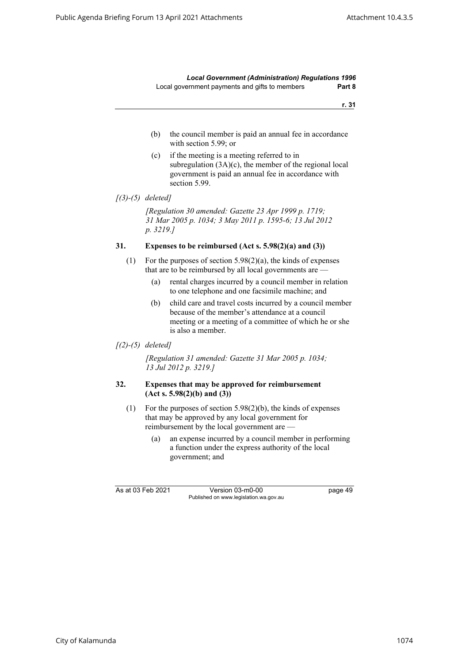*Local Government (Administration) Regulations 1996* Local government payments and gifts to members **Part 8**

**r. 31**

- (b) the council member is paid an annual fee in accordance with section 5.99; or
- (c) if the meeting is a meeting referred to in subregulation (3A)(c), the member of the regional local government is paid an annual fee in accordance with section 5.99.

*[Regulation 30 amended: Gazette 23 Apr 1999 p. 1719; 31 Mar 2005 p. 1034; 3 May 2011 p. 1595-6; 13 Jul 2012 p. 3219.]*

## **31. Expenses to be reimbursed (Act s. 5.98(2)(a) and (3))**

- (1) For the purposes of section 5.98(2)(a), the kinds of expenses that are to be reimbursed by all local governments are —
	- (a) rental charges incurred by a council member in relation to one telephone and one facsimile machine; and
	- (b) child care and travel costs incurred by a council member because of the member's attendance at a council meeting or a meeting of a committee of which he or she is also a member.

#### *[(2)-(5) deleted]*

*[Regulation 31 amended: Gazette 31 Mar 2005 p. 1034; 13 Jul 2012 p. 3219.]*

#### **32. Expenses that may be approved for reimbursement (Act s. 5.98(2)(b) and (3))**

- (1) For the purposes of section 5.98(2)(b), the kinds of expenses that may be approved by any local government for reimbursement by the local government are —
	- (a) an expense incurred by a council member in performing a function under the express authority of the local government; and

As at 03 Feb 2021 Version 03-m0-00 page 49 Published on www.legislation.wa.gov.au

*<sup>[(3)-(5)</sup> deleted]*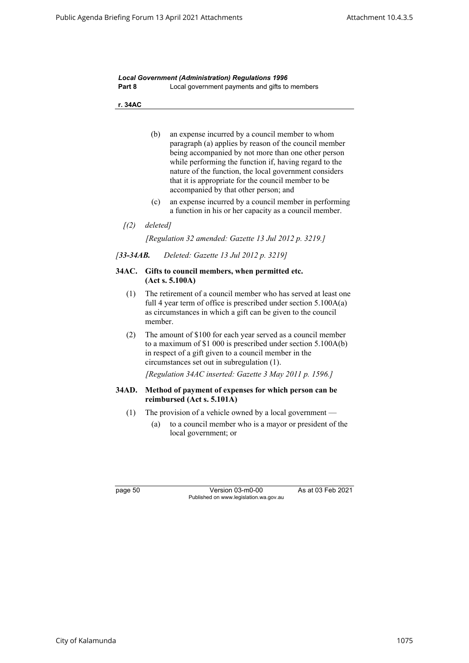|        | <b>Local Government (Administration) Regulations 1996</b> |
|--------|-----------------------------------------------------------|
| Part 8 | Local government payments and gifts to members            |

**r. 34AC**

- (b) an expense incurred by a council member to whom paragraph (a) applies by reason of the council member being accompanied by not more than one other person while performing the function if, having regard to the nature of the function, the local government considers that it is appropriate for the council member to be accompanied by that other person; and
- (c) an expense incurred by a council member in performing a function in his or her capacity as a council member.
- *[(2) deleted]*

*[Regulation 32 amended: Gazette 13 Jul 2012 p. 3219.]*

*[33-34AB. Deleted: Gazette 13 Jul 2012 p. 3219]*

#### **34AC. Gifts to council members, when permitted etc. (Act s. 5.100A)**

- (1) The retirement of a council member who has served at least one full 4 year term of office is prescribed under section 5.100A(a) as circumstances in which a gift can be given to the council member.
- (2) The amount of \$100 for each year served as a council member to a maximum of \$1 000 is prescribed under section 5.100A(b) in respect of a gift given to a council member in the circumstances set out in subregulation (1).

*[Regulation 34AC inserted: Gazette 3 May 2011 p. 1596.]*

#### **34AD. Method of payment of expenses for which person can be reimbursed (Act s. 5.101A)**

- (1) The provision of a vehicle owned by a local government
	- (a) to a council member who is a mayor or president of the local government; or

page 50 Version 03-m0-00 As at 03 Feb 2021 Published on www.legislation.wa.gov.au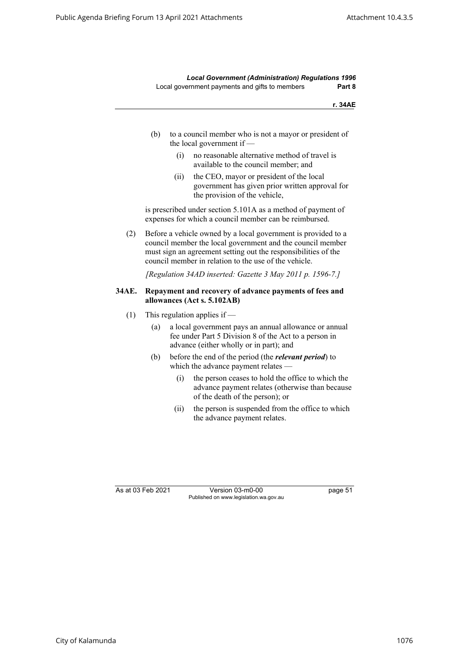*Local Government (Administration) Regulations 1996* Local government payments and gifts to members **Part 8**

**r. 34AE**

- (b) to a council member who is not a mayor or president of the local government if —
	- (i) no reasonable alternative method of travel is available to the council member; and
	- (ii) the CEO, mayor or president of the local government has given prior written approval for the provision of the vehicle,

is prescribed under section 5.101A as a method of payment of expenses for which a council member can be reimbursed.

(2) Before a vehicle owned by a local government is provided to a council member the local government and the council member must sign an agreement setting out the responsibilities of the council member in relation to the use of the vehicle.

*[Regulation 34AD inserted: Gazette 3 May 2011 p. 1596-7.]*

#### **34AE. Repayment and recovery of advance payments of fees and allowances (Act s. 5.102AB)**

- (1) This regulation applies if  $-$ 
	- (a) a local government pays an annual allowance or annual fee under Part 5 Division 8 of the Act to a person in advance (either wholly or in part); and
	- (b) before the end of the period (the *relevant period*) to which the advance payment relates —
		- (i) the person ceases to hold the office to which the advance payment relates (otherwise than because of the death of the person); or
		- (ii) the person is suspended from the office to which the advance payment relates.

As at 03 Feb 2021 Version 03-m0-00 page 51 Published on www.legislation.wa.gov.au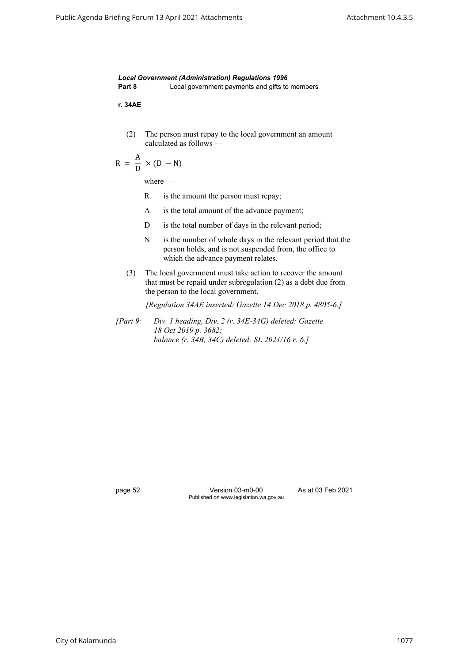|        | <b>Local Government (Administration) Regulations 1996</b> |
|--------|-----------------------------------------------------------|
| Part 8 | Local government payments and gifts to members            |

**r. 34AE**

(2) The person must repay to the local government an amount calculated as follows —

$$
R = \frac{A}{D} \times (D - N)
$$

where —

- R is the amount the person must repay;
- A is the total amount of the advance payment;
- D is the total number of days in the relevant period;
- N is the number of whole days in the relevant period that the person holds, and is not suspended from, the office to which the advance payment relates.
- (3) The local government must take action to recover the amount that must be repaid under subregulation (2) as a debt due from the person to the local government.

*[Regulation 34AE inserted: Gazette 14 Dec 2018 p. 4805-6.]*

*[Part 9: Div. 1 heading, Div. 2 (r. 34E-34G) deleted: Gazette 18 Oct 2019 p. 3682; balance (r. 34B, 34C) deleted: SL 2021/16 r. 6.]*

page 52 Version 03-m0-00 As at 03 Feb 2021 Published on www.legislation.wa.gov.au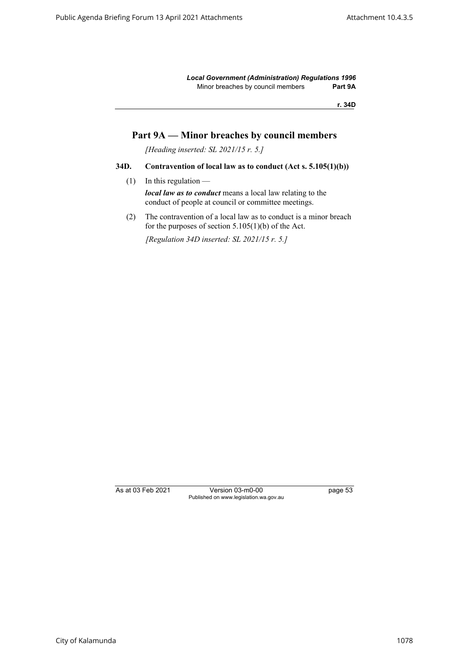*Local Government (Administration) Regulations 1996* Minor breaches by council members **Part 9A**

**r. 34D**

# **Part 9A — Minor breaches by council members**

*[Heading inserted: SL 2021/15 r. 5.]*

### **34D. Contravention of local law as to conduct (Act s. 5.105(1)(b))**

 $(1)$  In this regulation —

*local law as to conduct* means a local law relating to the conduct of people at council or committee meetings.

(2) The contravention of a local law as to conduct is a minor breach for the purposes of section  $5.105(1)(b)$  of the Act.

*[Regulation 34D inserted: SL 2021/15 r. 5.]*

As at 03 Feb 2021 Version 03-m0-00 page 53 Published on www.legislation.wa.gov.au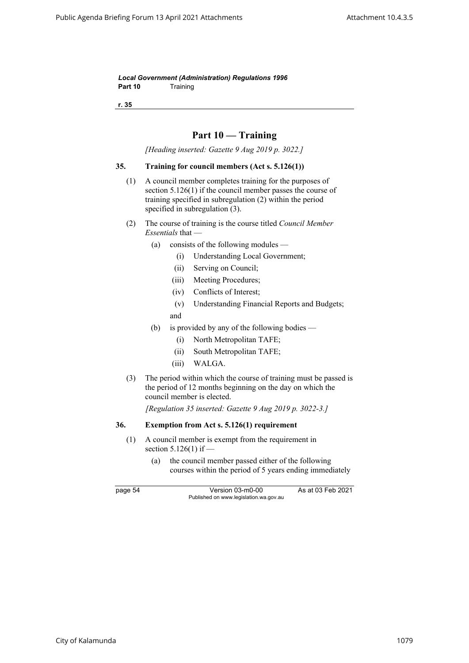*Local Government (Administration) Regulations 1996* Part 10 Training

**r. 35**

# **Part 10 — Training**

*[Heading inserted: Gazette 9 Aug 2019 p. 3022.]*

#### **35. Training for council members (Act s. 5.126(1))**

- (1) A council member completes training for the purposes of section 5.126(1) if the council member passes the course of training specified in subregulation (2) within the period specified in subregulation (3).
- (2) The course of training is the course titled *Council Member Essentials* that —
	- (a) consists of the following modules
		- (i) Understanding Local Government;
		- (ii) Serving on Council;
		- (iii) Meeting Procedures;
		- (iv) Conflicts of Interest;
		- (v) Understanding Financial Reports and Budgets; and
	- (b) is provided by any of the following bodies
		- (i) North Metropolitan TAFE;
		- (ii) South Metropolitan TAFE;
		- (iii) WALGA.
- (3) The period within which the course of training must be passed is the period of 12 months beginning on the day on which the council member is elected.

*[Regulation 35 inserted: Gazette 9 Aug 2019 p. 3022-3.]*

### **36. Exemption from Act s. 5.126(1) requirement**

- (1) A council member is exempt from the requirement in section 5.126(1) if —
	- (a) the council member passed either of the following courses within the period of 5 years ending immediately

page 54 Version 03-m0-00 As at 03 Feb 2021 Published on www.legislation.wa.gov.au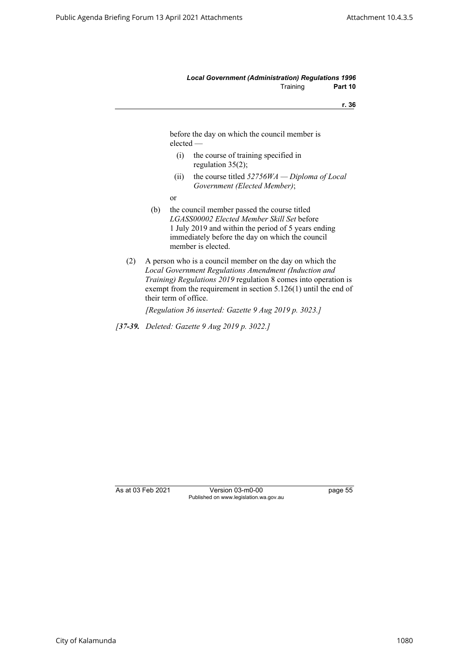#### *Local Government (Administration) Regulations 1996* Training **Part 10**

**r. 36**

before the day on which the council member is elected —

- (i) the course of training specified in regulation 35(2);
- (ii) the course titled *52756WA Diploma of Local Government (Elected Member)*;
- or
- (b) the council member passed the course titled *LGASS00002 Elected Member Skill Set* before 1 July 2019 and within the period of 5 years ending immediately before the day on which the council member is elected.
- (2) A person who is a council member on the day on which the *Local Government Regulations Amendment (Induction and Training) Regulations 2019* regulation 8 comes into operation is exempt from the requirement in section 5.126(1) until the end of their term of office.

*[Regulation 36 inserted: Gazette 9 Aug 2019 p. 3023.]*

*[37-39. Deleted: Gazette 9 Aug 2019 p. 3022.]*

As at 03 Feb 2021 Version 03-m0-00 page 55 Published on www.legislation.wa.gov.au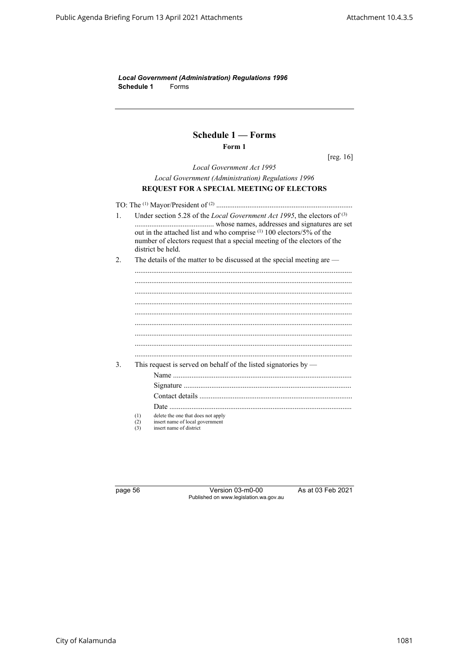*Local Government (Administration) Regulations 1996* **Schedule 1** Forms

# **Schedule 1 — Forms Form 1**

[reg. 16]

*Local Government Act 1995 Local Government (Administration) Regulations 1996* **REQUEST FOR A SPECIAL MEETING OF ELECTORS**

TO: The (1) Mayor/President of (2) .......................................................................... 1. Under section 5.28 of the *Local Government Act 1995*, the electors of (3) ........................................... whose names, addresses and signatures are set out in the attached list and who comprise (1) 100 electors/5% of the number of electors request that a special meeting of the electors of the district be held. 2. The details of the matter to be discussed at the special meeting are — ......................................................................................................................

...................................................................................................................... ...................................................................................................................... ...................................................................................................................... ...................................................................................................................... ...................................................................................................................... ...................................................................................................................... ...................................................................................................................... ...................................................................................................................... 3. This request is served on behalf of the listed signatories by — Name ................................................................................................. Signature ........................................................................................... Contact details ................................................................................... Date ................................................................................................... (1) delete the one that does not apply (2) insert name of local government<br>  $(3)$  insert name of district

insert name of district

page 56 Version 03-m0-00 As at 03 Feb 2021 Published on www.legislation.wa.gov.au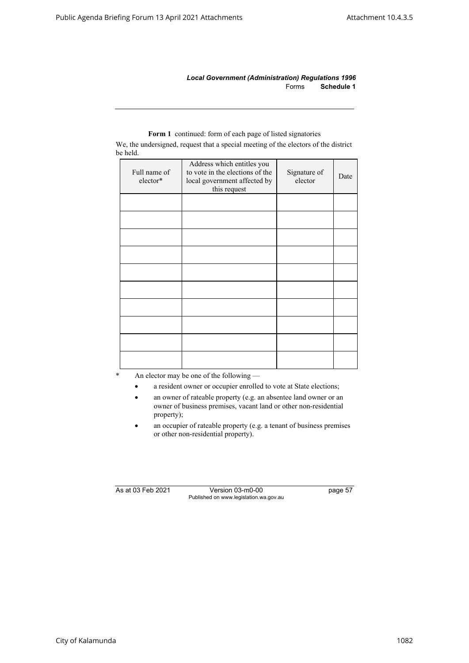*Local Government (Administration) Regulations 1996* Forms **Schedule 1**

| ov nene.                 |                                                                                                               |                         |      |
|--------------------------|---------------------------------------------------------------------------------------------------------------|-------------------------|------|
| Full name of<br>elector* | Address which entitles you<br>to vote in the elections of the<br>local government affected by<br>this request | Signature of<br>elector | Date |
|                          |                                                                                                               |                         |      |
|                          |                                                                                                               |                         |      |
|                          |                                                                                                               |                         |      |
|                          |                                                                                                               |                         |      |
|                          |                                                                                                               |                         |      |
|                          |                                                                                                               |                         |      |
|                          |                                                                                                               |                         |      |
|                          |                                                                                                               |                         |      |
|                          |                                                                                                               |                         |      |
|                          |                                                                                                               |                         |      |

# **Form 1** continued: form of each page of listed signatories

We, the undersigned, request that a special meeting of the electors of the district be held.

An elector may be one of the following  $-$ 

- a resident owner or occupier enrolled to vote at State elections;
- an owner of rateable property (e.g. an absentee land owner or an owner of business premises, vacant land or other non-residential property);
- an occupier of rateable property (e.g. a tenant of business premises or other non-residential property).

As at 03 Feb 2021 Version 03-m0-00 page 57 Published on www.legislation.wa.gov.au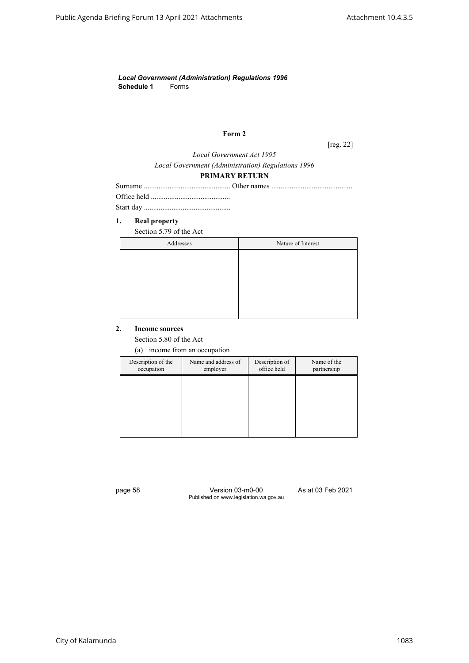*Local Government (Administration) Regulations 1996* **Schedule 1** Forms

# **Form 2**

[reg. 22]

*Local Government Act 1995 Local Government (Administration) Regulations 1996*

## **PRIMARY RETURN**

#### **1. Real property**

Section 5.79 of the Act

| Addresses | Nature of Interest |
|-----------|--------------------|
|           |                    |
|           |                    |
|           |                    |
|           |                    |
|           |                    |
|           |                    |

#### **2. Income sources**

Section 5.80 of the Act

(a) income from an occupation

| Description of the<br>occupation | Name and address of<br>employer | Description of<br>office held | Name of the<br>partnership |
|----------------------------------|---------------------------------|-------------------------------|----------------------------|
|                                  |                                 |                               |                            |
|                                  |                                 |                               |                            |
|                                  |                                 |                               |                            |
|                                  |                                 |                               |                            |

page 58 Version 03-m0-00 As at 03 Feb 2021 Published on www.legislation.wa.gov.au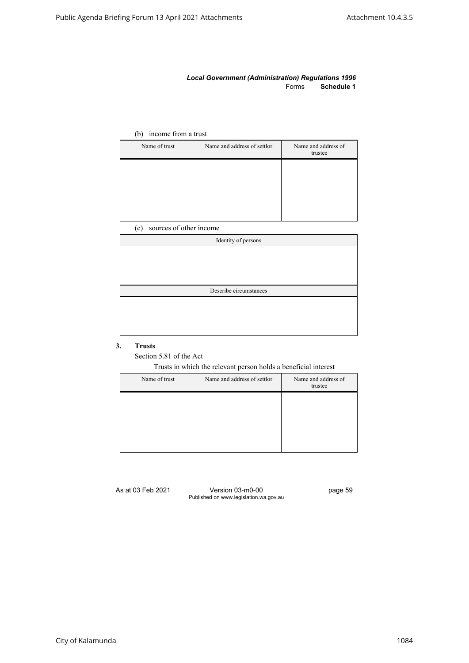### *Local Government (Administration) Regulations 1996* Forms **Schedule 1**

# (b) income from a trust

| Name of trust | Name and address of settlor | Name and address of<br>trustee |
|---------------|-----------------------------|--------------------------------|
|               |                             |                                |
|               |                             |                                |
|               |                             |                                |
|               |                             |                                |

(c) sources of other income

| Identity of persons    |  |
|------------------------|--|
|                        |  |
|                        |  |
|                        |  |
|                        |  |
| Describe circumstances |  |
|                        |  |
|                        |  |
|                        |  |

## **3. Trusts**

Section 5.81 of the Act

Trusts in which the relevant person holds a beneficial interest

| Name and address of settlor | Name and address of<br>trustee |
|-----------------------------|--------------------------------|
|                             |                                |
|                             |                                |
|                             |                                |
|                             |                                |

As at 03 Feb 2021 Version 03-m0-00 page 59 Published on www.legislation.wa.gov.au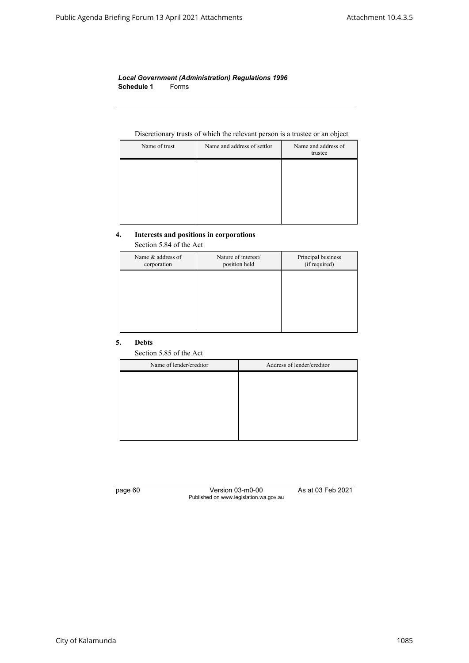#### *Local Government (Administration) Regulations 1996* **Schedule 1** Forms

#### Discretionary trusts of which the relevant person is a trustee or an object

| Name of trust | Name and address of settlor | Name and address of<br>trustee |
|---------------|-----------------------------|--------------------------------|
|               |                             |                                |
|               |                             |                                |
|               |                             |                                |
|               |                             |                                |

#### **4. Interests and positions in corporations**

Section 5.84 of the Act

| Name & address of<br>corporation | Nature of interest/<br>position held | Principal business<br>(if required) |
|----------------------------------|--------------------------------------|-------------------------------------|
|                                  |                                      |                                     |
|                                  |                                      |                                     |
|                                  |                                      |                                     |
|                                  |                                      |                                     |

#### **5. Debts**

Section 5.85 of the Act

| Name of lender/creditor | Address of lender/creditor |
|-------------------------|----------------------------|
|                         |                            |
|                         |                            |
|                         |                            |
|                         |                            |
|                         |                            |
|                         |                            |

page 60 Version 03-m0-00 As at 03 Feb 2021 Published on www.legislation.wa.gov.au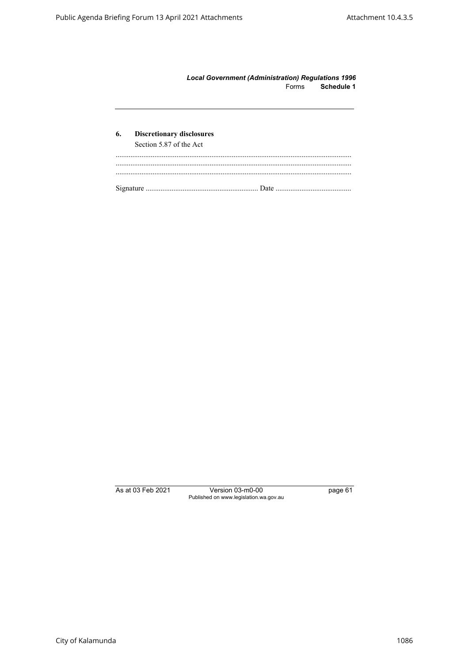| <b>Local Government (Administration) Regulations 1996</b> |            |
|-----------------------------------------------------------|------------|
| Forms                                                     | Schedule 1 |

| 6. | <b>Discretionary disclosures</b><br>Section 5.87 of the Act |
|----|-------------------------------------------------------------|
|    |                                                             |
|    |                                                             |
|    |                                                             |
|    |                                                             |

As at 03 Feb 2021 Version 03-m0-00 page 61 Published on www.legislation.wa.gov.au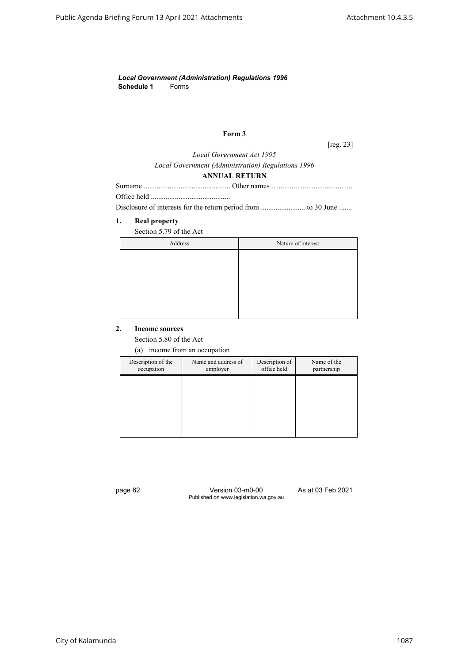*Local Government (Administration) Regulations 1996* **Schedule 1** Forms

# **Form 3**

[reg. 23]

*Local Government Act 1995 Local Government (Administration) Regulations 1996*

#### **ANNUAL RETURN**

Disclosure of interests for the return period from ........................ to 30 June .......

### **1. Real property**

Section 5.79 of the Act

| Address | Nature of interest |
|---------|--------------------|
|         |                    |
|         |                    |
|         |                    |
|         |                    |
|         |                    |
|         |                    |

### **2. Income sources**

Section 5.80 of the Act

(a) income from an occupation

| Description of the<br>occupation | Name and address of<br>employer | Description of<br>office held | Name of the<br>partnership |
|----------------------------------|---------------------------------|-------------------------------|----------------------------|
|                                  |                                 |                               |                            |
|                                  |                                 |                               |                            |
|                                  |                                 |                               |                            |
|                                  |                                 |                               |                            |

page 62 Version 03-m0-00 As at 03 Feb 2021 Published on www.legislation.wa.gov.au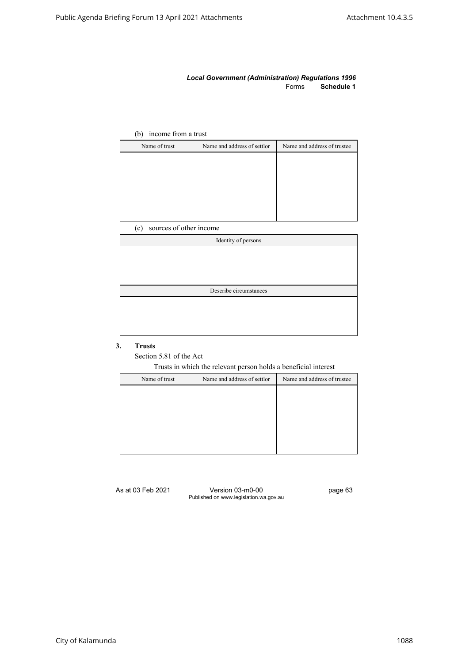### *Local Government (Administration) Regulations 1996* Forms **Schedule 1**

# (b) income from a trust

| Name of trust | Name and address of settlor | Name and address of trustee |
|---------------|-----------------------------|-----------------------------|
|               |                             |                             |
|               |                             |                             |
|               |                             |                             |
|               |                             |                             |
|               |                             |                             |
|               |                             |                             |

(c) sources of other income

| Identity of persons    |  |
|------------------------|--|
|                        |  |
|                        |  |
|                        |  |
|                        |  |
| Describe circumstances |  |
|                        |  |
|                        |  |
|                        |  |
|                        |  |

## **3. Trusts**

Section 5.81 of the Act

Trusts in which the relevant person holds a beneficial interest

| Name of trust | Name and address of settlor | Name and address of trustee |
|---------------|-----------------------------|-----------------------------|
|               |                             |                             |
|               |                             |                             |
|               |                             |                             |
|               |                             |                             |
|               |                             |                             |
|               |                             |                             |

As at 03 Feb 2021 Version 03-m0-00 page 63 Published on www.legislation.wa.gov.au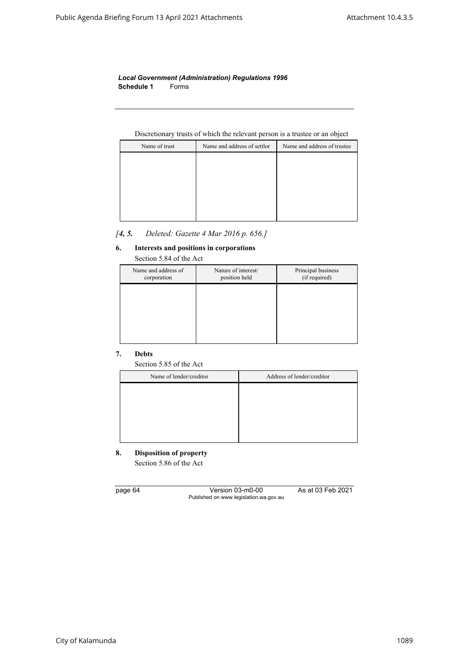*Local Government (Administration) Regulations 1996* **Schedule 1** Forms

## Discretionary trusts of which the relevant person is a trustee or an object

| Name of trust | Name and address of settlor | Name and address of trustee |
|---------------|-----------------------------|-----------------------------|
|               |                             |                             |
|               |                             |                             |
|               |                             |                             |
|               |                             |                             |
|               |                             |                             |
|               |                             |                             |

# *[4, 5. Deleted: Gazette 4 Mar 2016 p. 656.]*

## **6. Interests and positions in corporations**

| Section 5.84 of the Act            |                                      |                                     |
|------------------------------------|--------------------------------------|-------------------------------------|
| Name and address of<br>corporation | Nature of interest/<br>position held | Principal business<br>(if required) |
|                                    |                                      |                                     |
|                                    |                                      |                                     |
|                                    |                                      |                                     |
|                                    |                                      |                                     |

## **7. Debts**

Section 5.85 of the Act

| Name of lender/creditor | Address of lender/creditor |
|-------------------------|----------------------------|
|                         |                            |
|                         |                            |
|                         |                            |
|                         |                            |
|                         |                            |

# **8. Disposition of property** Section 5.86 of the Act

page 64 Version 03-m0-00 As at 03 Feb 2021 Published on www.legislation.wa.gov.au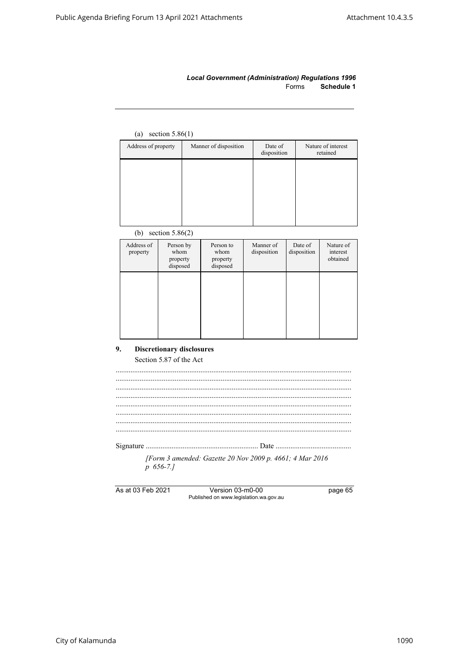### *Local Government (Administration) Regulations 1996* Forms **Schedule 1**

# (a) section 5.86(1)

| Address of property | Manner of disposition | Date of<br>disposition | Nature of interest<br>retained |
|---------------------|-----------------------|------------------------|--------------------------------|
|                     |                       |                        |                                |
|                     |                       |                        |                                |
|                     |                       |                        |                                |
|                     |                       |                        |                                |

# (b) section 5.86(2)

| Address of<br>property | Person by<br>whom<br>property<br>disposed | Person to<br>whom<br>property<br>disposed | Manner of<br>disposition | Date of<br>disposition | Nature of<br>interest<br>obtained |
|------------------------|-------------------------------------------|-------------------------------------------|--------------------------|------------------------|-----------------------------------|
|                        |                                           |                                           |                          |                        |                                   |
|                        |                                           |                                           |                          |                        |                                   |

# **9. Discretionary disclosures** Section 5.87 of the Act

| [Form 3 amended: Gazette 20 Nov 2009 p. 4661; 4 Mar 2016 |
|----------------------------------------------------------|
| $p$ 656-7.1                                              |
|                                                          |
|                                                          |

As at 03 Feb 2021 Version 03-m0-00 page 65 Published on www.legislation.wa.gov.au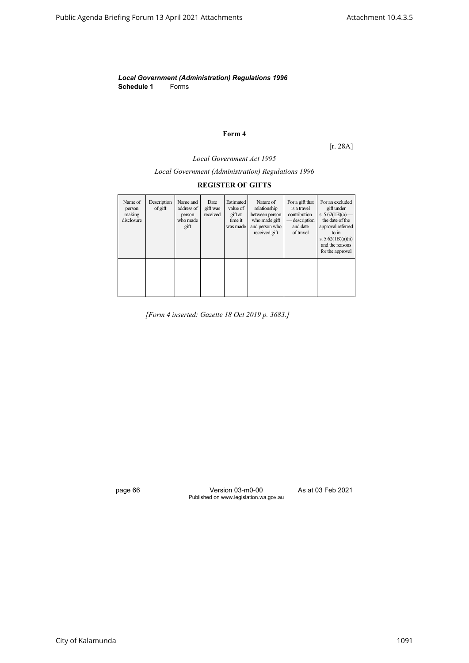*Local Government (Administration) Regulations 1996* **Schedule 1** Forms

# **Form 4**

[r. 28A]

*Local Government Act 1995*

*Local Government (Administration) Regulations 1996*

# **REGISTER OF GIFTS**

| Name of<br>person<br>making<br>disclosure | Description<br>of gift | Name and<br>address of<br>person<br>who made<br>gift | Date<br>gift was<br>received | Estimated<br>value of<br>gift at<br>time it<br>was made | Nature of<br>relationship<br>between person<br>who made gift<br>and person who<br>received gift | For a gift that<br>is a travel<br>contribution<br>description<br>and date<br>of travel | For an excluded<br>gift under<br>s. $5.62(1B)(a)$ —<br>the date of the<br>approval referred<br>to in<br>s. $5.62(1B)(a)(ii)$<br>and the reasons<br>for the approval |
|-------------------------------------------|------------------------|------------------------------------------------------|------------------------------|---------------------------------------------------------|-------------------------------------------------------------------------------------------------|----------------------------------------------------------------------------------------|---------------------------------------------------------------------------------------------------------------------------------------------------------------------|
|                                           |                        |                                                      |                              |                                                         |                                                                                                 |                                                                                        |                                                                                                                                                                     |

*[Form 4 inserted: Gazette 18 Oct 2019 p. 3683.]*

page 66 Version 03-m0-00 As at 03 Feb 2021 Published on www.legislation.wa.gov.au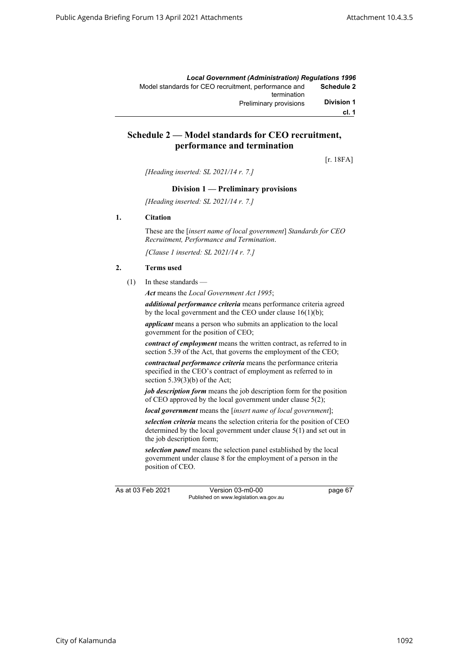|                   | <b>Local Government (Administration) Requlations 1996</b>           |
|-------------------|---------------------------------------------------------------------|
| Schedule 2        | Model standards for CEO recruitment, performance and<br>termination |
| <b>Division 1</b> | Preliminary provisions                                              |
| cl. 1             |                                                                     |

# **Schedule 2 — Model standards for CEO recruitment, performance and termination**

[r. 18FA]

*[Heading inserted: SL 2021/14 r. 7.]*

#### **Division 1 — Preliminary provisions**

*[Heading inserted: SL 2021/14 r. 7.]*

#### **1. Citation**

These are the [*insert name of local government*] *Standards for CEO Recruitment, Performance and Termination*.

*[Clause 1 inserted: SL 2021/14 r. 7.]*

#### **2. Terms used**

(1) In these standards —

*Act* means the *Local Government Act 1995*;

*additional performance criteria* means performance criteria agreed by the local government and the CEO under clause 16(1)(b);

*applicant* means a person who submits an application to the local government for the position of CEO;

*contract of employment* means the written contract, as referred to in section 5.39 of the Act, that governs the employment of the CEO;

*contractual performance criteria* means the performance criteria specified in the CEO's contract of employment as referred to in section  $5.39(3)(b)$  of the Act;

*job description form* means the job description form for the position of CEO approved by the local government under clause 5(2);

*local government* means the [*insert name of local government*];

*selection criteria* means the selection criteria for the position of CEO determined by the local government under clause 5(1) and set out in the job description form;

*selection panel* means the selection panel established by the local government under clause 8 for the employment of a person in the position of CEO.

As at 03 Feb 2021 Version 03-m0-00 page 67 Published on www.legislation.wa.gov.au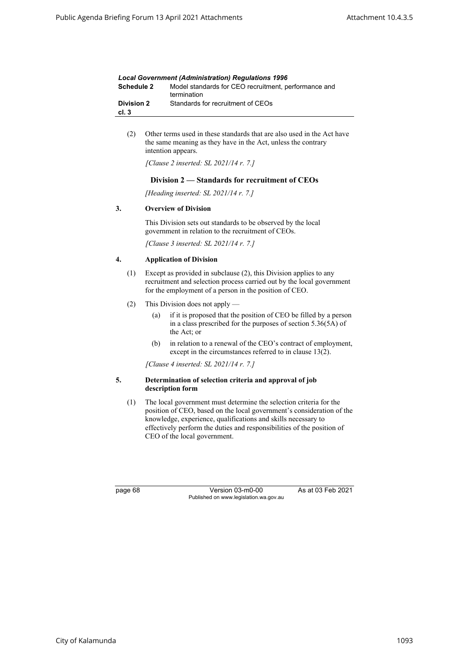| <b>Local Government (Administration) Requlations 1996</b> |                                                                     |  |
|-----------------------------------------------------------|---------------------------------------------------------------------|--|
| <b>Schedule 2</b>                                         | Model standards for CEO recruitment, performance and<br>termination |  |
| <b>Division 2</b><br>cl.3                                 | Standards for recruitment of CEOs                                   |  |

(2) Other terms used in these standards that are also used in the Act have the same meaning as they have in the Act, unless the contrary intention appears.

*[Clause 2 inserted: SL 2021/14 r. 7.]*

#### **Division 2 — Standards for recruitment of CEOs**

*[Heading inserted: SL 2021/14 r. 7.]*

#### **3. Overview of Division**

This Division sets out standards to be observed by the local government in relation to the recruitment of CEOs.

*[Clause 3 inserted: SL 2021/14 r. 7.]*

#### **4. Application of Division**

- (1) Except as provided in subclause (2), this Division applies to any recruitment and selection process carried out by the local government for the employment of a person in the position of CEO.
- (2) This Division does not apply
	- (a) if it is proposed that the position of CEO be filled by a person in a class prescribed for the purposes of section 5.36(5A) of the Act; or
	- (b) in relation to a renewal of the CEO's contract of employment, except in the circumstances referred to in clause 13(2).

*[Clause 4 inserted: SL 2021/14 r. 7.]*

#### **5. Determination of selection criteria and approval of job description form**

(1) The local government must determine the selection criteria for the position of CEO, based on the local government's consideration of the knowledge, experience, qualifications and skills necessary to effectively perform the duties and responsibilities of the position of CEO of the local government.

page 68 Version 03-m0-00 As at 03 Feb 2021 Published on www.legislation.wa.gov.au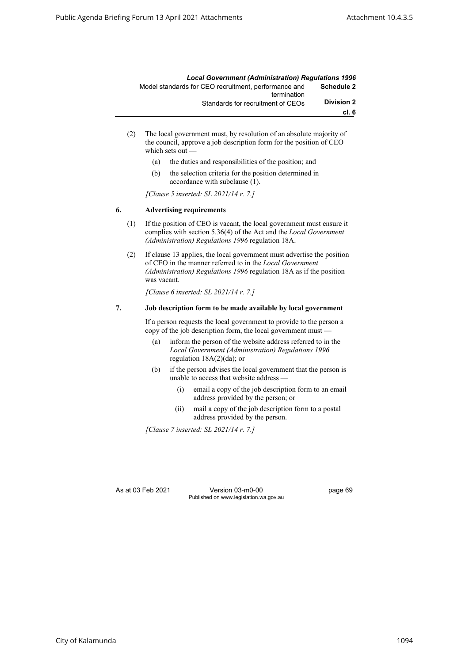|                   | <b>Local Government (Administration) Requlations 1996</b> |
|-------------------|-----------------------------------------------------------|
| Schedule 2        | Model standards for CEO recruitment, performance and      |
|                   | termination                                               |
| <b>Division 2</b> | Standards for recruitment of CEOs                         |
| cl.6              |                                                           |

- (2) The local government must, by resolution of an absolute majority of the council, approve a job description form for the position of CEO which sets out
	- (a) the duties and responsibilities of the position; and
	- (b) the selection criteria for the position determined in accordance with subclause (1).

*[Clause 5 inserted: SL 2021/14 r. 7.]*

#### **6. Advertising requirements**

- (1) If the position of CEO is vacant, the local government must ensure it complies with section 5.36(4) of the Act and the *Local Government (Administration) Regulations 1996* regulation 18A.
- (2) If clause 13 applies, the local government must advertise the position of CEO in the manner referred to in the *Local Government (Administration) Regulations 1996* regulation 18A as if the position was vacant.

*[Clause 6 inserted: SL 2021/14 r. 7.]*

#### **7. Job description form to be made available by local government**

If a person requests the local government to provide to the person a copy of the job description form, the local government must —

- (a) inform the person of the website address referred to in the *Local Government (Administration) Regulations 1996*  regulation 18A(2)(da); or
- (b) if the person advises the local government that the person is unable to access that website address —
	- (i) email a copy of the job description form to an email address provided by the person; or
	- (ii) mail a copy of the job description form to a postal address provided by the person.

*[Clause 7 inserted: SL 2021/14 r. 7.]*

As at 03 Feb 2021 Version 03-m0-00 page 69 Published on www.legislation.wa.gov.au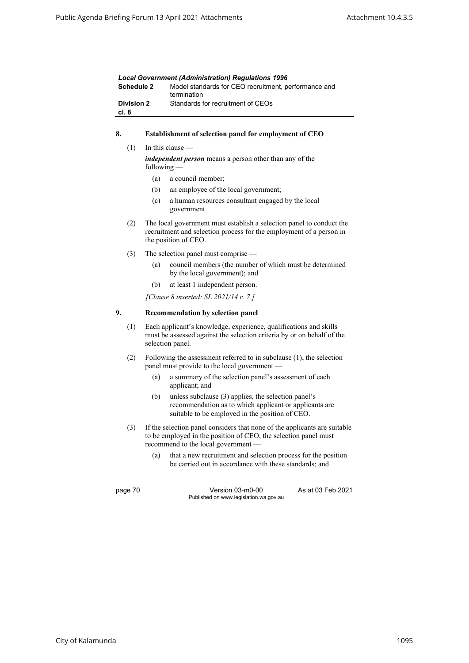| <b>Local Government (Administration) Regulations 1996</b> |                                                                     |  |  |
|-----------------------------------------------------------|---------------------------------------------------------------------|--|--|
| Schedule 2                                                | Model standards for CEO recruitment, performance and<br>termination |  |  |
| <b>Division 2</b><br>cl. 8                                | Standards for recruitment of CEOs                                   |  |  |

# **8. Establishment of selection panel for employment of CEO**

 $(1)$  In this clause –

*independent person* means a person other than any of the following —

- (a) a council member;
- (b) an employee of the local government;
- (c) a human resources consultant engaged by the local government.
- (2) The local government must establish a selection panel to conduct the recruitment and selection process for the employment of a person in the position of CEO.
- (3) The selection panel must comprise
	- (a) council members (the number of which must be determined by the local government); and
	- (b) at least 1 independent person.

*[Clause 8 inserted: SL 2021/14 r. 7.]*

#### **9. Recommendation by selection panel**

- (1) Each applicant's knowledge, experience, qualifications and skills must be assessed against the selection criteria by or on behalf of the selection panel.
- (2) Following the assessment referred to in subclause (1), the selection panel must provide to the local government —
	- (a) a summary of the selection panel's assessment of each applicant; and
	- (b) unless subclause (3) applies, the selection panel's recommendation as to which applicant or applicants are suitable to be employed in the position of CEO.
- (3) If the selection panel considers that none of the applicants are suitable to be employed in the position of CEO, the selection panel must recommend to the local government —
	- (a) that a new recruitment and selection process for the position be carried out in accordance with these standards; and

page 70 Version 03-m0-00 As at 03 Feb 2021 Published on www.legislation.wa.gov.au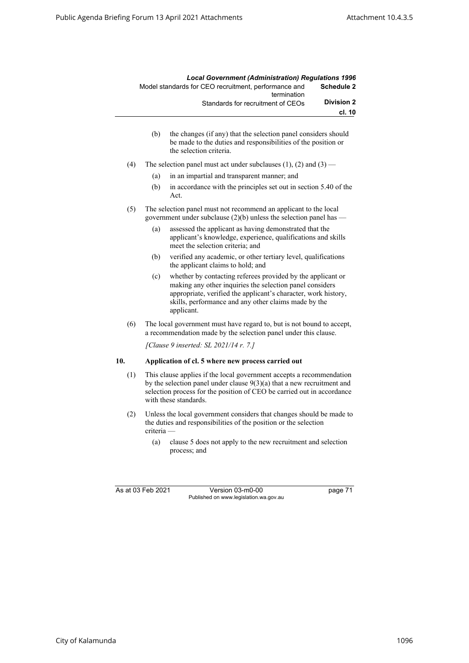|                   | <b>Local Government (Administration) Requlations 1996</b>           |
|-------------------|---------------------------------------------------------------------|
| <b>Schedule 2</b> | Model standards for CEO recruitment, performance and<br>termination |
| <b>Division 2</b> | Standards for recruitment of CEOs                                   |
| cl. 10            |                                                                     |

- (b) the changes (if any) that the selection panel considers should be made to the duties and responsibilities of the position or the selection criteria.
- (4) The selection panel must act under subclauses  $(1)$ ,  $(2)$  and  $(3)$ 
	- (a) in an impartial and transparent manner; and
	- (b) in accordance with the principles set out in section 5.40 of the Act.
- (5) The selection panel must not recommend an applicant to the local government under subclause  $(2)(b)$  unless the selection panel has —
	- (a) assessed the applicant as having demonstrated that the applicant's knowledge, experience, qualifications and skills meet the selection criteria; and
	- (b) verified any academic, or other tertiary level, qualifications the applicant claims to hold; and
	- (c) whether by contacting referees provided by the applicant or making any other inquiries the selection panel considers appropriate, verified the applicant's character, work history, skills, performance and any other claims made by the applicant.
- (6) The local government must have regard to, but is not bound to accept, a recommendation made by the selection panel under this clause.

*[Clause 9 inserted: SL 2021/14 r. 7.]*

#### **10. Application of cl. 5 where new process carried out**

- (1) This clause applies if the local government accepts a recommendation by the selection panel under clause 9(3)(a) that a new recruitment and selection process for the position of CEO be carried out in accordance with these standards.
- (2) Unless the local government considers that changes should be made to the duties and responsibilities of the position or the selection criteria —
	- (a) clause 5 does not apply to the new recruitment and selection process; and

As at 03 Feb 2021 Version 03-m0-00 page 71 Published on www.legislation.wa.gov.au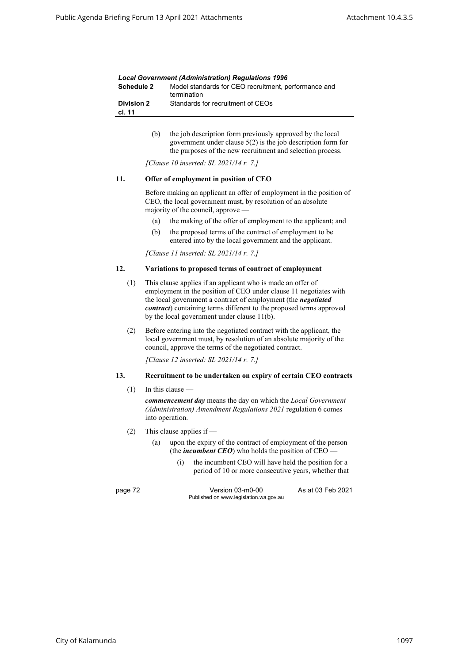| <b>Local Government (Administration) Requlations 1996</b> |                                                                     |  |
|-----------------------------------------------------------|---------------------------------------------------------------------|--|
| Schedule 2                                                | Model standards for CEO recruitment, performance and<br>termination |  |
| <b>Division 2</b><br>cl. 11                               | Standards for recruitment of CEOs                                   |  |

(b) the job description form previously approved by the local government under clause 5(2) is the job description form for the purposes of the new recruitment and selection process.

*[Clause 10 inserted: SL 2021/14 r. 7.]*

#### **11. Offer of employment in position of CEO**

Before making an applicant an offer of employment in the position of CEO, the local government must, by resolution of an absolute majority of the council, approve —

- (a) the making of the offer of employment to the applicant; and
- (b) the proposed terms of the contract of employment to be entered into by the local government and the applicant.

*[Clause 11 inserted: SL 2021/14 r. 7.]*

#### **12. Variations to proposed terms of contract of employment**

- (1) This clause applies if an applicant who is made an offer of employment in the position of CEO under clause 11 negotiates with the local government a contract of employment (the *negotiated contract*) containing terms different to the proposed terms approved by the local government under clause 11(b).
- (2) Before entering into the negotiated contract with the applicant, the local government must, by resolution of an absolute majority of the council, approve the terms of the negotiated contract.

*[Clause 12 inserted: SL 2021/14 r. 7.]*

#### **13. Recruitment to be undertaken on expiry of certain CEO contracts**

 $(1)$  In this clause –

*commencement day* means the day on which the *Local Government (Administration) Amendment Regulations 2021* regulation 6 comes into operation.

- (2) This clause applies if
	- (a) upon the expiry of the contract of employment of the person (the *incumbent CEO*) who holds the position of CEO
		- (i) the incumbent CEO will have held the position for a period of 10 or more consecutive years, whether that

page 72 Version 03-m0-00 As at 03 Feb 2021 Published on www.legislation.wa.gov.au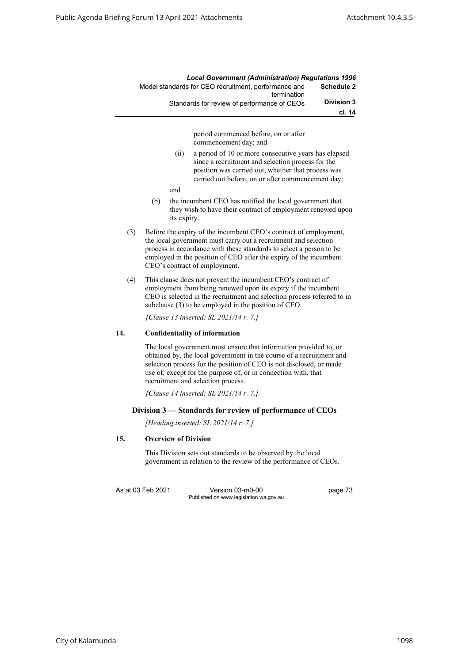|     |     |                             | <b>Local Government (Administration) Regulations 1996</b>                                                                                                                                                                                                                                                                |                   |
|-----|-----|-----------------------------|--------------------------------------------------------------------------------------------------------------------------------------------------------------------------------------------------------------------------------------------------------------------------------------------------------------------------|-------------------|
|     |     |                             | Model standards for CEO recruitment, performance and<br>termination                                                                                                                                                                                                                                                      | <b>Schedule 2</b> |
|     |     |                             | Standards for review of performance of CEOs                                                                                                                                                                                                                                                                              | <b>Division 3</b> |
|     |     |                             |                                                                                                                                                                                                                                                                                                                          | cl. 14            |
|     |     |                             | period commenced before, on or after<br>commencement day; and                                                                                                                                                                                                                                                            |                   |
|     |     | (ii)                        | a period of 10 or more consecutive years has elapsed<br>since a recruitment and selection process for the<br>position was carried out, whether that process was<br>carried out before, on or after commencement day;                                                                                                     |                   |
|     |     | and                         |                                                                                                                                                                                                                                                                                                                          |                   |
|     | (b) | its expiry.                 | the incumbent CEO has notified the local government that<br>they wish to have their contract of employment renewed upon                                                                                                                                                                                                  |                   |
| (3) |     |                             | Before the expiry of the incumbent CEO's contract of employment,<br>the local government must carry out a recruitment and selection<br>process in accordance with these standards to select a person to be<br>employed in the position of CEO after the expiry of the incumbent<br>CEO's contract of employment.         |                   |
| (4) |     |                             | This clause does not prevent the incumbent CEO's contract of<br>employment from being renewed upon its expiry if the incumbent<br>CEO is selected in the recruitment and selection process referred to in<br>subclause (3) to be employed in the position of CEO.                                                        |                   |
|     |     |                             | [Clause 13 inserted: SL 2021/14 r. 7.]                                                                                                                                                                                                                                                                                   |                   |
| 14. |     |                             | <b>Confidentiality of information</b>                                                                                                                                                                                                                                                                                    |                   |
|     |     |                             | The local government must ensure that information provided to, or<br>obtained by, the local government in the course of a recruitment and<br>selection process for the position of CEO is not disclosed, or made<br>use of, except for the purpose of, or in connection with, that<br>recruitment and selection process. |                   |
|     |     |                             | [Clause 14 inserted: SL 2021/14 r. 7.]                                                                                                                                                                                                                                                                                   |                   |
|     |     |                             | Division 3 – Standards for review of performance of CEOs                                                                                                                                                                                                                                                                 |                   |
|     |     |                             | [Heading inserted: SL 2021/14 r. 7.]                                                                                                                                                                                                                                                                                     |                   |
| 15. |     | <b>Overview of Division</b> |                                                                                                                                                                                                                                                                                                                          |                   |
|     |     |                             | This Division sets out standards to be observed by the local<br>government in relation to the review of the performance of CEOs.                                                                                                                                                                                         |                   |

As at 03 Feb 2021 Version 03-m0-00 page 73 Published on www.legislation.wa.gov.au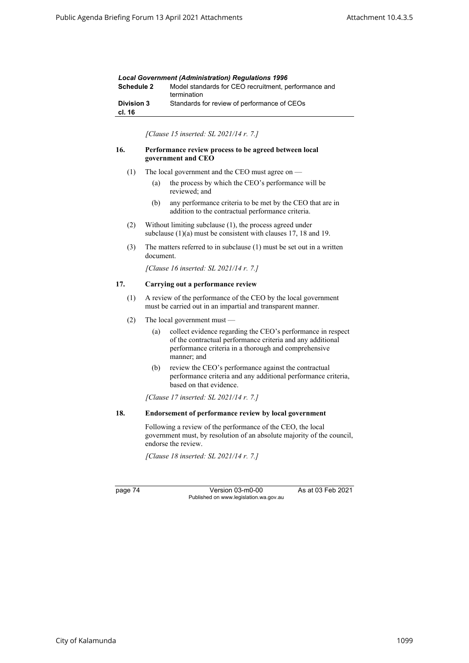| <b>Local Government (Administration) Regulations 1996</b> |                                                                     |  |
|-----------------------------------------------------------|---------------------------------------------------------------------|--|
| <b>Schedule 2</b>                                         | Model standards for CEO recruitment, performance and<br>termination |  |
| <b>Division 3</b><br>cl. 16                               | Standards for review of performance of CEOs                         |  |

*[Clause 15 inserted: SL 2021/14 r. 7.]*

#### **16. Performance review process to be agreed between local government and CEO**

- (1) The local government and the CEO must agree on
	- (a) the process by which the CEO's performance will be reviewed; and
	- (b) any performance criteria to be met by the CEO that are in addition to the contractual performance criteria.
- (2) Without limiting subclause (1), the process agreed under subclause (1)(a) must be consistent with clauses 17, 18 and 19.
- (3) The matters referred to in subclause (1) must be set out in a written document.

*[Clause 16 inserted: SL 2021/14 r. 7.]*

#### **17. Carrying out a performance review**

- (1) A review of the performance of the CEO by the local government must be carried out in an impartial and transparent manner.
- (2) The local government must
	- (a) collect evidence regarding the CEO's performance in respect of the contractual performance criteria and any additional performance criteria in a thorough and comprehensive manner; and
	- (b) review the CEO's performance against the contractual performance criteria and any additional performance criteria, based on that evidence.

*[Clause 17 inserted: SL 2021/14 r. 7.]*

#### **18. Endorsement of performance review by local government**

Following a review of the performance of the CEO, the local government must, by resolution of an absolute majority of the council, endorse the review.

*[Clause 18 inserted: SL 2021/14 r. 7.]*

page 74 Version 03-m0-00 As at 03 Feb 2021 Published on www.legislation.wa.gov.au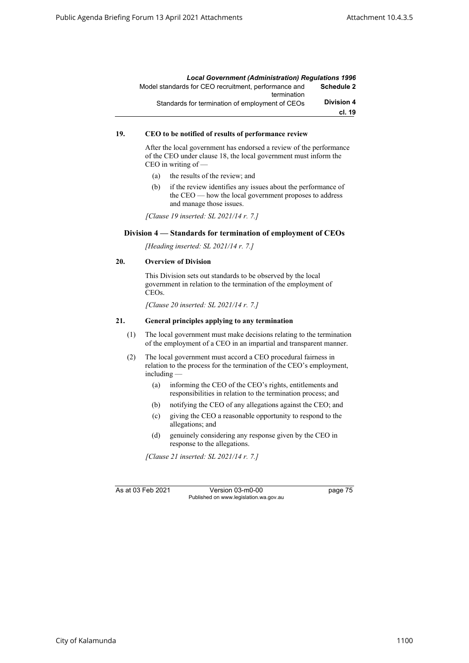|                   | <b>Local Government (Administration) Requlations 1996</b>           |
|-------------------|---------------------------------------------------------------------|
| <b>Schedule 2</b> | Model standards for CEO recruitment, performance and<br>termination |
| <b>Division 4</b> | Standards for termination of employment of CEOs                     |
| cl. 19            |                                                                     |

#### **19. CEO to be notified of results of performance review**

After the local government has endorsed a review of the performance of the CEO under clause 18, the local government must inform the CEO in writing of —

- (a) the results of the review; and
- (b) if the review identifies any issues about the performance of the CEO — how the local government proposes to address and manage those issues.

*[Clause 19 inserted: SL 2021/14 r. 7.]*

#### **Division 4 — Standards for termination of employment of CEOs**

*[Heading inserted: SL 2021/14 r. 7.]*

### **20. Overview of Division**

This Division sets out standards to be observed by the local government in relation to the termination of the employment of CEOs.

*[Clause 20 inserted: SL 2021/14 r. 7.]*

#### **21. General principles applying to any termination**

- (1) The local government must make decisions relating to the termination of the employment of a CEO in an impartial and transparent manner.
- (2) The local government must accord a CEO procedural fairness in relation to the process for the termination of the CEO's employment, including —
	- (a) informing the CEO of the CEO's rights, entitlements and responsibilities in relation to the termination process; and
	- (b) notifying the CEO of any allegations against the CEO; and
	- (c) giving the CEO a reasonable opportunity to respond to the allegations; and
	- (d) genuinely considering any response given by the CEO in response to the allegations.

*[Clause 21 inserted: SL 2021/14 r. 7.]*

As at 03 Feb 2021 Version 03-m0-00 page 75 Published on www.legislation.wa.gov.au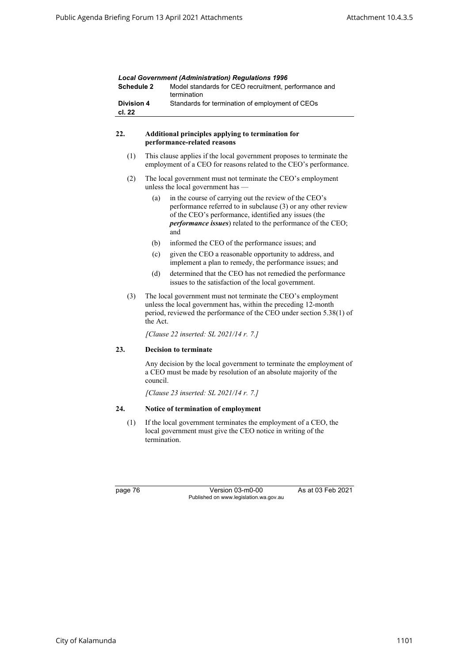| Schedule 2                             |                                                                                                                                                                                                                    | Lucal Government (Administration) Regulations 1990<br>Model standards for CEO recruitment, performance and<br>termination                                                                                                                          |  |  |
|----------------------------------------|--------------------------------------------------------------------------------------------------------------------------------------------------------------------------------------------------------------------|----------------------------------------------------------------------------------------------------------------------------------------------------------------------------------------------------------------------------------------------------|--|--|
| <b>Division 4</b><br>cl. 22            |                                                                                                                                                                                                                    | Standards for termination of employment of CEOs                                                                                                                                                                                                    |  |  |
| 22.                                    |                                                                                                                                                                                                                    | Additional principles applying to termination for<br>performance-related reasons                                                                                                                                                                   |  |  |
| (1)                                    |                                                                                                                                                                                                                    | This clause applies if the local government proposes to terminate the<br>employment of a CEO for reasons related to the CEO's performance.                                                                                                         |  |  |
| (2)                                    | The local government must not terminate the CEO's employment<br>unless the local government has -                                                                                                                  |                                                                                                                                                                                                                                                    |  |  |
|                                        | (a)                                                                                                                                                                                                                | in the course of carrying out the review of the CEO's<br>performance referred to in subclause (3) or any other review<br>of the CEO's performance, identified any issues (the<br>performance issues) related to the performance of the CEO;<br>and |  |  |
|                                        | (b)                                                                                                                                                                                                                | informed the CEO of the performance issues; and                                                                                                                                                                                                    |  |  |
|                                        | (c)                                                                                                                                                                                                                | given the CEO a reasonable opportunity to address, and<br>implement a plan to remedy, the performance issues; and                                                                                                                                  |  |  |
|                                        | (d)                                                                                                                                                                                                                | determined that the CEO has not remedied the performance<br>issues to the satisfaction of the local government.                                                                                                                                    |  |  |
| (3)                                    | The local government must not terminate the CEO's employment<br>unless the local government has, within the preceding 12-month<br>period, reviewed the performance of the CEO under section 5.38(1) of<br>the Act. |                                                                                                                                                                                                                                                    |  |  |
| [Clause 22 inserted: SL 2021/14 r. 7.] |                                                                                                                                                                                                                    |                                                                                                                                                                                                                                                    |  |  |
| 23.                                    |                                                                                                                                                                                                                    | <b>Decision to terminate</b>                                                                                                                                                                                                                       |  |  |
|                                        | council.                                                                                                                                                                                                           | Any decision by the local government to terminate the employment of<br>a CEO must be made by resolution of an absolute majority of the                                                                                                             |  |  |
|                                        |                                                                                                                                                                                                                    | [Clause 23 inserted: SL 2021/14 r. 7.]                                                                                                                                                                                                             |  |  |
| 24.                                    |                                                                                                                                                                                                                    | Notice of termination of employment                                                                                                                                                                                                                |  |  |
| (1)                                    | If the local government terminates the employment of a CEO, the<br>local government must give the CEO notice in writing of the<br>termination.                                                                     |                                                                                                                                                                                                                                                    |  |  |

page 76 Version 03-m0-00 As at 03 Feb 2021 Published on www.legislation.wa.gov.au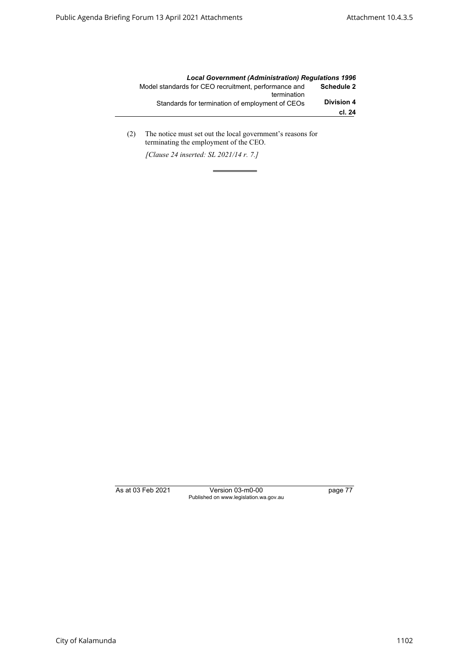|                   | <b>Local Government (Administration) Requlations 1996</b>           |
|-------------------|---------------------------------------------------------------------|
| <b>Schedule 2</b> | Model standards for CEO recruitment, performance and<br>termination |
| <b>Division 4</b> | Standards for termination of employment of CEOs                     |
| cl. 24            |                                                                     |

(2) The notice must set out the local government's reasons for terminating the employment of the CEO.

*[Clause 24 inserted: SL 2021/14 r. 7.]*

As at 03 Feb 2021 Version 03-m0-00 page 77 Published on www.legislation.wa.gov.au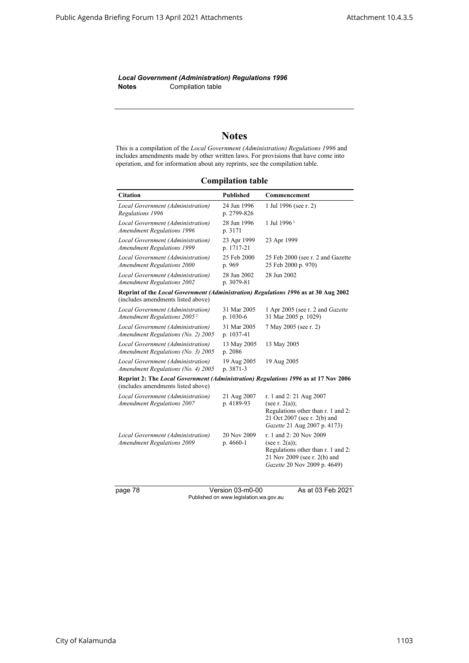*Local Government (Administration) Regulations 1996* **Notes** Compilation table

# **Notes**

This is a compilation of the *Local Government (Administration) Regulations 1996* and includes amendments made by other written laws. For provisions that have come into operation, and for information about any reprints, see the compilation table.

**Compilation table**

| <b>Citation</b>                                                                                                           | <b>Published</b>           | Commencement                                                                                                                                       |
|---------------------------------------------------------------------------------------------------------------------------|----------------------------|----------------------------------------------------------------------------------------------------------------------------------------------------|
| Local Government (Administration)<br>Regulations 1996                                                                     | 24 Jun 1996<br>p. 2799-826 | 1 Jul 1996 (see r. 2)                                                                                                                              |
| Local Government (Administration)<br><b>Amendment Regulations 1996</b>                                                    | 28 Jun 1996<br>p. 3171     | 1 Jul 1996 <sup>1</sup>                                                                                                                            |
| Local Government (Administration)<br><b>Amendment Regulations 1999</b>                                                    | 23 Apr 1999<br>p. 1717-21  | 23 Apr 1999                                                                                                                                        |
| Local Government (Administration)<br><b>Amendment Regulations 2000</b>                                                    | 25 Feb 2000<br>p. 969      | 25 Feb 2000 (see r. 2 and Gazette<br>25 Feb 2000 p. 970)                                                                                           |
| Local Government (Administration)<br><b>Amendment Regulations 2002</b>                                                    | 28 Jun 2002<br>p. 3079-81  | 28 Jun 2002                                                                                                                                        |
| Reprint of the Local Government (Administration) Regulations 1996 as at 30 Aug 2002<br>(includes amendments listed above) |                            |                                                                                                                                                    |
| Local Government (Administration)<br>Amendment Regulations 2005 <sup>2</sup>                                              | 31 Mar 2005<br>p. 1030-6   | 1 Apr 2005 (see r. 2 and Gazette<br>31 Mar 2005 p. 1029)                                                                                           |
| Local Government (Administration)<br>Amendment Regulations (No. 2) 2005                                                   | 31 Mar 2005<br>p. 1037-41  | 7 May 2005 (see r. 2)                                                                                                                              |
| Local Government (Administration)<br>Amendment Regulations (No. 3) 2005                                                   | 13 May 2005<br>p. 2086     | 13 May 2005                                                                                                                                        |
| Local Government (Administration)<br>Amendment Regulations (No. 4) 2005                                                   | 19 Aug 2005<br>p. 3871-3   | 19 Aug 2005                                                                                                                                        |
| Reprint 2: The Local Government (Administration) Regulations 1996 as at 17 Nov 2006<br>(includes amendments listed above) |                            |                                                                                                                                                    |
| Local Government (Administration)<br><b>Amendment Regulations 2007</b>                                                    | 21 Aug 2007<br>p. 4189-93  | r. 1 and 2: 21 Aug 2007<br>(see r. $2(a)$ );<br>Regulations other than r. 1 and 2:<br>21 Oct 2007 (see r. 2(b) and<br>Gazette 21 Aug 2007 p. 4173) |
| Local Government (Administration)<br><b>Amendment Regulations 2009</b>                                                    | 20 Nov 2009<br>p. 4660-1   | r. 1 and 2: 20 Nov 2009<br>(see r. $2(a)$ );<br>Regulations other than r. 1 and 2:<br>21 Nov 2009 (see r. 2(b) and<br>Gazette 20 Nov 2009 p. 4649) |
| page 78                                                                                                                   | Version 03-m0-00           | As at 03 Feb 2021                                                                                                                                  |

Published on www.legislation.wa.gov.au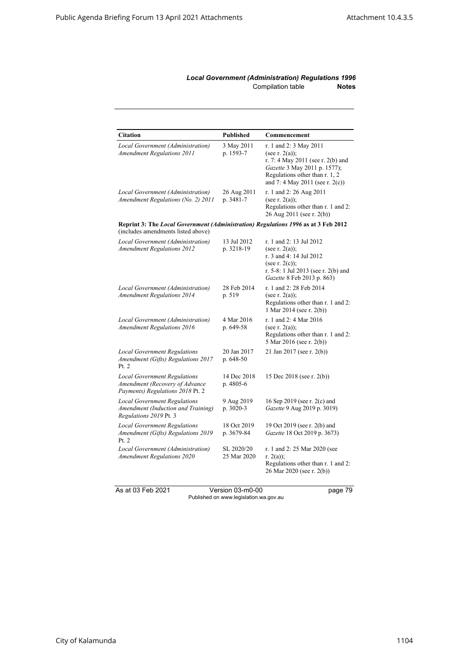## *Local Government (Administration) Regulations 1996* Compilation table **Notes**

| <b>Citation</b>                                                                                                          | <b>Published</b>          | Commencement                                                                                                                                                                          |  |
|--------------------------------------------------------------------------------------------------------------------------|---------------------------|---------------------------------------------------------------------------------------------------------------------------------------------------------------------------------------|--|
| Local Government (Administration)<br><b>Amendment Regulations 2011</b>                                                   | 3 May 2011<br>p. 1593-7   | r. 1 and 2: 3 May 2011<br>(see r. $2(a)$ );<br>r. 7: 4 May 2011 (see r. 2(b) and<br>Gazette 3 May 2011 p. 1577);<br>Regulations other than r. 1, 2<br>and 7: 4 May 2011 (see r. 2(c)) |  |
| Local Government (Administration)<br>Amendment Regulations (No. 2) 2011                                                  | 26 Aug 2011<br>p. 3481-7  | r. 1 and 2: 26 Aug 2011<br>(see r. $2(a)$ );<br>Regulations other than r. 1 and 2:<br>26 Aug 2011 (see r. 2(b))                                                                       |  |
| Reprint 3: The Local Government (Administration) Regulations 1996 as at 3 Feb 2012<br>(includes amendments listed above) |                           |                                                                                                                                                                                       |  |
| Local Government (Administration)<br><b>Amendment Regulations 2012</b>                                                   | 13 Jul 2012<br>p. 3218-19 | r. 1 and 2: 13 Jul 2012<br>(see r. $2(a)$ );<br>r. 3 and 4: 14 Jul 2012<br>(see r. $2(c)$ );<br>r. 5-8: 1 Jul 2013 (see r. 2(b) and<br>Gazette 8 Feb 2013 p. 863)                     |  |
| Local Government (Administration)<br><b>Amendment Regulations 2014</b>                                                   | 28 Feb 2014<br>p. 519     | r. 1 and 2: 28 Feb 2014<br>(see r. $2(a)$ );<br>Regulations other than r. 1 and 2:<br>1 Mar 2014 (see r. 2(b))                                                                        |  |
| Local Government (Administration)<br><b>Amendment Regulations 2016</b>                                                   | 4 Mar 2016<br>p. 649-58   | r. 1 and 2: 4 Mar 2016<br>(see r. $2(a)$ );<br>Regulations other than r. 1 and 2:<br>5 Mar 2016 (see r. 2(b))                                                                         |  |
| <b>Local Government Regulations</b><br>Amendment (Gifts) Regulations 2017<br>Pt. 2                                       | 20 Jan 2017<br>p. 648-50  | 21 Jan 2017 (see r. 2(b))                                                                                                                                                             |  |
| <b>Local Government Regulations</b><br>Amendment (Recovery of Advance<br>Payments) Regulations 2018 Pt. 2                | 14 Dec 2018<br>p. 4805-6  | 15 Dec 2018 (see r. 2(b))                                                                                                                                                             |  |
| <b>Local Government Regulations</b><br>Amendment (Induction and Training)<br>Regulations 2019 Pt. 3                      | 9 Aug 2019<br>p. 3020-3   | 16 Sep 2019 (see r. 2(c) and<br>Gazette 9 Aug 2019 p. 3019)                                                                                                                           |  |
| <b>Local Government Regulations</b><br>Amendment (Gifts) Regulations 2019<br>Pt. 2                                       | 18 Oct 2019<br>p. 3679-84 | 19 Oct 2019 (see r. 2(b) and<br>Gazette 18 Oct 2019 p. 3673)                                                                                                                          |  |
| Local Government (Administration)<br><b>Amendment Regulations 2020</b>                                                   | SL 2020/20<br>25 Mar 2020 | r. 1 and 2: 25 Mar 2020 (see<br>r. $2(a)$ ;<br>Regulations other than r. 1 and 2:<br>26 Mar 2020 (see r. 2(b))                                                                        |  |

As at 03 Feb 2021 Version 03-m0-00 page 79 Published on www.legislation.wa.gov.au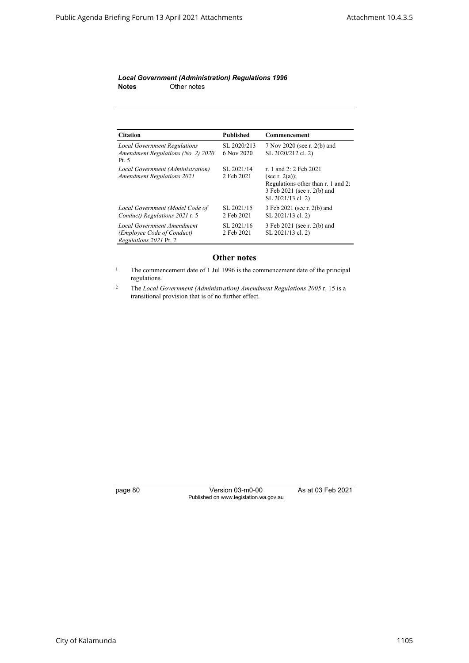#### *Local Government (Administration) Regulations 1996* **Notes** Other notes

| <b>Citation</b>                                                                    | <b>Published</b>          | Commencement                                                                                                                          |
|------------------------------------------------------------------------------------|---------------------------|---------------------------------------------------------------------------------------------------------------------------------------|
| <b>Local Government Regulations</b><br>Amendment Regulations (No. 2) 2020<br>Pt. 5 | SL 2020/213<br>6 Nov 2020 | 7 Nov 2020 (see r. 2(b) and<br>SL 2020/212 cl. 2)                                                                                     |
| Local Government (Administration)<br><b>Amendment Regulations 2021</b>             | SL 2021/14<br>2 Feb 2021  | r. 1 and 2: 2 Feb 2021<br>(see r. $2(a)$ );<br>Regulations other than r. 1 and 2:<br>3 Feb 2021 (see r. 2(b) and<br>SL 2021/13 cl. 2) |
| Local Government (Model Code of<br>Conduct) Regulations 2021 r. 5                  | SL 2021/15<br>2 Feb 2021  | 3 Feb 2021 (see r. 2(b) and<br>SL 2021/13 cl. 2)                                                                                      |
| Local Government Amendment<br>(Employee Code of Conduct)<br>Regulations 2021 Pt. 2 | SL 2021/16<br>2 Feb 2021  | 3 Feb 2021 (see r. 2(b) and<br>SL 2021/13 cl. 2)                                                                                      |

# **Other notes**

<sup>1</sup> The commencement date of 1 Jul 1996 is the commencement date of the principal regulations.

<sup>2</sup> The *Local Government (Administration) Amendment Regulations 2005* r. 15 is a transitional provision that is of no further effect.

page 80 Version 03-m0-00 As at 03 Feb 2021 Published on www.legislation.wa.gov.au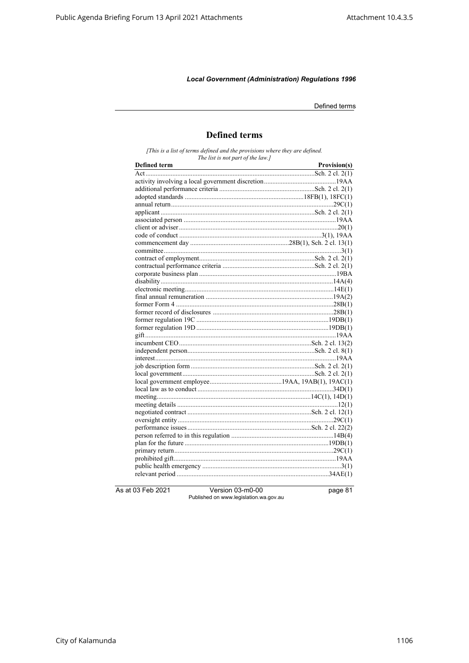Defined terms

# **Defined terms**

[This is a list of terms defined and the provisions where they are defined.<br>The list is not part of the law.]

| <b>Defined term</b> | Provision(s) |
|---------------------|--------------|
|                     |              |
|                     |              |
|                     |              |
|                     |              |
|                     |              |
|                     |              |
|                     |              |
|                     |              |
|                     |              |
|                     |              |
|                     |              |
|                     |              |
|                     |              |
|                     |              |
|                     |              |
|                     |              |
|                     |              |
|                     |              |
|                     |              |
|                     |              |
|                     |              |
|                     |              |
|                     |              |
|                     |              |
|                     |              |
|                     |              |
|                     |              |
|                     |              |
|                     |              |
|                     |              |
|                     |              |
|                     |              |
|                     |              |
|                     |              |
|                     |              |
|                     |              |
|                     |              |
|                     |              |
|                     |              |
|                     |              |

As at 03 Feb 2021

Version 03-m0-00 Published on www.legislation.wa.gov.au page 81